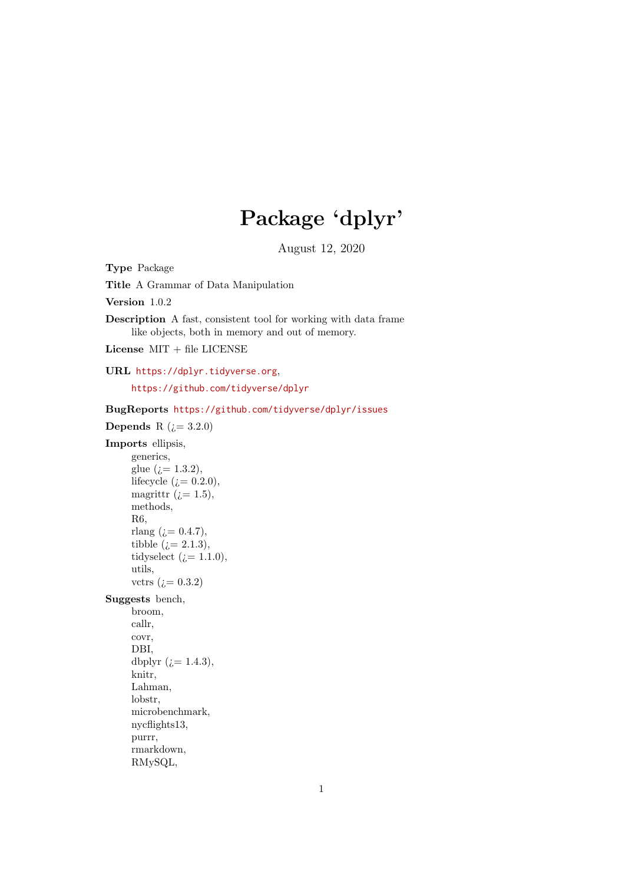# Package 'dplyr'

August 12, 2020

<span id="page-0-0"></span>Type Package Title A Grammar of Data Manipulation

Version 1.0.2

Description A fast, consistent tool for working with data frame like objects, both in memory and out of memory.

License MIT + file LICENSE

URL <https://dplyr.tidyverse.org>,

<https://github.com/tidyverse/dplyr>

BugReports <https://github.com/tidyverse/dplyr/issues> Depends R  $(i=3.2.0)$ Imports ellipsis, generics, glue  $(i = 1.3.2)$ , lifecycle ( $i = 0.2.0$ ), magrittr  $(i=1.5)$ , methods, R6, rlang  $(i = 0.4.7)$ , tibble  $(i=2.1.3)$ , tidyselect ( $i = 1.1.0$ ), utils, vctrs  $(i=0.3.2)$ Suggests bench, broom, callr, covr, DBI, dbplyr  $(i=1.4.3)$ , knitr, Lahman, lobstr, microbenchmark, nycflights13, purrr, rmarkdown, RMySQL,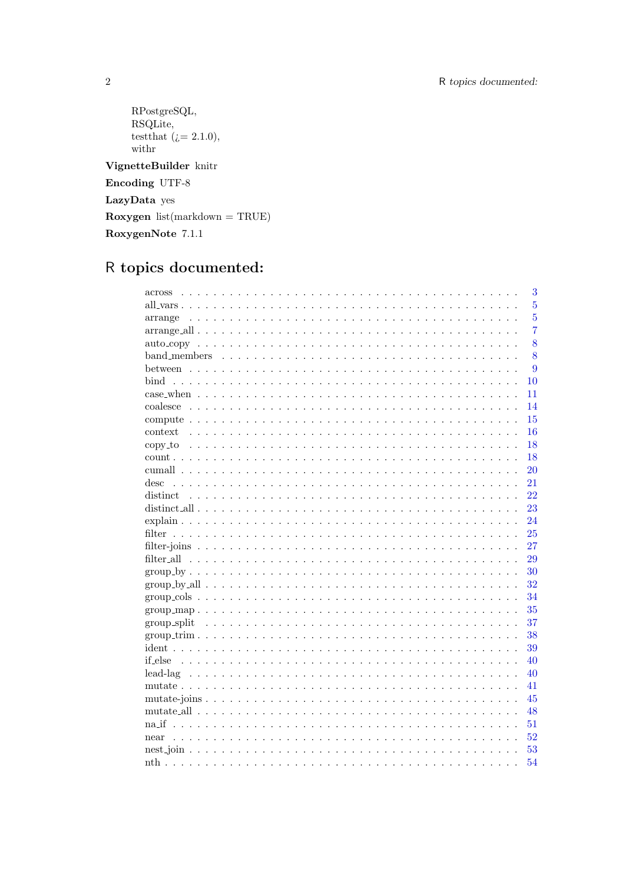```
RPostgreSQL,
      RSQLite,
      test that (i = 2.1.0),
      % \left\vert \mathbf{M}\right\vert with<br>r
VignetteBuilder knitr
Encoding UTF-8
{\bf LazyData}yes
Roxygen list(markdown = TRUE)
RoxygenNote 7.1.1
```
# R topics documented:

| 3                                                                                                                          |
|----------------------------------------------------------------------------------------------------------------------------|
| $\overline{5}$                                                                                                             |
| $\overline{5}$<br>arrange                                                                                                  |
| $\overline{7}$                                                                                                             |
| 8                                                                                                                          |
| 8                                                                                                                          |
| 9                                                                                                                          |
| 10                                                                                                                         |
| 11                                                                                                                         |
| 14                                                                                                                         |
| 15                                                                                                                         |
| context<br>16                                                                                                              |
| 18                                                                                                                         |
| 18                                                                                                                         |
| 20                                                                                                                         |
| $\mathrm{desc}$<br>21                                                                                                      |
| 22                                                                                                                         |
| 23                                                                                                                         |
| 24                                                                                                                         |
| 25                                                                                                                         |
| 27                                                                                                                         |
| 29                                                                                                                         |
| 30                                                                                                                         |
| 32<br>$group-by-all \dots \dots \dots \dots \dots \dots \dots \dots \dots \dots \dots \dots \dots \dots \dots \dots \dots$ |
| 34                                                                                                                         |
| 35<br>$group_map$                                                                                                          |
| 37                                                                                                                         |
| $group-trim$<br>38                                                                                                         |
| 39                                                                                                                         |
| 40                                                                                                                         |
| 40                                                                                                                         |
| 41                                                                                                                         |
| 45                                                                                                                         |
| 48                                                                                                                         |
| 51                                                                                                                         |
| 52<br>near                                                                                                                 |
| 53                                                                                                                         |
| 54                                                                                                                         |
|                                                                                                                            |

 $\sqrt{2}$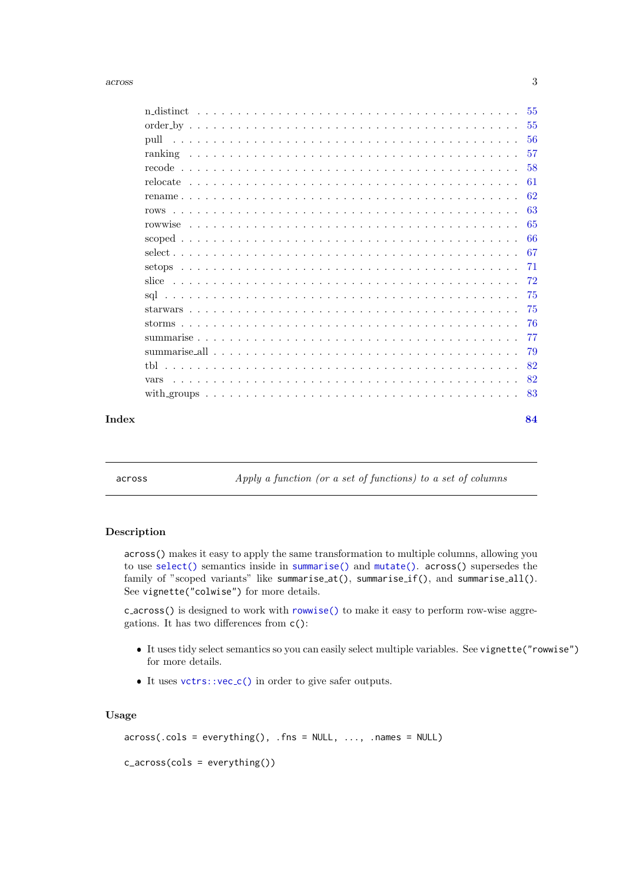<span id="page-2-0"></span>

| Index |      | 84   |
|-------|------|------|
|       |      |      |
|       | vars | 82   |
|       |      | 82   |
|       |      | 79   |
|       |      | 77   |
|       |      | -76  |
|       |      | -75  |
|       |      | -75  |
|       |      | -72  |
|       |      | -71  |
|       |      | -67  |
|       |      | 66   |
|       |      | 65   |
|       |      | - 63 |
|       |      | 62   |
|       |      | 61   |
|       |      | 58   |
|       |      | -57  |
|       |      |      |
|       |      |      |
|       |      |      |

<span id="page-2-1"></span>across Apply a function (or a set of functions) to a set of columns

# Description

across() makes it easy to apply the same transformation to multiple columns, allowing you to use [select\(\)](#page-66-1) semantics inside in [summarise\(\)](#page-76-1) and [mutate\(\)](#page-40-1). across() supersedes the family of "scoped variants" like summarise\_at(), summarise\_if(), and summarise\_all(). See vignette("colwise") for more details.

c across() is designed to work with [rowwise\(\)](#page-64-1) to make it easy to perform row-wise aggregations. It has two differences from c():

- It uses tidy select semantics so you can easily select multiple variables. See vignette("rowwise") for more details.
- It uses [vctrs::vec](#page-0-0)\_c() in order to give safer outputs.

#### Usage

```
across(.cols = everything(), .fns = NULL, ..., .names = NULL)
```

```
c_across(cols = everything())
```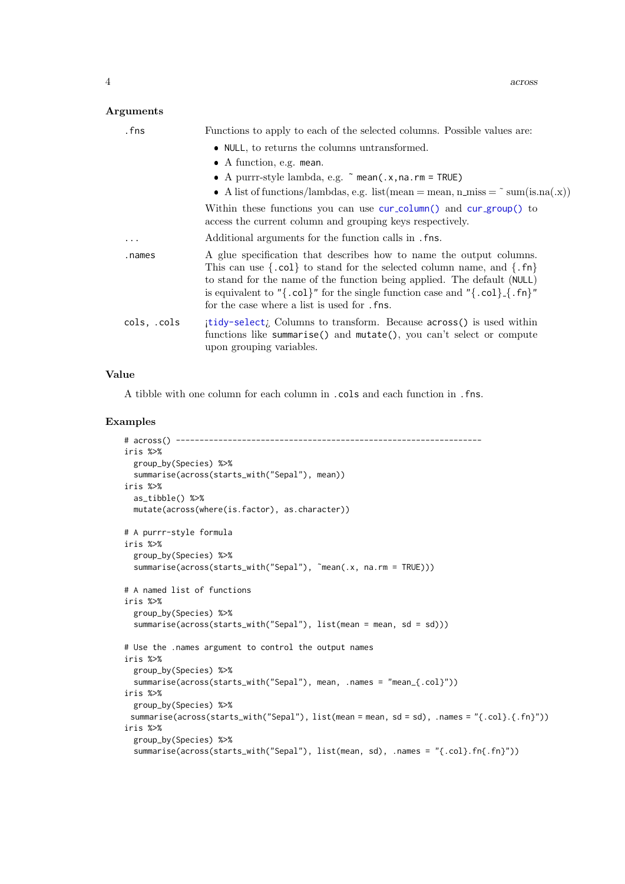# Arguments

| . fns       | Functions to apply to each of the selected columns. Possible values are:                                                                                                                                                                                                                                                                                                                 |
|-------------|------------------------------------------------------------------------------------------------------------------------------------------------------------------------------------------------------------------------------------------------------------------------------------------------------------------------------------------------------------------------------------------|
|             | • NULL, to returns the columns untransformed.                                                                                                                                                                                                                                                                                                                                            |
|             | $\bullet$ A function, e.g. mean.                                                                                                                                                                                                                                                                                                                                                         |
|             | • A purrr-style lambda, e.g. $\tilde{ }$ mean(.x, na.rm = TRUE)                                                                                                                                                                                                                                                                                                                          |
|             | • A list of functions/lambdas, e.g. list (mean = mean, n_miss = $\tilde{\ }$ sum(is.na(.x))                                                                                                                                                                                                                                                                                              |
|             | Within these functions you can use cur-column() and cur-group() to<br>access the current column and grouping keys respectively.                                                                                                                                                                                                                                                          |
| $\cdots$    | Additional arguments for the function calls in . fns.                                                                                                                                                                                                                                                                                                                                    |
| .names      | A glue specification that describes how to name the output columns.<br>This can use $\{ .col \}$ to stand for the selected column name, and $\{ .fn \}$<br>to stand for the name of the function being applied. The default (NULL)<br>is equivalent to " $\{ .col \}$ " for the single function case and " $\{ .col \}$ . $\{ .fil \}$ "<br>for the case where a list is used for . fns. |
| cols, .cols | itidy-select; Columns to transform. Because across() is used within<br>functions like summarise() and mutate(), you can't select or compute<br>upon grouping variables.                                                                                                                                                                                                                  |

# Value

A tibble with one column for each column in .cols and each function in .fns.

```
# across() -----------------------------------------------------------------
iris %>%
  group_by(Species) %>%
 summarise(across(starts_with("Sepal"), mean))
iris %>%
 as_tibble() %>%
 mutate(across(where(is.factor), as.character))
# A purrr-style formula
iris %>%
 group_by(Species) %>%
  summarise(across(starts_with("Sepal"), ~mean(.x, na.rm = TRUE)))
# A named list of functions
iris %>%
  group_by(Species) %>%
  summarise(across(starts_with("Sepal"), list(mean = mean, sd = sd)))
# Use the .names argument to control the output names
iris %>%
  group_by(Species) %>%
  summarise(across(starts_with("Sepal"), mean, .names = "mean_{.col}"))
iris %>%
 group_by(Species) %>%
 summarise(across(starts_with("Sepal"), list(mean = mean, sd = sd), .names = "{.col}.{.fn}"))
iris %>%
  group_by(Species) %>%
  summarise(across(starts_with("Sepal"), list(mean, sd), .names = "{.col}.fn{.fn}"))
```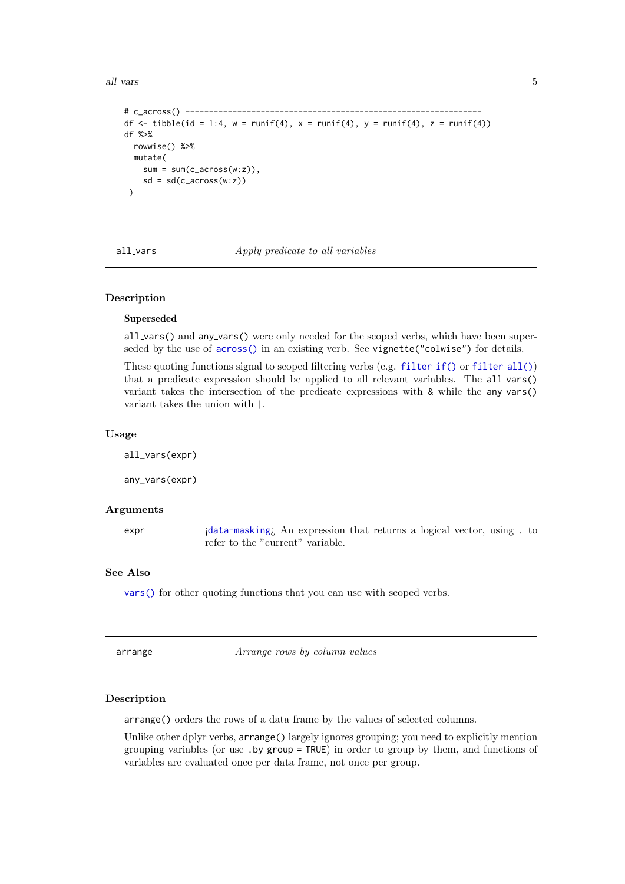#### <span id="page-4-0"></span>all\_vars 5

```
# c_across() ---------------------------------------------------------------
df \le tibble(id = 1:4, w = runif(4), x = runif(4), y = runif(4), z = runif(4))
df %>%
  rowwise() %>%
  mutate(
    sum = sum(c_aross(w:z)),sd = sd(c_across(w:z))\lambda
```
<span id="page-4-2"></span>all\_vars Apply predicate to all variables

# <span id="page-4-3"></span>Description

# Superseded

all\_vars() and any\_vars() were only needed for the scoped verbs, which have been superseded by the use of [across\(\)](#page-2-1) in an existing verb. See vignette("colwise") for details.

These quoting functions signal to scoped [filter](#page-28-2)ing verbs (e.g. filter  $if()$  or filter  $all()$ ) that a predicate expression should be applied to all relevant variables. The all vars() variant takes the intersection of the predicate expressions with  $\&$  while the any vars() variant takes the union with |.

# Usage

all\_vars(expr)

any\_vars(expr)

# Arguments

expr 
i[data-masking](#page-0-0); An expression that returns a logical vector, using . to refer to the "current" variable.

# See Also

[vars\(\)](#page-81-1) for other quoting functions that you can use with scoped verbs.

<span id="page-4-1"></span>arrange arrange *Arrange rows by column values* 

# Description

arrange() orders the rows of a data frame by the values of selected columns.

Unlike other dplyr verbs, arrange() largely ignores grouping; you need to explicitly mention grouping variables (or use .by group = TRUE) in order to group by them, and functions of variables are evaluated once per data frame, not once per group.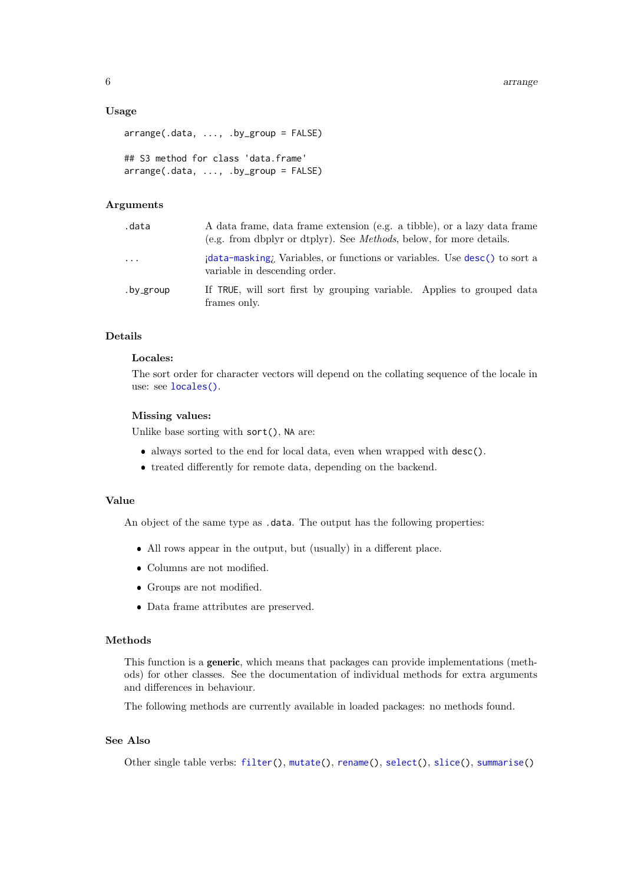# Usage

```
arrange(.data, ..., .by_group = FALSE)
## S3 method for class 'data.frame'
\ar{range}(.\text{data}, \ldots, \text{by\_group} = \text{FALSE})
```
# Arguments

| .data     | A data frame, data frame extension (e.g. a tibble), or a lazy data frame<br>(e.g. from dbplyr or dtplyr). See <i>Methods</i> , below, for more details. |
|-----------|---------------------------------------------------------------------------------------------------------------------------------------------------------|
| $\cdots$  | data-masking; Variables, or functions or variables. Use desc() to sort a<br>variable in descending order.                                               |
| .by_group | If TRUE, will sort first by grouping variable. Applies to grouped data<br>frames only.                                                                  |

# Details

# Locales:

The sort order for character vectors will depend on the collating sequence of the locale in use: see [locales\(\)](#page-0-0).

#### Missing values:

Unlike base sorting with sort(), NA are:

- always sorted to the end for local data, even when wrapped with desc().
- treated differently for remote data, depending on the backend.

# Value

An object of the same type as .data. The output has the following properties:

- All rows appear in the output, but (usually) in a different place.
- Columns are not modified.
- Groups are not modified.
- Data frame attributes are preserved.

# Methods

This function is a generic, which means that packages can provide implementations (methods) for other classes. See the documentation of individual methods for extra arguments and differences in behaviour.

The following methods are currently available in loaded packages: no methods found.

# See Also

Other single table verbs: [filter\(](#page-24-1)), [mutate\(](#page-40-1)), [rename\(](#page-61-1)), [select\(](#page-66-1)), [slice\(](#page-71-1)), [summarise\(](#page-76-1))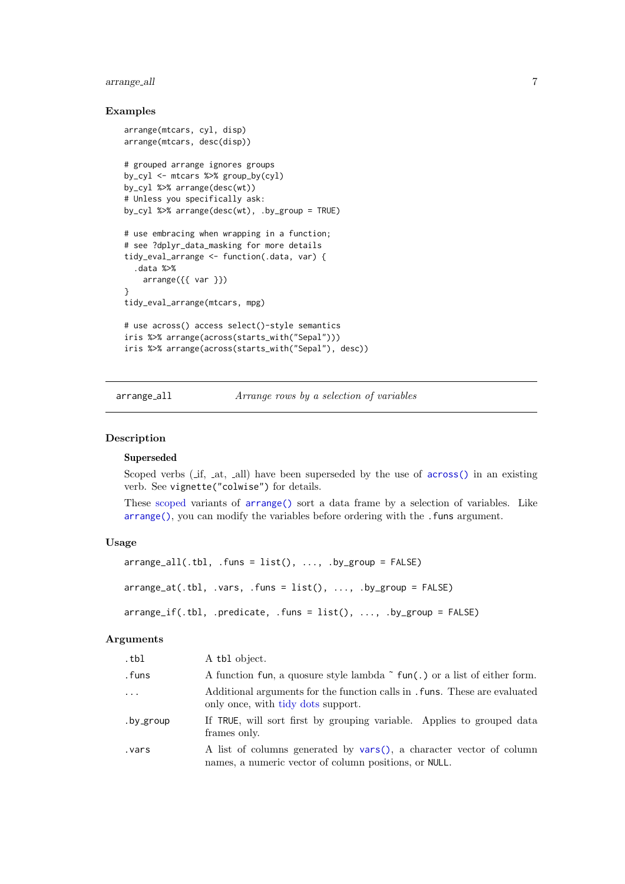#### <span id="page-6-0"></span>arrange all 7

#### Examples

```
arrange(mtcars, cyl, disp)
arrange(mtcars, desc(disp))
# grouped arrange ignores groups
by_cyl <- mtcars %>% group_by(cyl)
by_cyl %>% arrange(desc(wt))
# Unless you specifically ask:
by_cyl %>% arrange(desc(wt), .by_group = TRUE)
# use embracing when wrapping in a function;
# see ?dplyr_data_masking for more details
tidy_eval_arrange <- function(.data, var) {
  .data %>%
    arrange({{ var }})
}
tidy_eval_arrange(mtcars, mpg)
# use across() access select()-style semantics
iris %>% arrange(across(starts_with("Sepal")))
iris %>% arrange(across(starts_with("Sepal"), desc))
```
arrange all Arrange rows by a selection of variables

#### Description

# Superseded

Scoped verbs ( if, at, all) have been superseded by the use of [across\(\)](#page-2-1) in an existing verb. See vignette("colwise") for details.

These [scoped](#page-65-1) variants of [arrange\(\)](#page-4-1) sort a data frame by a selection of variables. Like [arrange\(\)](#page-4-1), you can modify the variables before ordering with the .funs argument.

#### Usage

```
arraye_a11(.th1, .funs = list(), . . . , .by_group = FALSE)arrange_at(.th1, .vars, .funs = list(), . . . , .by_group = FALSE)array_{\text{eff}} (.tbl, .predicate, .funs = list(), ..., .by_group = FALSE)
```
#### Arguments

| .tbl       | A tbl object.                                                                                                                |
|------------|------------------------------------------------------------------------------------------------------------------------------|
| .funs      | A function fun, a quosure style lambda $\tilde{\ }$ fun(.) or a list of either form.                                         |
| $\ddots$ . | Additional arguments for the function calls in . funs. These are evaluated<br>only once, with tidy dots support.             |
| .by_group  | If TRUE, will sort first by grouping variable. Applies to grouped data<br>frames only.                                       |
| vars.      | A list of columns generated by vars(), a character vector of column<br>names, a numeric vector of column positions, or NULL. |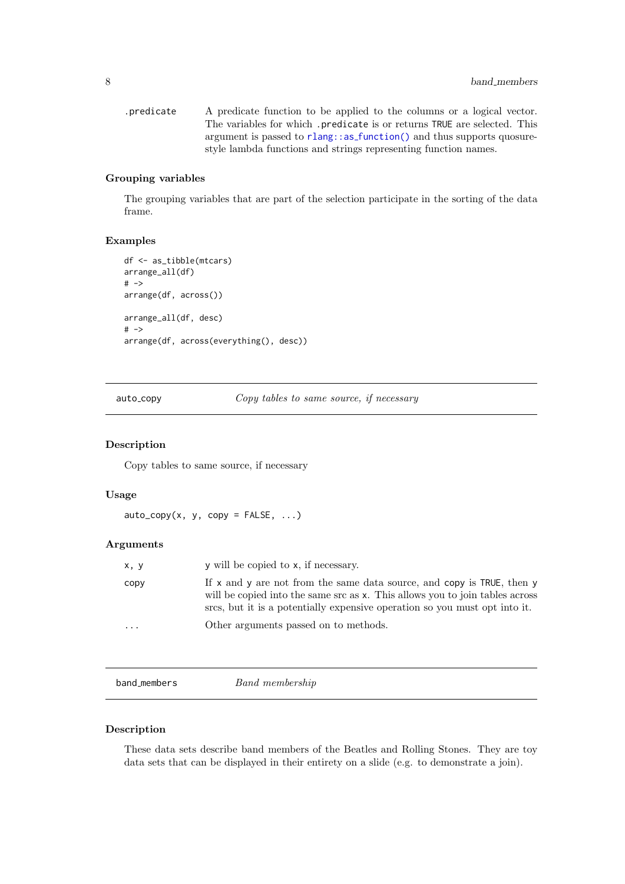```
.predicate A predicate function to be applied to the columns or a logical vector.
              The variables for which .predicate is or returns TRUE are selected. This
              function() and thus supports quosure-
              style lambda functions and strings representing function names.
```
# Grouping variables

The grouping variables that are part of the selection participate in the sorting of the data frame.

#### Examples

```
df <- as_tibble(mtcars)
arrange_all(df)
# ->arrange(df, across())
arrange_all(df, desc)
# ->
arrange(df, across(everything(), desc))
```
auto\_copy copy tables to same source, if necessary

# Description

Copy tables to same source, if necessary

# Usage

```
auto\_copy(x, y, copy = FALSE, ...)
```
#### Arguments

| x, y     | y will be copied to x, if necessary.                                                                                                                                                                                                       |
|----------|--------------------------------------------------------------------------------------------------------------------------------------------------------------------------------------------------------------------------------------------|
| copy     | If $x$ and $y$ are not from the same data source, and copy is TRUE, then $y$<br>will be copied into the same src as x. This allows you to join tables across<br>size, but it is a potentially expensive operation so you must opt into it. |
| $\cdots$ | Other arguments passed on to methods.                                                                                                                                                                                                      |

band\_members Band membership

#### Description

These data sets describe band members of the Beatles and Rolling Stones. They are toy data sets that can be displayed in their entirety on a slide (e.g. to demonstrate a join).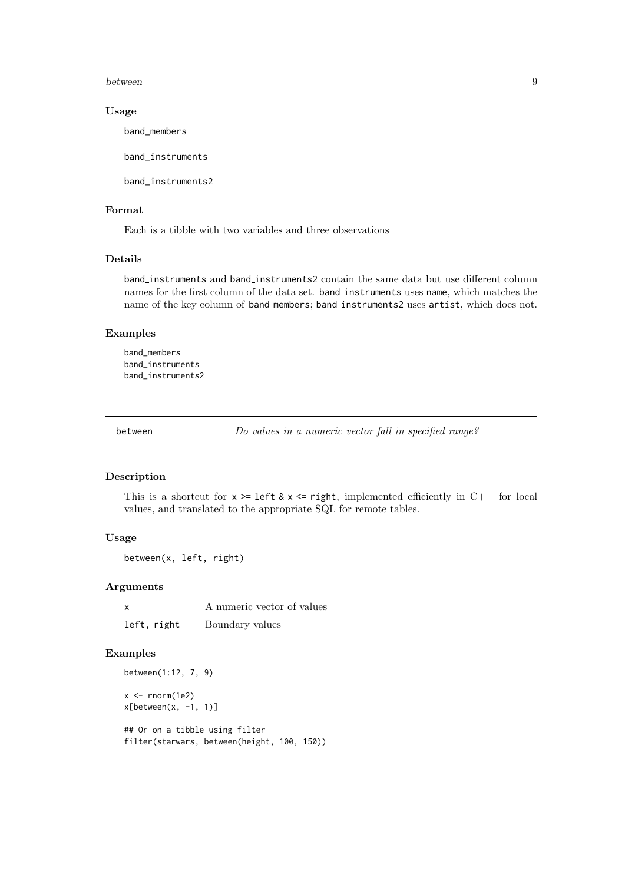<span id="page-8-0"></span>between 9

#### Usage

band\_members

band\_instruments

band\_instruments2

#### Format

Each is a tibble with two variables and three observations

# Details

band instruments and band instruments2 contain the same data but use different column names for the first column of the data set. band instruments uses name, which matches the name of the key column of band members; band instruments2 uses artist, which does not.

#### Examples

band\_members band\_instruments band\_instruments2

<span id="page-8-1"></span>between Do values in a numeric vector fall in specified range?

# Description

This is a shortcut for  $x \geq 1$  left &  $x \leq 1$  right, implemented efficiently in C++ for local values, and translated to the appropriate SQL for remote tables.

#### Usage

```
between(x, left, right)
```
# Arguments

x A numeric vector of values left, right Boundary values

#### Examples

between(1:12, 7, 9)  $x < -$  rnorm(1e2)  $x[between(x, -1, 1)]$ ## Or on a tibble using filter

```
filter(starwars, between(height, 100, 150))
```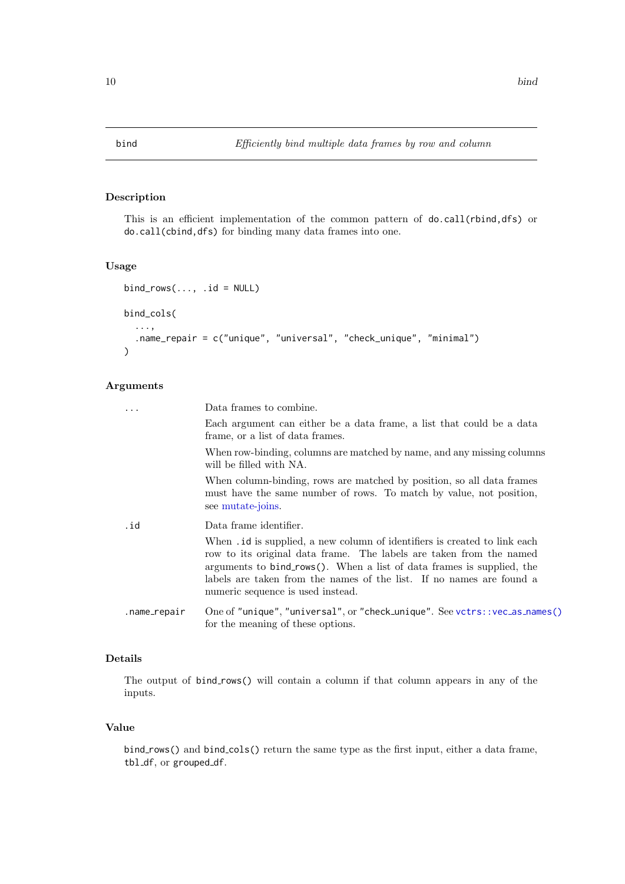# <span id="page-9-0"></span>Description

This is an efficient implementation of the common pattern of do.call(rbind,dfs) or do.call(cbind,dfs) for binding many data frames into one.

# Usage

```
bind_{rows}..., .id = NULL)
bind_cols(
  ...,
  .name_repair = c("unique", "universal", "check_unique", "minimal")
\lambda
```
# Arguments

| .            | Data frames to combine.                                                                                                                                                                                                                                                                                                                      |
|--------------|----------------------------------------------------------------------------------------------------------------------------------------------------------------------------------------------------------------------------------------------------------------------------------------------------------------------------------------------|
|              | Each argument can either be a data frame, a list that could be a data<br>frame, or a list of data frames.                                                                                                                                                                                                                                    |
|              | When row-binding, columns are matched by name, and any missing columns<br>will be filled with NA.                                                                                                                                                                                                                                            |
|              | When column-binding, rows are matched by position, so all data frames<br>must have the same number of rows. To match by value, not position,<br>see mutate-joins.                                                                                                                                                                            |
| .id          | Data frame identifier.                                                                                                                                                                                                                                                                                                                       |
|              | When <i>id</i> is supplied, a new column of identifiers is created to link each<br>row to its original data frame. The labels are taken from the named<br>arguments to bind_rows(). When a list of data frames is supplied, the<br>labels are taken from the names of the list. If no names are found a<br>numeric sequence is used instead. |
| .name_repair | One of "unique", "universal", or "check_unique". See vctrs:: $vec_a$ ss_names()<br>for the meaning of these options.                                                                                                                                                                                                                         |

# Details

The output of bind\_rows() will contain a column if that column appears in any of the inputs.

#### Value

bind\_rows() and bind\_cols() return the same type as the first input, either a data frame, tbl\_df, or grouped\_df.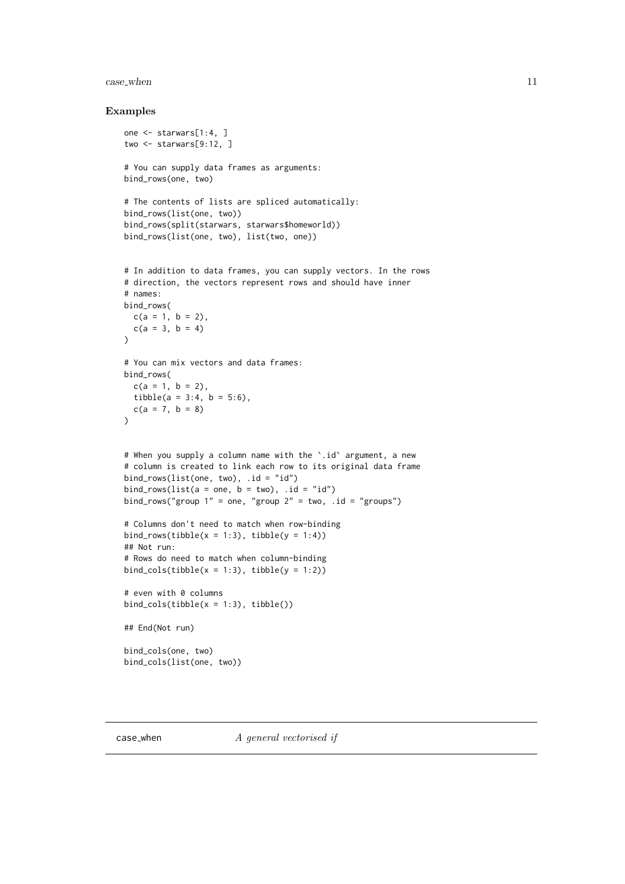#### <span id="page-10-0"></span>case when 11

```
one <- starwars[1:4, ]
two <- starwars[9:12, ]
# You can supply data frames as arguments:
bind_rows(one, two)
# The contents of lists are spliced automatically:
bind_rows(list(one, two))
bind_rows(split(starwars, starwars$homeworld))
bind_rows(list(one, two), list(two, one))
# In addition to data frames, you can supply vectors. In the rows
# direction, the vectors represent rows and should have inner
# names:
bind_rows(
  c(a = 1, b = 2),
  c(a = 3, b = 4))
# You can mix vectors and data frames:
bind_rows(
  c(a = 1, b = 2),
  tibble(a = 3:4, b = 5:6),
  c(a = 7, b = 8)\lambda# When you supply a column name with the `.id` argument, a new
# column is created to link each row to its original data frame
bind_rows(list(one, two), .id = "id")
bind\_rows(list(a = one, b = two), id = "id")bind_rows("group 1" = one, "group 2" = two, .id = "groups")
# Columns don't need to match when row-binding
bind_rows(tibble(x = 1:3), tibble(y = 1:4))
## Not run:
# Rows do need to match when column-binding
bind_cols(tibble(x = 1:3), tibble(y = 1:2))
# even with 0 columns
bind_cols(tibble(x = 1:3), tibble())
## End(Not run)
bind_cols(one, two)
bind_cols(list(one, two))
```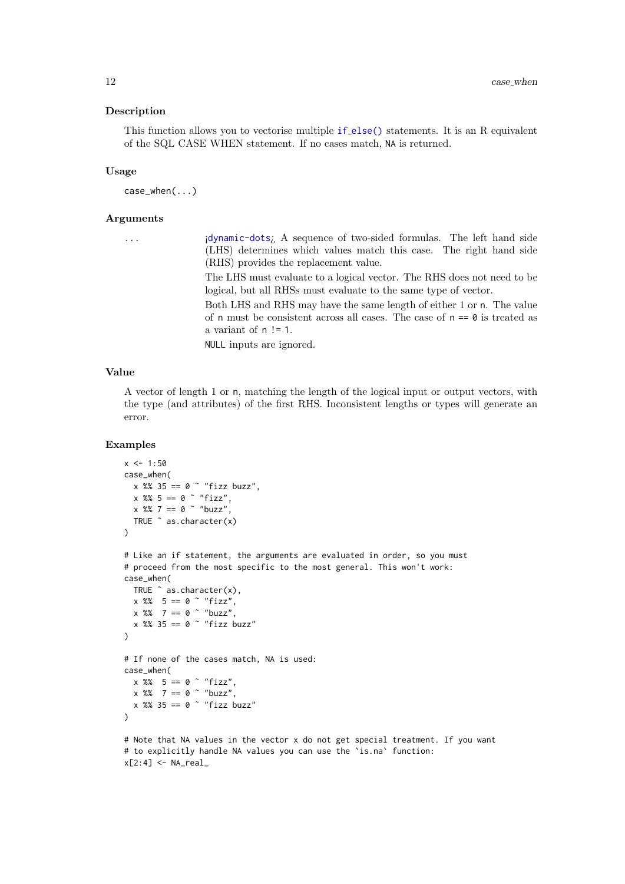#### Description

This function allows you to vectorise multiple if [else\(\)](#page-39-1) statements. It is an R equivalent of the SQL CASE WHEN statement. If no cases match, NA is returned.

# Usage

case\_when(...)

#### Arguments

| $\sim$ | $\sim$ |  |
|--------|--------|--|

... ¡[dynamic-dots](#page-0-0)¿ A sequence of two-sided formulas. The left hand side (LHS) determines which values match this case. The right hand side (RHS) provides the replacement value.

The LHS must evaluate to a logical vector. The RHS does not need to be logical, but all RHSs must evaluate to the same type of vector.

Both LHS and RHS may have the same length of either 1 or n. The value of n must be consistent across all cases. The case of  $n == 0$  is treated as a variant of n != 1.

NULL inputs are ignored.

# Value

A vector of length 1 or n, matching the length of the logical input or output vectors, with the type (and attributes) of the first RHS. Inconsistent lengths or types will generate an error.

```
x \le -1:50case_when(
  x %% 35 == 0 \degree "fizz buzz",
  x \, 8\, 5 = 0 \sim "fizz",
  x \, 8\, 7 = 0 \sim "buzz",
  TRUE ˜ as.character(x)
\lambda# Like an if statement, the arguments are evaluated in order, so you must
# proceed from the most specific to the most general. This won't work:
case_when(
  TRUE ˜ as.character(x),
  x \frac{8}{6} = 5 = 0 "fizz",
  x \, 8\% 7 == 0 \sim "buzz",
  x %% 35 == 0 \degree "fizz buzz"
\lambda# If none of the cases match, NA is used:
case_when(
 x % 5 == 0 " "fizz",x \, 8\% 7 == 0 \degree "buzz",
  x \frac{8}{3} = 0 \degree "fizz buzz"
\lambda# Note that NA values in the vector x do not get special treatment. If you want
# to explicitly handle NA values you can use the `is.na` function:
x[2:4] <- NA\_real
```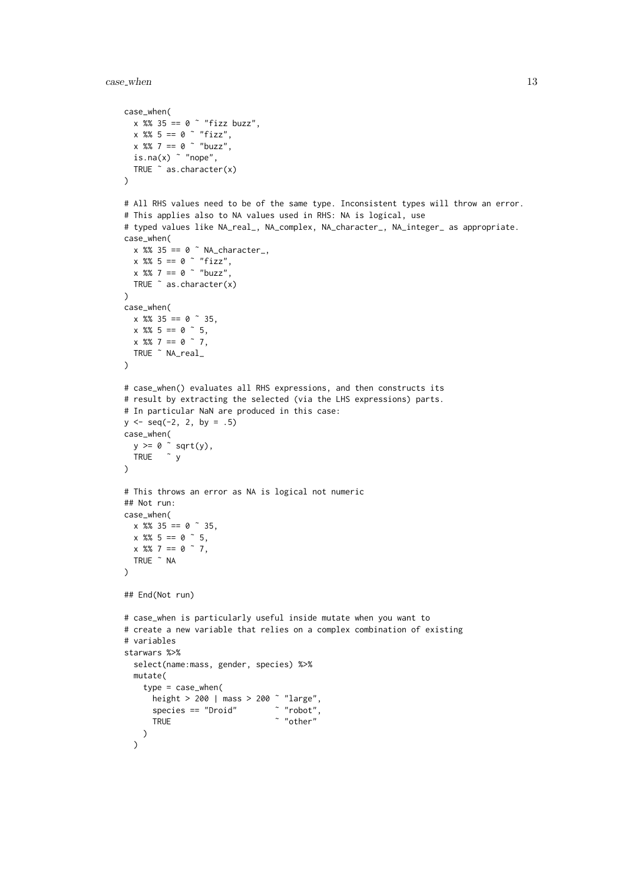```
case_when(
  x %% 35 == 0 ˜ "fizz buzz",
  x %% 5 == 0 \degree "fizz",
  x \, %% 7 == 0 \degree "buzz",
 is.na(x) \degree "nope",
 TRUE ˜ as.character(x)
\lambda# All RHS values need to be of the same type. Inconsistent types will throw an error.
# This applies also to NA values used in RHS: NA is logical, use
# typed values like NA_real_, NA_complex, NA_character_, NA_integer_ as appropriate.
case_when(
  x %% 35 == 0 \degree NA_character_,
  x %% 5 == 0 \degree "fizz",
 x \frac{8}{3} 7 == 0 \degree "buzz",
 TRUE ˜ as.character(x)
)
case_when(
  x %% 35 == 0 \degree 35,
  x \frac{8}{6} = 5 = 0 \degree 5,
 x \frac{8x}{3} = 0 \infty 7,
  TRUE ˜ NA_real_
\lambda# case_when() evaluates all RHS expressions, and then constructs its
# result by extracting the selected (via the LHS expressions) parts.
# In particular NaN are produced in this case:
y \le - seq(-2, 2, by = .5)
case_when(
  y >= 0 ˜ sqrt(y),
  TRUE ˜ y
)
# This throws an error as NA is logical not numeric
## Not run:
case_when(
 x %% 35 == 0 \degree 35,
 x \frac{8}{6} 5 = 0 \degree 5,
 x % 7 = 0 7.
  TRUE ˜ NA
)
## End(Not run)
# case_when is particularly useful inside mutate when you want to
# create a new variable that relies on a complex combination of existing
# variables
starwars %>%
  select(name:mass, gender, species) %>%
  mutate(
    type = case_when(
      height > 200 | mass > 200 ~ "large",<br>species == "Droid" ~ "robot",
      species = "Droid"TRUE \sim "other"
   )
  \lambda
```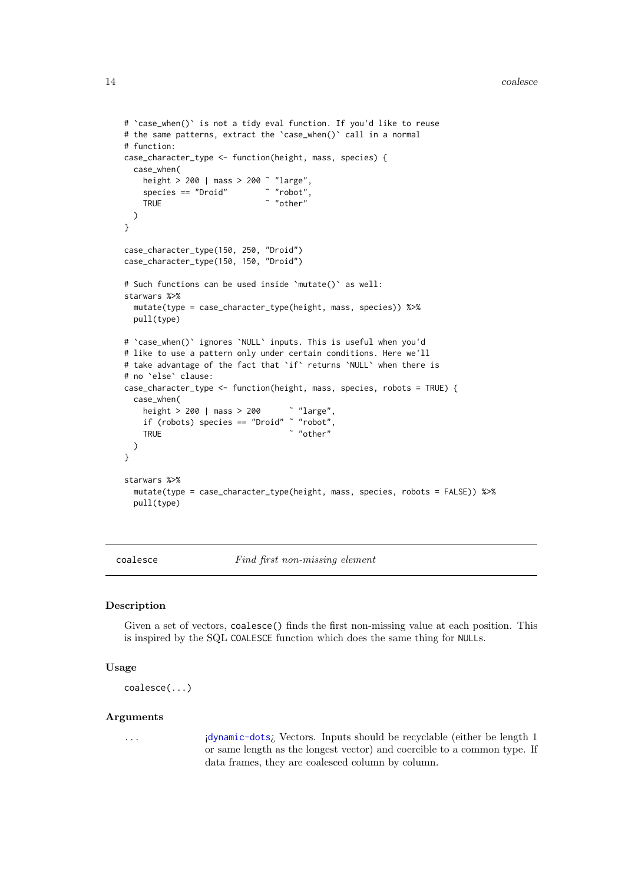```
# `case_when()` is not a tidy eval function. If you'd like to reuse
# the same patterns, extract the 'case_when()' call in a normal
# function:
case_character_type <- function(height, mass, species) {
  case_when(
    height > 200 | mass > 200 ~ "large",<br>soecies == "Droid" \sim "robot",
    species == "Droid"
    TRUE \sim "other"
 )
}
case_character_type(150, 250, "Droid")
case_character_type(150, 150, "Droid")
# Such functions can be used inside `mutate()` as well:
starwars %>%
 mutate(type = case_character_type(height, mass, species)) %>%
  pull(type)
# `case_when()` ignores `NULL` inputs. This is useful when you'd
# like to use a pattern only under certain conditions. Here we'll
# take advantage of the fact that `if` returns `NULL` when there is
# no `else` clause:
case_character_type <- function(height, mass, species, robots = TRUE) {
  case_when(
    height > 200 | mass > 200 ˜ "large",
    if (robots) species == "Droid" ˜ "robot",
    TRUE \sim "other"
 )
}
starwars %>%
  mutate(type = case_character_type(height, mass, species, robots = FALSE)) %>%
  pull(type)
```
coalesce Find first non-missing element

#### Description

Given a set of vectors, coalesce() finds the first non-missing value at each position. This is inspired by the SQL COALESCE function which does the same thing for NULLs.

# Usage

```
coalesce(...)
```
# Arguments

... ¡[dynamic-dots](#page-0-0)¿ Vectors. Inputs should be recyclable (either be length 1 or same length as the longest vector) and coercible to a common type. If data frames, they are coalesced column by column.

<span id="page-13-0"></span>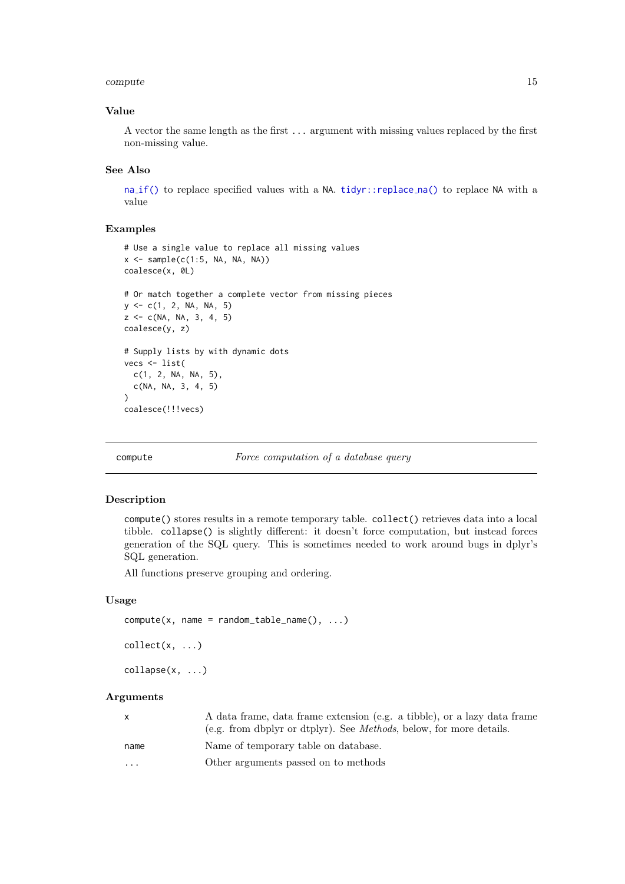#### <span id="page-14-0"></span>compute the compute that is a set of the compute  $15$

#### Value

A vector the same length as the first ... argument with missing values replaced by the first non-missing value.

#### See Also

na [if\(\)](#page-50-1) to replace specified values with a NA. [tidyr::replace](#page-0-0) na() to replace NA with a value

#### Examples

```
# Use a single value to replace all missing values
x \leftarrow sample(c(1:5, NA, NA, NA))
coalesce(x, 0L)
# Or match together a complete vector from missing pieces
y <- c(1, 2, NA, NA, 5)
z \leq -c(NA, NA, 3, 4, 5)coalesce(y, z)
# Supply lists by with dynamic dots
vecs <- list(
 c(1, 2, NA, NA, 5),
 c(NA, NA, 3, 4, 5)
\lambdacoalesce(!!!vecs)
```
compute Force computation of a database query

# <span id="page-14-1"></span>Description

compute() stores results in a remote temporary table. collect() retrieves data into a local tibble. collapse() is slightly different: it doesn't force computation, but instead forces generation of the SQL query. This is sometimes needed to work around bugs in dplyr's SQL generation.

All functions preserve grouping and ordering.

#### Usage

```
compute(x, name = random_table_name(), ...)collect(x, \ldots)collapse(x, ...)
```
# Arguments

| X    | A data frame, data frame extension (e.g. a tibble), or a lazy data frame<br>(e.g. from dbplyr or dtplyr). See <i>Methods</i> , below, for more details. |
|------|---------------------------------------------------------------------------------------------------------------------------------------------------------|
| name | Name of temporary table on database.                                                                                                                    |
| .    | Other arguments passed on to methods                                                                                                                    |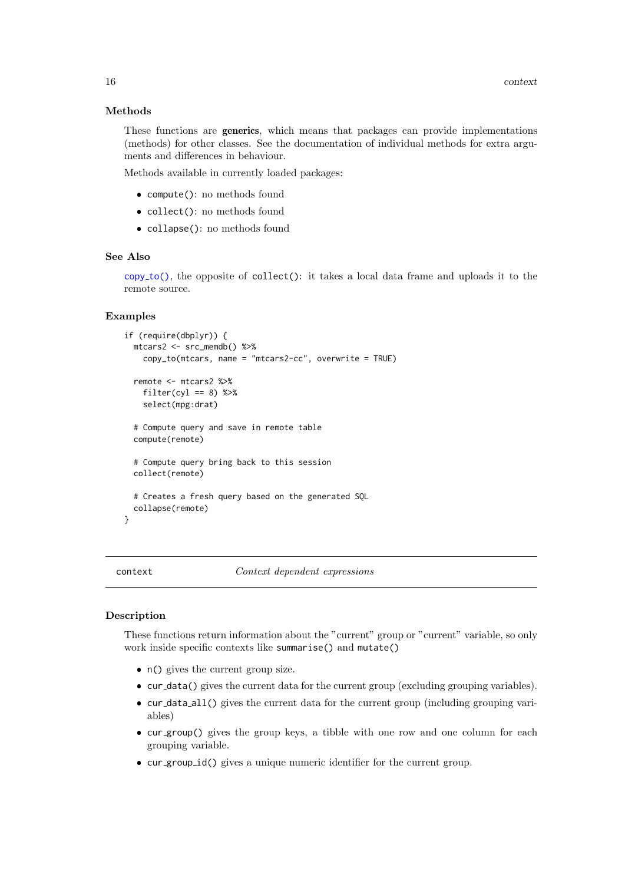#### Methods

These functions are generics, which means that packages can provide implementations (methods) for other classes. See the documentation of individual methods for extra arguments and differences in behaviour.

Methods available in currently loaded packages:

- compute(): no methods found
- collect(): no methods found
- collapse(): no methods found

# See Also

 $copy_to()$  $copy_to()$ , the opposite of collect $()$ : it takes a local data frame and uploads it to the remote source.

# Examples

```
if (require(dbplyr)) {
  mtcars2 <- src_memdb() %>%
   copy_to(mtcars, name = "mtcars2-cc", overwrite = TRUE)
  remote <- mtcars2 %>%
   filter(cyl == 8) %>%
   select(mpg:drat)
  # Compute query and save in remote table
  compute(remote)
  # Compute query bring back to this session
  collect(remote)
  # Creates a fresh query based on the generated SQL
  collapse(remote)
}
```
context  $Context$   $Context$  dependent expressions

#### <span id="page-15-1"></span>Description

These functions return information about the "current" group or "current" variable, so only work inside specific contexts like summarise() and mutate()

- n() gives the current group size.
- cur data() gives the current data for the current group (excluding grouping variables).
- cur data all() gives the current data for the current group (including grouping variables)
- cur group() gives the group keys, a tibble with one row and one column for each grouping variable.
- cur group id() gives a unique numeric identifier for the current group.

<span id="page-15-0"></span>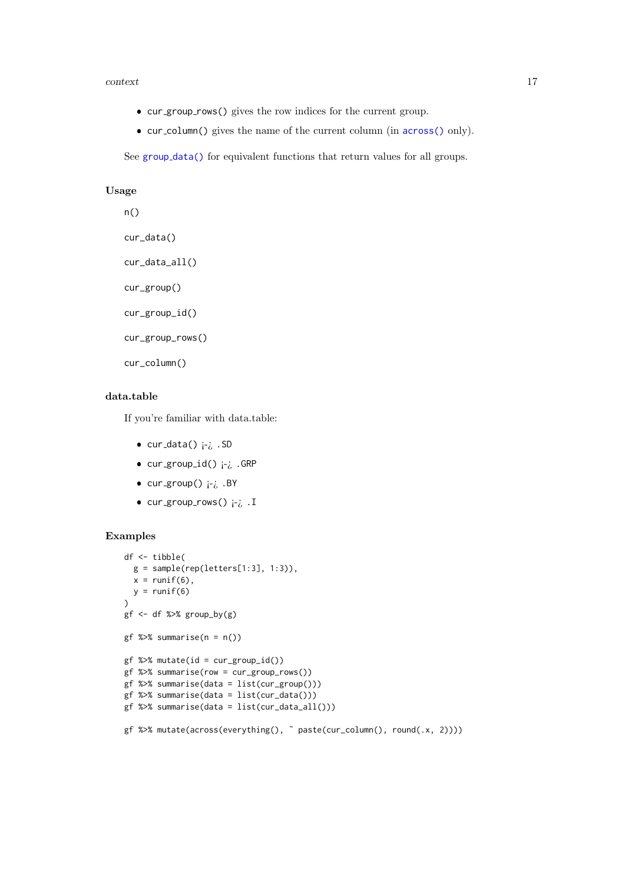#### context 17

- cur group rows() gives the row indices for the current group.
- cur column() gives the name of the current column (in [across\(\)](#page-2-1) only).

See group [data\(\)](#page-0-0) for equivalent functions that return values for all groups.

# Usage

```
n()
cur_data()
cur_data_all()
cur_group()
cur_group_id()
cur_group_rows()
cur_column()
```
# data.table

If you're familiar with data.table:

- cur\_data() ¡-¿ .SD
- $\bullet$  cur\_group\_id()  $i$ - $i$  .GRP
- cur\_group() ¡-¿ .BY
- $\bullet$  cur\_group\_rows()  $i$ - $i$  . I

```
df <- tibble(
 g = sample(rep(leftters[1:3], 1:3)),x = runif(6),
 y = runif(6))
gf \leftarrow df %>% group_by(g)gf %>% summarise(n = n())
gf %>% mutate(id = cur_group_id())
gf %>% summarise(row = cur_group_rows())
gf %>% summarise(data = list(cur_group()))
gf %>% summarise(data = list(cur_data()))
gf %>% summarise(data = list(cur_data_all()))
gf %>% mutate(across(everything(), ˜ paste(cur_column(), round(.x, 2))))
```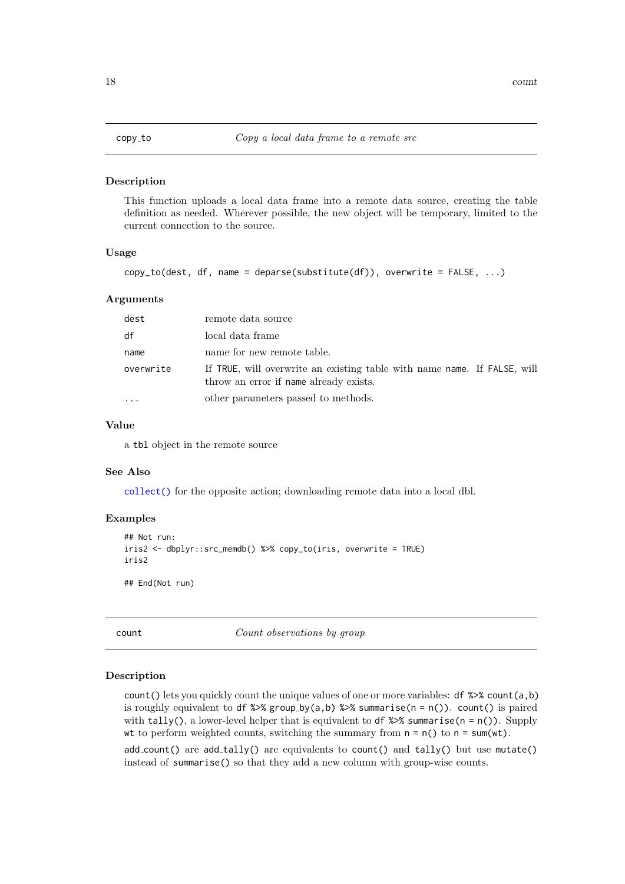<span id="page-17-1"></span><span id="page-17-0"></span>

#### Description

This function uploads a local data frame into a remote data source, creating the table definition as needed. Wherever possible, the new object will be temporary, limited to the current connection to the source.

#### Usage

```
copy_to(dest, df, name = deparse(substitute(df)), overwrite = FALSE, ...)
```
#### Arguments

| dest      | remote data source                                                                                                 |
|-----------|--------------------------------------------------------------------------------------------------------------------|
| df        | local data frame                                                                                                   |
| name      | name for new remote table.                                                                                         |
| overwrite | If TRUE, will overwrite an existing table with name name. If FALSE, will<br>throw an error if name already exists. |
|           | other parameters passed to methods.                                                                                |

# Value

a tbl object in the remote source

# See Also

[collect\(\)](#page-14-1) for the opposite action; downloading remote data into a local dbl.

### Examples

```
## Not run:
iris2 <- dbplyr::src_memdb() %>% copy_to(iris, overwrite = TRUE)
iris2
```
## End(Not run)

count count  $Count\;observations\;by\;group$ 

#### Description

count() lets you quickly count the unique values of one or more variables:  $df$  %>% count(a,b) is roughly equivalent to df  $\gg$  group by(a,b)  $\gg$  summarise(n = n()). count() is paired with tally(), a lower-level helper that is equivalent to df  $\gg$  summarise(n = n()). Supply wt to perform weighted counts, switching the summary from  $n = n()$  to  $n = sum(wt)$ .

 $add_count()$  are  $add\_tally()$  are equivalents to  $count()$  and  $tally()$  but use mutate() instead of summarise() so that they add a new column with group-wise counts.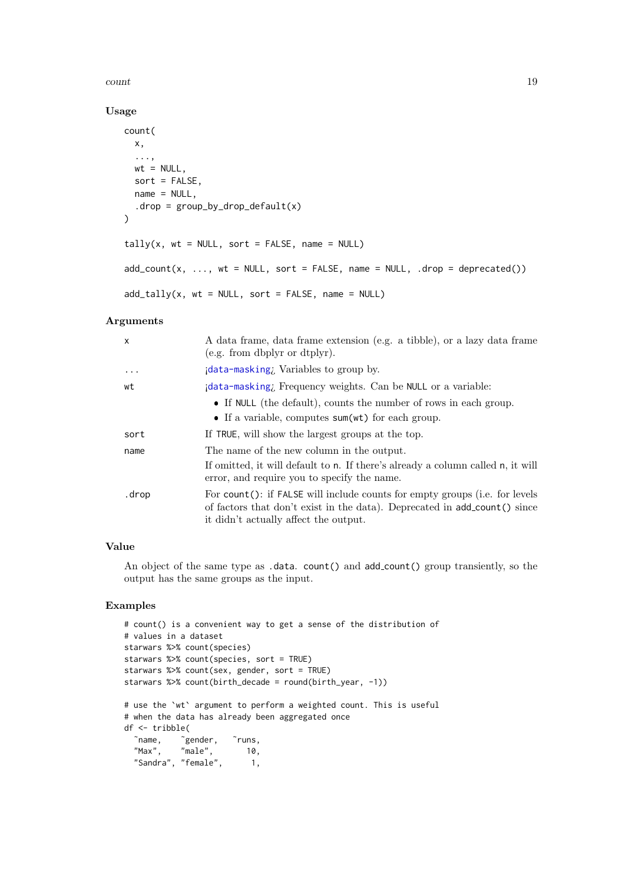#### count and the count of  $\sim$  19

# Usage

```
count(
  x,
  ...,
  wt = NULL,sort = FALSE,name = NULL,
  drop = group_by_drop_default(x)\lambdatally(x, wt = NULL, sort = FALSE, name = NULL)add\_count(x, ..., wt = NULL, sort = FALSE, name = NULL, .drop = deprecated())add\_tally(x, wt = NULL, sort = FALSE, name = NULL)
```
# Arguments

| $\mathsf{x}$ | A data frame, data frame extension (e.g. a tibble), or a lazy data frame<br>(e.g. from dbplyr or dtplyr).                                                                                         |
|--------------|---------------------------------------------------------------------------------------------------------------------------------------------------------------------------------------------------|
| $\ddotsc$    | idata-masking; Variables to group by.                                                                                                                                                             |
| wt           | idata-masking, Frequency weights. Can be NULL or a variable:                                                                                                                                      |
|              | • If NULL (the default), counts the number of rows in each group.<br>• If a variable, computes sum(wt) for each group.                                                                            |
| sort         | If TRUE, will show the largest groups at the top.                                                                                                                                                 |
| name         | The name of the new column in the output.<br>If omitted, it will default to n. If there's already a column called n, it will<br>error, and require you to specify the name.                       |
| .drop        | For count(): if FALSE will include counts for empty groups (i.e. for levels<br>of factors that don't exist in the data). Deprecated in add_count() since<br>it didn't actually affect the output. |

# Value

An object of the same type as .data. count() and add count() group transiently, so the output has the same groups as the input.

```
# count() is a convenient way to get a sense of the distribution of
# values in a dataset
starwars %>% count(species)
starwars %>% count(species, sort = TRUE)
starwars %>% count(sex, gender, sort = TRUE)
starwars %>% count(birth_decade = round(birth_year, -1))
# use the `wt` argument to perform a weighted count. This is useful
# when the data has already been aggregated once
df <- tribble(
  ˜name, ˜gender, ˜runs,
 "Max", "male", 10,
  "Sandra", "female", 1,
```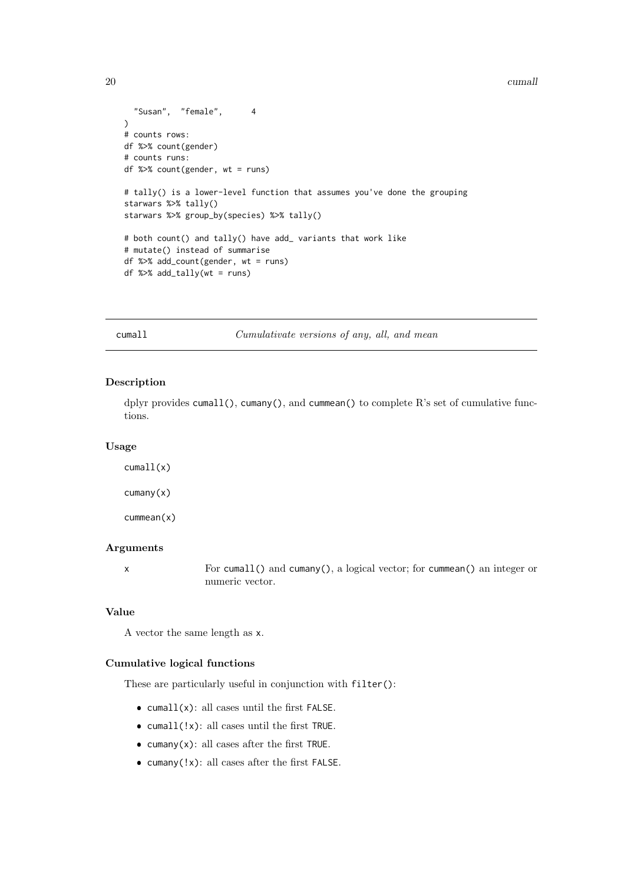```
20 cumall control of the control of the control of the control of the control of the control of the control of the control of the control of the control of the control of the control of the control of the control of the co
```

```
"Susan", "female", 4
\lambda# counts rows:
df %>% count(gender)
# counts runs:
df %>% count(gender, wt = runs)
# tally() is a lower-level function that assumes you've done the grouping
starwars %>% tally()
starwars %>% group_by(species) %>% tally()
# both count() and tally() have add_ variants that work like
# mutate() instead of summarise
df %>% add_count(gender, wt = runs)
df %>% add_tally(wt = runs)
```
cumall Cumulativate versions of any, all, and mean

#### Description

dplyr provides cumall(), cumany(), and cummean() to complete R's set of cumulative functions.

#### Usage

cumall(x) cumany(x) cummean(x)

# Arguments

x For cumall() and cumany(), a logical vector; for cummean() an integer or numeric vector.

### Value

A vector the same length as x.

# Cumulative logical functions

These are particularly useful in conjunction with filter():

- $\bullet$  cumall(x): all cases until the first FALSE.
- cumall(!x): all cases until the first TRUE.
- $\bullet$  cumany(x): all cases after the first TRUE.
- cumany(!x): all cases after the first FALSE.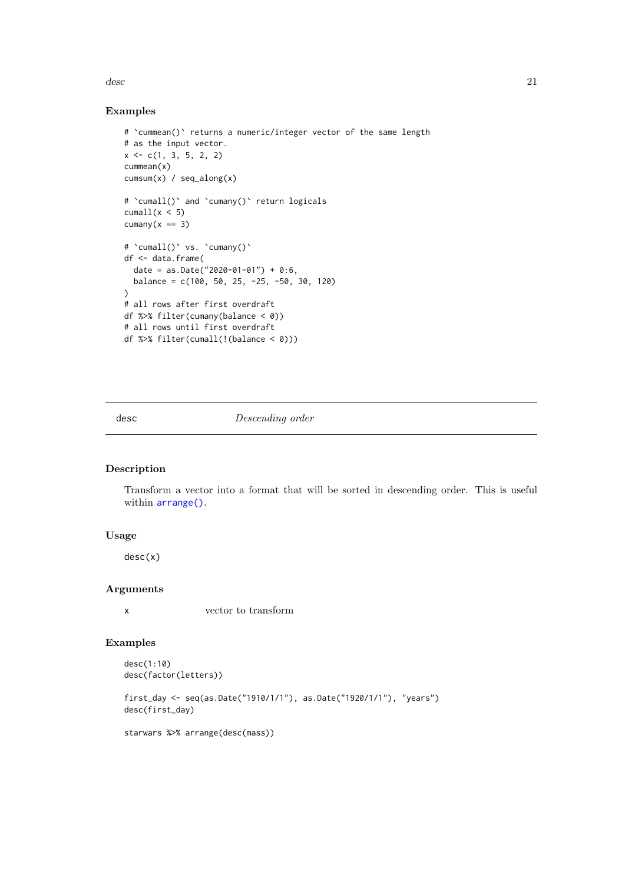<span id="page-20-0"></span> $\cos$  21

# Examples

```
# `cummean()` returns a numeric/integer vector of the same length
# as the input vector.
x \leftarrow c(1, 3, 5, 2, 2)cummean(x)
cumsum(x) / seq_along(x)
# 'cumall()' and 'cumany()' return logicals
cumall(x < 5)cumany(x == 3)# `cumall()` vs. `cumany()`
df <- data.frame(
  date = as.Date("2020-01-01") + 0:6,
  balance = c(100, 50, 25, -25, -50, 30, 120)
\lambda# all rows after first overdraft
df %>% filter(cumany(balance < 0))
# all rows until first overdraft
df %>% filter(cumall(!(balance < 0)))
```
<span id="page-20-1"></span>desc Descending order

# Description

Transform a vector into a format that will be sorted in descending order. This is useful within [arrange\(\)](#page-4-1).

# Usage

desc(x)

#### Arguments

x vector to transform

#### Examples

```
desc(1:10)
desc(factor(letters))
```
first\_day <- seq(as.Date("1910/1/1"), as.Date("1920/1/1"), "years") desc(first\_day)

starwars %>% arrange(desc(mass))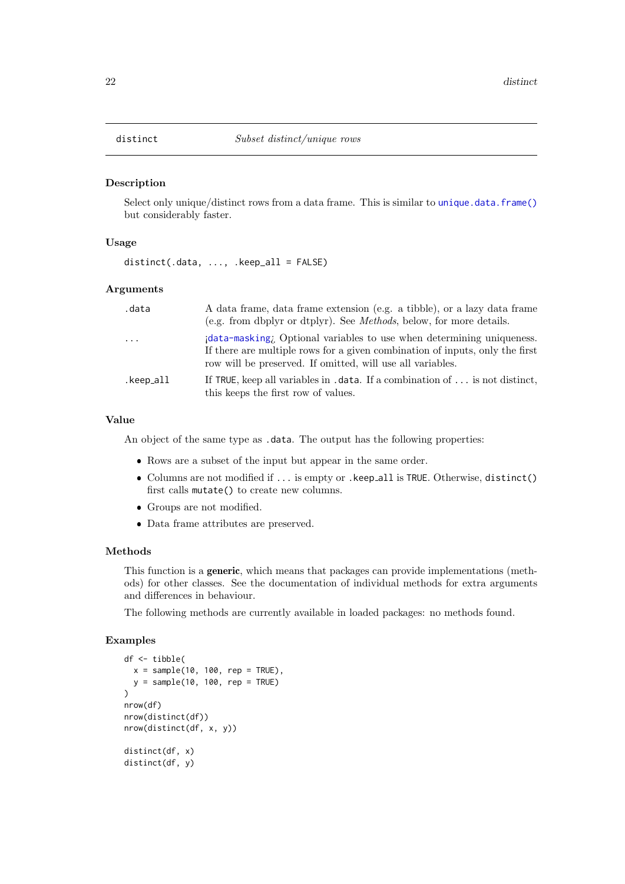# <span id="page-21-1"></span><span id="page-21-0"></span>Description

Select only unique/distinct rows from a data frame. This is similar to [unique.data.frame\(\)](#page-0-0) but considerably faster.

# Usage

 $distinct(.data, ..., .keep_a11 = FALSE)$ 

#### Arguments

| .data     | A data frame, data frame extension (e.g. a tibble), or a lazy data frame<br>(e.g. from dbplyr or dtplyr). See <i>Methods</i> , below, for more details.                                                            |
|-----------|--------------------------------------------------------------------------------------------------------------------------------------------------------------------------------------------------------------------|
| $\cdots$  | data-masking; Optional variables to use when determining uniqueness.<br>If there are multiple rows for a given combination of inputs, only the first<br>row will be preserved. If omitted, will use all variables. |
| .keep_all | If TRUE, keep all variables in $\dots$ data. If a combination of $\dots$ is not distinct,<br>this keeps the first row of values.                                                                                   |

# Value

An object of the same type as .data. The output has the following properties:

- Rows are a subset of the input but appear in the same order.
- Columns are not modified if ... is empty or .keep all is TRUE. Otherwise, distinct() first calls mutate() to create new columns.
- Groups are not modified.
- Data frame attributes are preserved.

#### Methods

This function is a generic, which means that packages can provide implementations (methods) for other classes. See the documentation of individual methods for extra arguments and differences in behaviour.

The following methods are currently available in loaded packages: no methods found.

```
df <- tibble(
  x = sample(10, 100, rep = TRUE),y = sample(10, 100, rep = TRUE)\lambdanrow(df)
nrow(distinct(df))
nrow(distinct(df, x, y))
distinct(df, x)
distinct(df, y)
```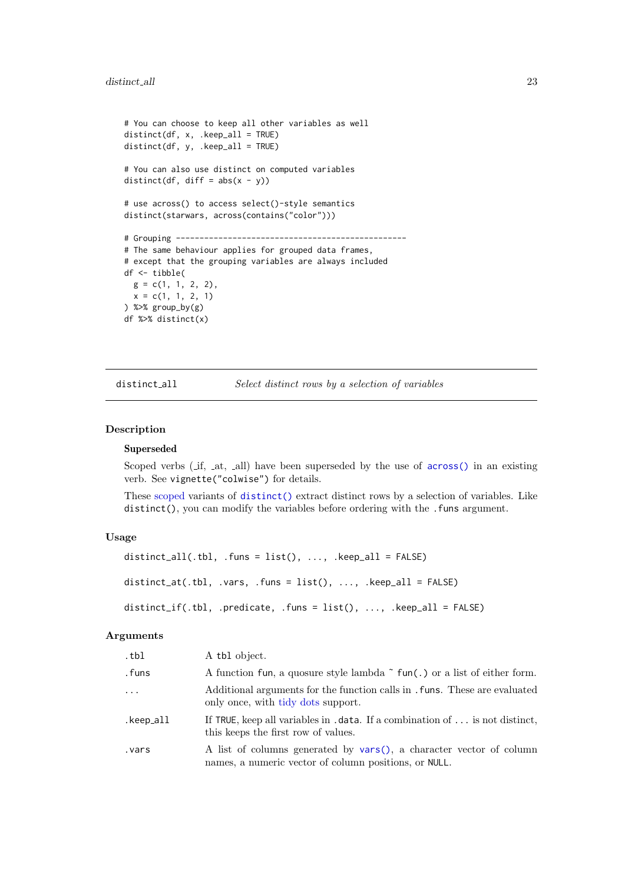```
# You can choose to keep all other variables as well
distinct(df, x, .keep\_all = TRUE)distinct(df, y, .keep_all = TRUE)
# You can also use distinct on computed variables
distinct(df, diff = abs(x - y))
# use across() to access select()-style semantics
distinct(starwars, across(contains("color")))
# Grouping -------------------------------------------------
# The same behaviour applies for grouped data frames,
# except that the grouping variables are always included
df <- tibble(
 g = c(1, 1, 2, 2),
 x = c(1, 1, 2, 1)) %>% group_by(g)
df %>% distinct(x)
```
distinct\_all Select distinct rows by a selection of variables

### Description

#### Superseded

Scoped verbs (if, at, all) have been superseded by the use of  $across()$  in an existing verb. See vignette("colwise") for details.

These [scoped](#page-65-1) variants of [distinct\(\)](#page-21-1) extract distinct rows by a selection of variables. Like distinct(), you can modify the variables before ordering with the . funs argument.

#### Usage

```
distinct_all(.tbl, .funs = list(), \dots, .keep_all = FALSE)
distinct_at(.tbl, .vars, .funs = list(), ..., .keep_all = FALSE)distinct_if(.tbl, .predicate, .funs = list(), ..., .keep_all = FALSE)
```
#### Arguments

| .tbl      | A tbl object.                                                                                                                    |
|-----------|----------------------------------------------------------------------------------------------------------------------------------|
| .funs     | A function fun, a quosure style lambda $\tilde{\ }$ fun(.) or a list of either form.                                             |
| $\ddots$  | Additional arguments for the function calls in . funs. These are evaluated<br>only once, with tidy dots support.                 |
| .keep_all | If TRUE, keep all variables in $\dots$ data. If a combination of $\dots$ is not distinct,<br>this keeps the first row of values. |
| vars.     | A list of columns generated by vars(), a character vector of column<br>names, a numeric vector of column positions, or NULL.     |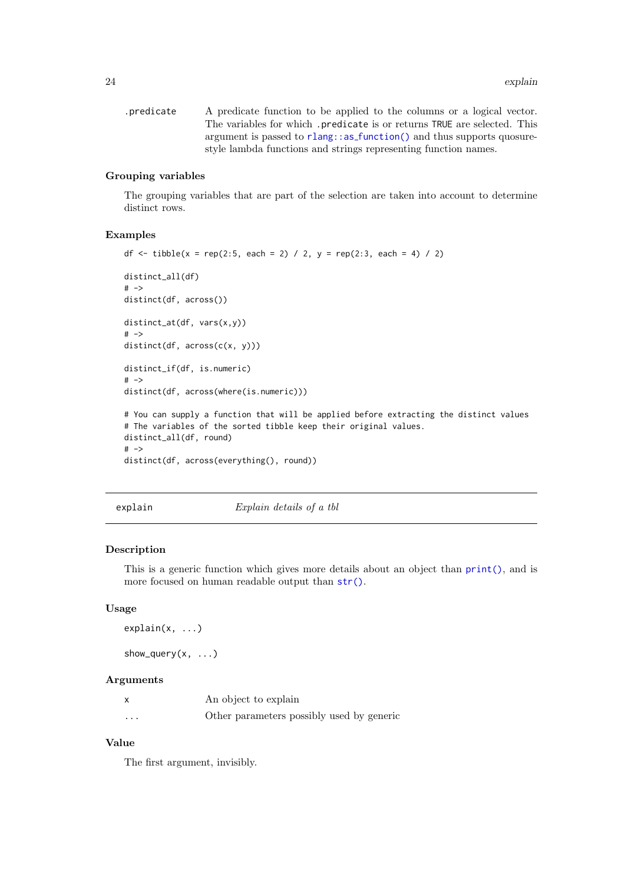<span id="page-23-0"></span>.predicate A predicate function to be applied to the columns or a logical vector. The variables for which .predicate is or returns TRUE are selected. This argument is passed to rlang::as [function\(\)](#page-0-0) and thus supports quosurestyle lambda functions and strings representing function names.

# Grouping variables

The grouping variables that are part of the selection are taken into account to determine distinct rows.

#### Examples

```
df <- tibble(x = rep(2:5, each = 2) / 2, y = rep(2:3, each = 4) / 2)
distinct_all(df)
# ->
distinct(df, across())
distinct_at(df, vars(x,y))
# ->distinct(df, across(c(x, y)))
distinct_if(df, is.numeric)
# ->
distinct(df, across(where(is.numeric)))
# You can supply a function that will be applied before extracting the distinct values
# The variables of the sorted tibble keep their original values.
distinct_all(df, round)
# ->
distinct(df, across(everything(), round))
```
explain Explain details of a tbl

# Description

This is a generic function which gives more details about an object than [print\(\)](#page-0-0), and is more focused on human readable output than [str\(\)](#page-0-0).

#### Usage

```
explain(x, ...)
```
show\_query $(x, \ldots)$ 

# Arguments

|          | An object to explain                      |
|----------|-------------------------------------------|
| $\cdots$ | Other parameters possibly used by generic |

# Value

The first argument, invisibly.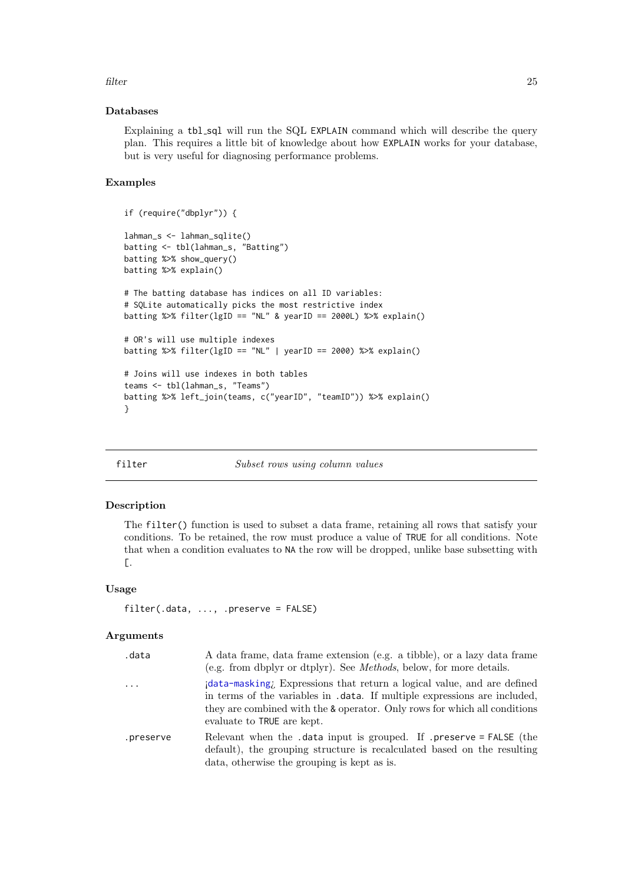#### <span id="page-24-0"></span>filter 25

#### Databases

Explaining a tbl\_sql will run the SQL EXPLAIN command which will describe the query plan. This requires a little bit of knowledge about how EXPLAIN works for your database, but is very useful for diagnosing performance problems.

# Examples

```
if (require("dbplyr")) {
lahman_s <- lahman_sqlite()
batting <- tbl(lahman_s, "Batting")
batting %>% show_query()
batting %>% explain()
# The batting database has indices on all ID variables:
# SQLite automatically picks the most restrictive index
batting %>% filter(lgID == "NL" & yearID == 2000L) %>% explain()
# OR's will use multiple indexes
batting %>% filter(lgID == "NL" | yearID == 2000) %>% explain()
# Joins will use indexes in both tables
teams <- tbl(lahman_s, "Teams")
batting %>% left_join(teams, c("yearID", "teamID")) %>% explain()
}
```
filter Subset rows using column values

#### Description

The filter() function is used to subset a data frame, retaining all rows that satisfy your conditions. To be retained, the row must produce a value of TRUE for all conditions. Note that when a condition evaluates to NA the row will be dropped, unlike base subsetting with [.

#### Usage

```
filter(.data, ..., .preserve = FALSE)
```
#### Arguments

| .data     | A data frame, data frame extension (e.g. a tibble), or a lazy data frame<br>(e.g. from dbplyr or dtplyr). See <i>Methods</i> , below, for more details.                                                                                                        |
|-----------|----------------------------------------------------------------------------------------------------------------------------------------------------------------------------------------------------------------------------------------------------------------|
| $\cdots$  | data-masking; Expressions that return a logical value, and are defined<br>in terms of the variables in .data. If multiple expressions are included,<br>they are combined with the & operator. Only rows for which all conditions<br>evaluate to TRUE are kept. |
| .preserve | Relevant when the .data input is grouped. If .preserve = FALSE (the<br>default), the grouping structure is recalculated based on the resulting<br>data, otherwise the grouping is kept as is.                                                                  |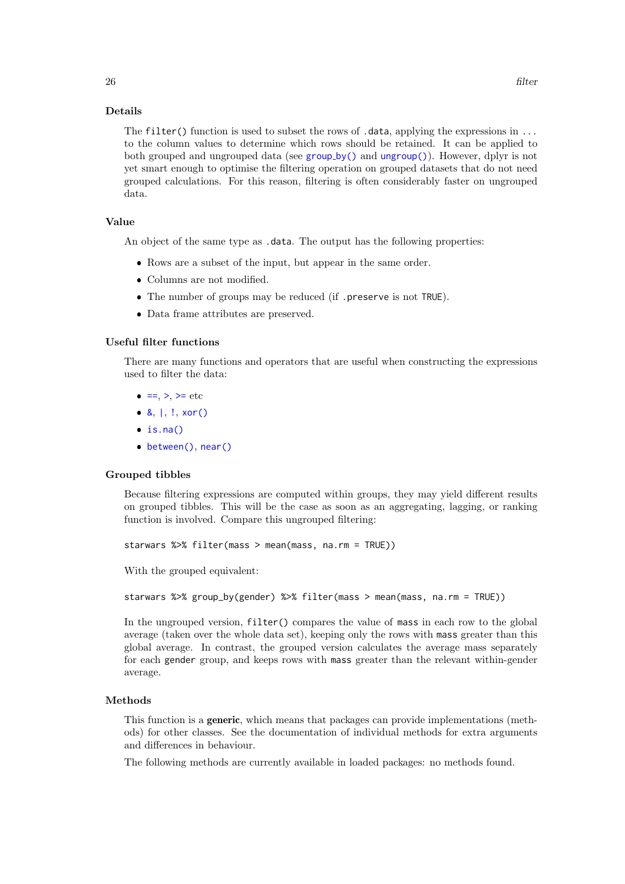#### Details

The filter() function is used to subset the rows of .data, applying the expressions in ... to the column values to determine which rows should be retained. It can be applied to both [group](#page-29-1)ed and ungrouped data (see  $group_by()$  and  $ungroup()$ ). However, dplyr is not yet smart enough to optimise the filtering operation on grouped datasets that do not need grouped calculations. For this reason, filtering is often considerably faster on ungrouped data.

# Value

An object of the same type as .data. The output has the following properties:

- Rows are a subset of the input, but appear in the same order.
- Columns are not modified.
- The number of groups may be reduced (if .preserve is not TRUE).
- Data frame attributes are preserved.

# Useful filter functions

There are many functions and operators that are useful when constructing the expressions used to filter the data:

- $=$ , [>](#page-0-0), [>=](#page-0-0) etc
- $\bullet$  [&](#page-0-0),  $|,$  $|,$   $!,$  $!,$  [xor\(\)](#page-0-0)
- $\cdot$  [is.na\(\)](#page-0-0)
- [between\(\)](#page-8-1), [near\(\)](#page-51-1)

#### Grouped tibbles

Because filtering expressions are computed within groups, they may yield different results on grouped tibbles. This will be the case as soon as an aggregating, lagging, or ranking function is involved. Compare this ungrouped filtering:

starwars %>% filter(mass > mean(mass, na.rm = TRUE))

With the grouped equivalent:

```
starwars %>% group_by(gender) %>% filter(mass > mean(mass, na.rm = TRUE))
```
In the ungrouped version, filter() compares the value of mass in each row to the global average (taken over the whole data set), keeping only the rows with mass greater than this global average. In contrast, the grouped version calculates the average mass separately for each gender group, and keeps rows with mass greater than the relevant within-gender average.

#### Methods

This function is a generic, which means that packages can provide implementations (methods) for other classes. See the documentation of individual methods for extra arguments and differences in behaviour.

The following methods are currently available in loaded packages: no methods found.

26 filter that the contract of the contract of the contract of the contract of the contract of the contract of the contract of the contract of the contract of the contract of the contract of the contract of the contract of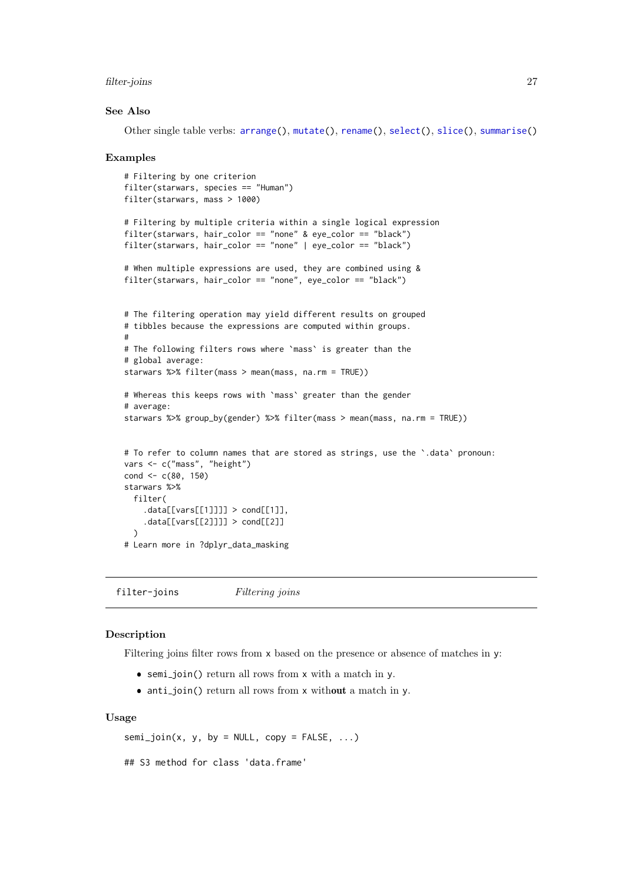#### <span id="page-26-0"></span>filter-joins 27

#### See Also

Other single table verbs: [arrange\(](#page-4-1)), [mutate\(](#page-40-1)), [rename\(](#page-61-1)), [select\(](#page-66-1)), [slice\(](#page-71-1)), [summarise\(](#page-76-1))

#### Examples

```
# Filtering by one criterion
filter(starwars, species == "Human")
filter(starwars, mass > 1000)
# Filtering by multiple criteria within a single logical expression
filter(starwars, hair_color == "none" & eye_color == "black")
filter(starwars, hair_color == "none" | eye_color == "black")
# When multiple expressions are used, they are combined using &
filter(starwars, hair_color == "none", eye_color == "black")
# The filtering operation may yield different results on grouped
# tibbles because the expressions are computed within groups.
#
# The following filters rows where `mass` is greater than the
# global average:
starwars %>% filter(mass > mean(mass, na.rm = TRUE))
# Whereas this keeps rows with `mass` greater than the gender
# average:
starwars %>% group_by(gender) %>% filter(mass > mean(mass, na.rm = TRUE))
# To refer to column names that are stored as strings, use the `.data` pronoun:
vars <- c("mass", "height")
cond <-c(80, 150)starwars %>%
  filter(
    data[[vars[[1]]]] > cond[[1]],.data[[vars[[2]]]] > cond[[2]]
  \lambda# Learn more in ?dplyr_data_masking
```
filter-joins Filtering joins

#### Description

Filtering joins filter rows from x based on the presence or absence of matches in y:

- semi join() return all rows from x with a match in y.
- anti-join() return all rows from x without a match in y.

# Usage

```
semi_join(x, y, by = NULL, copy = FALSE, ...)
```

```
## S3 method for class 'data.frame'
```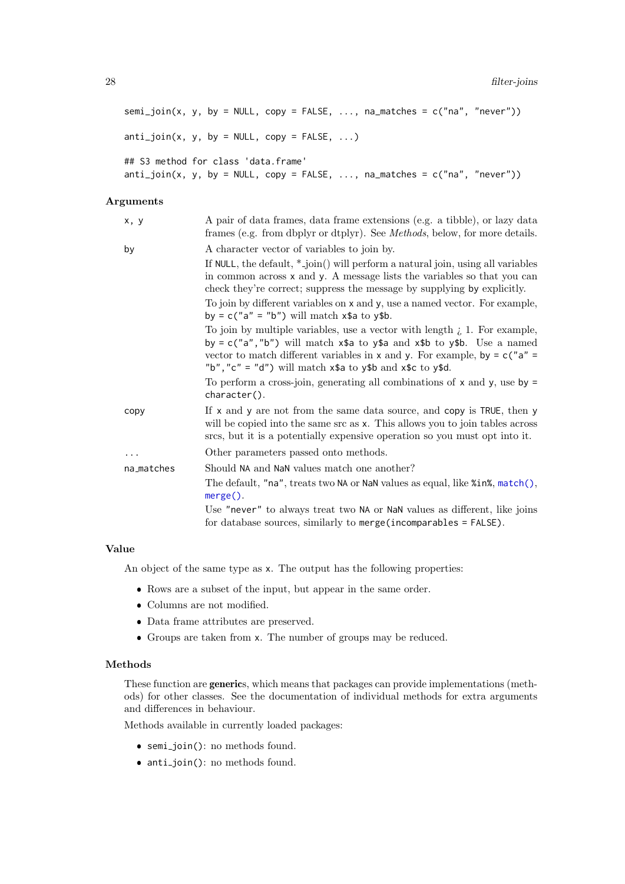```
semi_join(x, y, by = NULL, copy = FALSE, ..., na_matrix = c("na", "never"))anti\_join(x, y, by = NULL, copy = FALSE, ...)## S3 method for class 'data.frame'
anti\_join(x, y, by = NULL, copy = FALSE, ..., na\_matches = c("na", "never"))
```
# Arguments

| x, y       | A pair of data frames, data frame extensions (e.g. a tibble), or lazy data<br>frames (e.g. from dbplyr or dtplyr). See <i>Methods</i> , below, for more details.                                                                                                                                                                        |
|------------|-----------------------------------------------------------------------------------------------------------------------------------------------------------------------------------------------------------------------------------------------------------------------------------------------------------------------------------------|
| by         | A character vector of variables to join by.                                                                                                                                                                                                                                                                                             |
|            | If NULL, the default, $*$ -join() will perform a natural join, using all variables<br>in common across x and y. A message lists the variables so that you can<br>check they're correct; suppress the message by supplying by explicitly.                                                                                                |
|            | To join by different variables on x and y, use a named vector. For example,<br>by = $c("a" = "b")$ will match $x$ \$a to $y$ \$b.                                                                                                                                                                                                       |
|            | To join by multiple variables, use a vector with length $\lambda$ 1. For example,<br>by = $c("a", "b")$ will match $x$ \$a to $y$ \$a and $x$ \$b to $y$ \$b. Use a named<br>vector to match different variables in x and y. For example, by $= c''a'' = c''b$<br>"b", "c" = "d") will match $x$ \$a to $y$ \$b and $x$ \$c to $y$ \$d. |
|            | To perform a cross-join, generating all combinations of $x$ and $y$ , use by $=$<br>$character()$ .                                                                                                                                                                                                                                     |
| copy       | If x and y are not from the same data source, and copy is TRUE, then y<br>will be copied into the same src as x. This allows you to join tables across<br>size, but it is a potentially expensive operation so you must opt into it.                                                                                                    |
|            | Other parameters passed onto methods.                                                                                                                                                                                                                                                                                                   |
| na_matches | Should NA and NaN values match one another?<br>The default, "na", treats two NA or NaN values as equal, like %in%, match(),<br>$merge()$ .                                                                                                                                                                                              |
|            | Use "never" to always treat two NA or NaN values as different, like joins<br>for database sources, similarly to merge (incomparables $=$ FALSE).                                                                                                                                                                                        |
|            |                                                                                                                                                                                                                                                                                                                                         |

# Value

An object of the same type as x. The output has the following properties:

- Rows are a subset of the input, but appear in the same order.
- Columns are not modified.
- Data frame attributes are preserved.
- Groups are taken from x. The number of groups may be reduced.

# Methods

These function are generics, which means that packages can provide implementations (methods) for other classes. See the documentation of individual methods for extra arguments and differences in behaviour.

Methods available in currently loaded packages:

- semi join(): no methods found.
- anti\_join(): no methods found.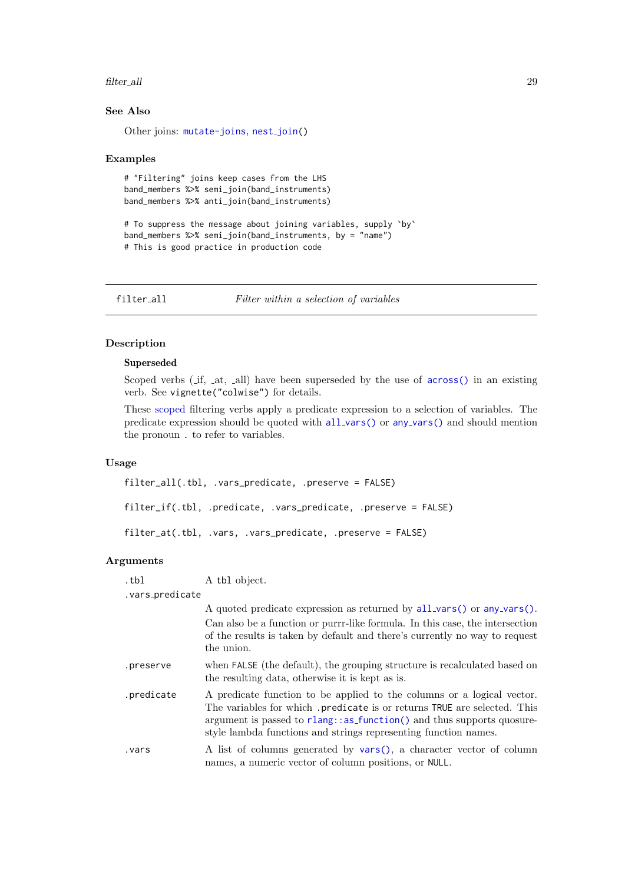#### <span id="page-28-0"></span>filter\_all 29

# See Also

Other joins: [mutate-joins](#page-44-1), nest\_[join\(](#page-52-1))

#### Examples

```
# "Filtering" joins keep cases from the LHS
band_members %>% semi_join(band_instruments)
band_members %>% anti_join(band_instruments)
```

```
# To suppress the message about joining variables, supply `by`
band_members %>% semi_join(band_instruments, by = "name")
# This is good practice in production code
```
<span id="page-28-2"></span>filter\_all Filter within a selection of variables

# <span id="page-28-1"></span>Description

# Superseded

Scoped verbs (if, at, all) have been superseded by the use of [across\(\)](#page-2-1) in an existing verb. See vignette("colwise") for details.

These [scoped](#page-65-1) filtering verbs apply a predicate expression to a selection of variables. The predicate expression should be quoted with all\_[vars\(\)](#page-4-3) or any\_vars() and should mention the pronoun . to refer to variables.

#### Usage

```
filter_all(.tbl, .vars_predicate, .preserve = FALSE)
filter_if(.tbl, .predicate, .vars_predicate, .preserve = FALSE)
filter_at(.tbl, .vars, .vars_predicate, .preserve = FALSE)
```
# Arguments

| .tbl            | A tbl object.                                                                                                                                                                                                                                                                                     |
|-----------------|---------------------------------------------------------------------------------------------------------------------------------------------------------------------------------------------------------------------------------------------------------------------------------------------------|
| .vars_predicate |                                                                                                                                                                                                                                                                                                   |
|                 | A quoted predicate expression as returned by $all\_vars()$ or any vars().                                                                                                                                                                                                                         |
|                 | Can also be a function or purrr-like formula. In this case, the intersection<br>of the results is taken by default and there's currently no way to request<br>the union.                                                                                                                          |
| .preserve       | when FALSE (the default), the grouping structure is recalculated based on<br>the resulting data, otherwise it is kept as is.                                                                                                                                                                      |
| .predicate      | A predicate function to be applied to the columns or a logical vector.<br>The variables for which .predicate is or returns TRUE are selected. This<br>argument is passed to rlang: : as function () and thus supports quosure-<br>style lambda functions and strings representing function names. |
| vars.           | A list of columns generated by vars(), a character vector of column<br>names, a numeric vector of column positions, or NULL.                                                                                                                                                                      |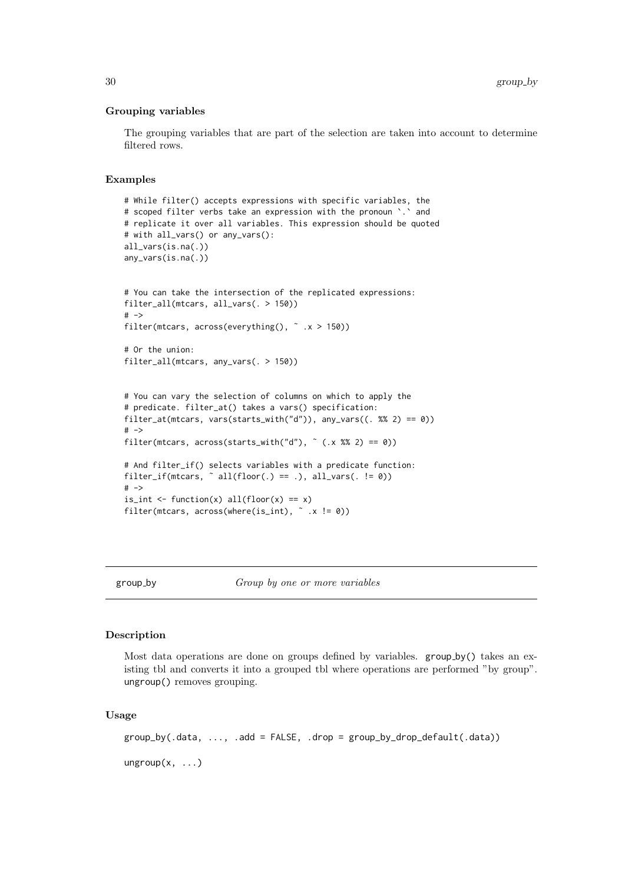#### Grouping variables

The grouping variables that are part of the selection are taken into account to determine filtered rows.

#### Examples

```
# While filter() accepts expressions with specific variables, the
# scoped filter verbs take an expression with the pronoun `.` and
# replicate it over all variables. This expression should be quoted
# with all_vars() or any_vars():
all_vars(is.na(.))
any_vars(is.na(.))
# You can take the intersection of the replicated expressions:
filter_all(mtcars, all_vars(. > 150))
# ->
filter(mtcars, across(everything(), x > 150))
# Or the union:
filter_all(mtcars, any_vars(. > 150))
# You can vary the selection of columns on which to apply the
# predicate. filter_at() takes a vars() specification:
filter_at(mtcars, vars(starts_with("d")), any_vars((. %% 2) == 0))
# ->
filter(mtcars, across(starts_with("d"), ~ (.x % 2) == 0))
# And filter_if() selects variables with a predicate function:
filter_if(mtcars, \tilde{ } all(floor(.) == .), all_vars(. != 0))
# ->is_int <- function(x) all(floor(x) == x)
filter(mtcars, across(where(is_int), \tilde{ } .x != 0))
```
<span id="page-29-1"></span>

group by Group by one or more variables

#### <span id="page-29-2"></span>Description

Most data operations are done on groups defined by variables.  $group_by()$  takes an existing tbl and converts it into a grouped tbl where operations are performed "by group". ungroup() removes grouping.

#### Usage

```
group_by(.data, ..., .add = FALSE, .drop = group_by_drop_default(.data))
ungroup(x, ...)
```
<span id="page-29-0"></span>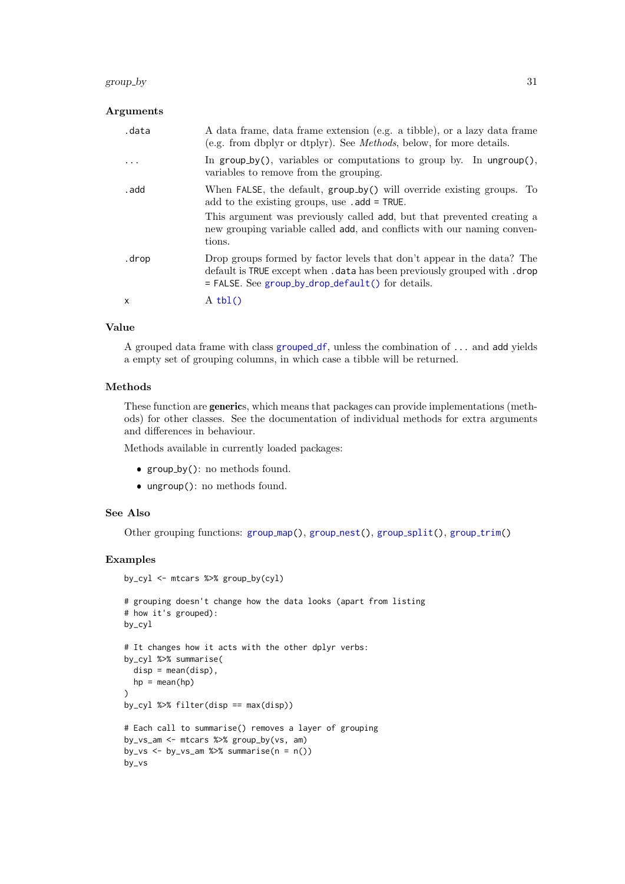#### group\_by 31

# Arguments

| .data        | A data frame, data frame extension (e.g. a tibble), or a lazy data frame<br>(e.g. from dbplyr or dtplyr). See <i>Methods</i> , below, for more details.                                                     |
|--------------|-------------------------------------------------------------------------------------------------------------------------------------------------------------------------------------------------------------|
|              | In group by(), variables or computations to group by. In ungroup(),<br>variables to remove from the grouping.                                                                                               |
| . add        | When FALSE, the default, group_by() will override existing groups. To<br>add to the existing groups, use .add = TRUE.                                                                                       |
|              | This argument was previously called add, but that prevented creating a<br>new grouping variable called add, and conflicts with our naming conven-<br>tions.                                                 |
| .drop        | Drop groups formed by factor levels that don't appear in the data? The<br>default is TRUE except when . data has been previously grouped with . drop<br>$=$ FALSE. See group by drop default() for details. |
| $\mathsf{x}$ | $A$ tbl()                                                                                                                                                                                                   |

# Value

A grouped data frame with class [grouped](#page-0-0) df, unless the combination of ... and add yields a empty set of grouping columns, in which case a tibble will be returned.

# Methods

These function are generics, which means that packages can provide implementations (methods) for other classes. See the documentation of individual methods for extra arguments and differences in behaviour.

Methods available in currently loaded packages:

- group by(): no methods found.
- ungroup(): no methods found.

# See Also

Other [group](#page-37-1)ing functions: group\_map(), group\_nest(), group\_[split\(](#page-36-1)), group\_trim()

```
by_cyl <- mtcars %>% group_by(cyl)
```

```
# grouping doesn't change how the data looks (apart from listing
# how it's grouped):
by_cyl
```

```
# It changes how it acts with the other dplyr verbs:
by_cyl %>% summarise(
 disp = mean(disp),
 hp = mean(hp)\lambda
```

```
by_cyl %>% filter(disp == max(disp))
```

```
# Each call to summarise() removes a layer of grouping
by_vs_am <- mtcars %>% group_by(vs, am)
by_vs \leq - by_vs_am %>% summarise(n = n())
by_vs
```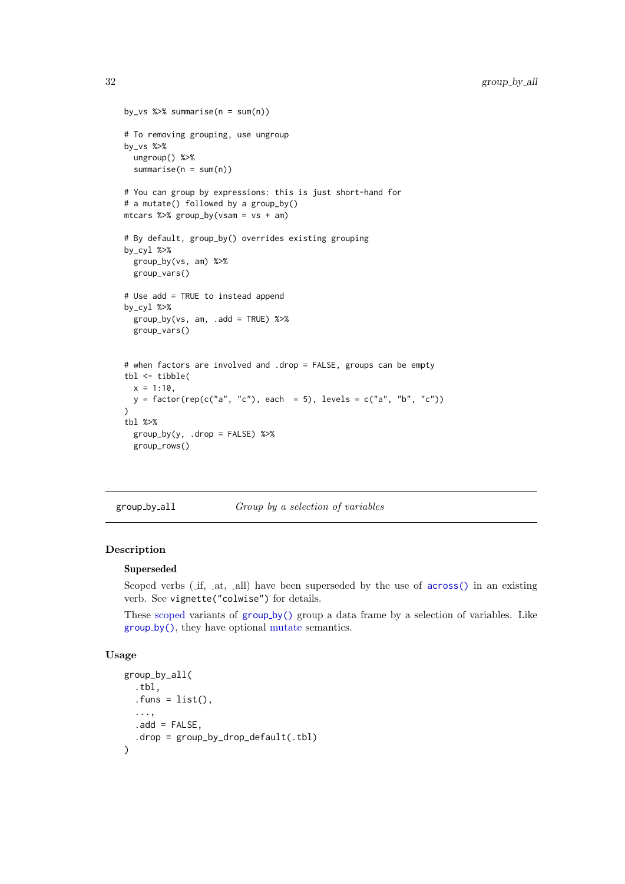```
by_vs %>% summarise(n = sum(n))
# To removing grouping, use ungroup
by_vs %>%
 ungroup() %>%
 summarise(n = sum(n))# You can group by expressions: this is just short-hand for
# a mutate() followed by a group_by()
mtcars %>% group by(vsam = vs + am)
# By default, group_by() overrides existing grouping
by_cyl %>%
  group_by(vs, am) %>%
  group_vars()
# Use add = TRUE to instead append
by_cyl %>%
  group_by(vs, am, .add = TRUE) %group_vars()
# when factors are involved and .drop = FALSE, groups can be empty
tbl <- tibble(
  x = 1:10,
 y = factor(rep(c("a", "c"), each = 5), levels = c("a", "b", "c"))\lambdatbl %>%
  group_by(y, .drop = FALSE) %>%
  group_rows()
```
group\_by\_all Group by a selection of variables

# Description

# Superseded

Scoped verbs (if, at, all) have been superseded by the use of [across\(\)](#page-2-1) in an existing verb. See vignette("colwise") for details.

These [scoped](#page-65-1) variants of [group](#page-29-1) by() group a data frame by a selection of variables. Like [group](#page-29-1) by(), they have optional [mutate](#page-40-1) semantics.

# Usage

```
group_by_all(
  .tbl,
  . funs = list(),
  ...,
  .add = FALSE,drop = group_by_drop_default(.tb1))
```
<span id="page-31-0"></span>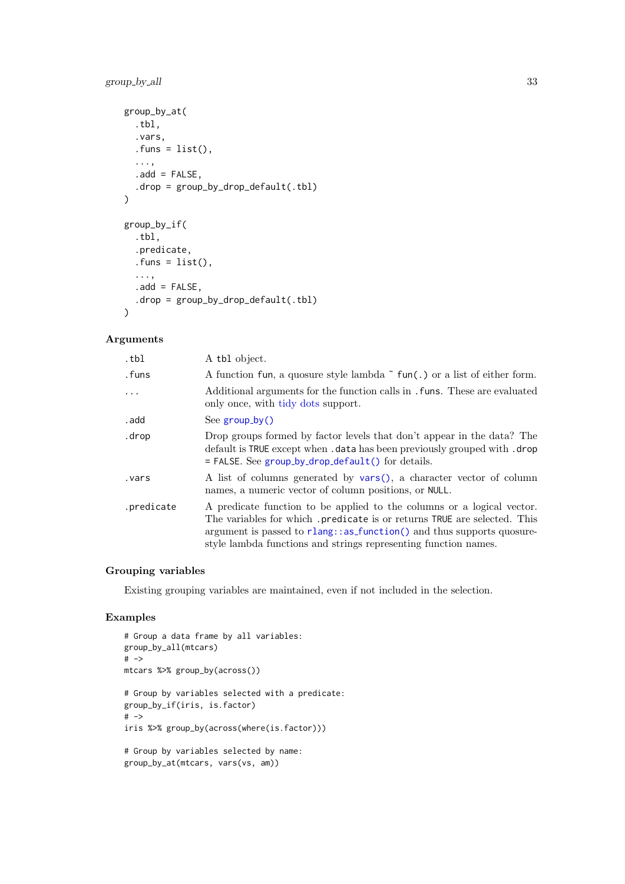# group\_by\_all 33

```
group_by_at(
  .tbl,
  .vars,
  .funs = list(),
  ...,
  .add = FALSE,drop = group_by_drop_default(.th1))\lambdagroup_by_if(
  .tbl,
  .predicate,
  . funs = list(),
  ...,
  .add = FALSE,.drop = group_by_drop_default(.tbl)
)
```
# Arguments

| .tbl       | A tbl object.                                                                                                                                                                                                                                                                                    |
|------------|--------------------------------------------------------------------------------------------------------------------------------------------------------------------------------------------------------------------------------------------------------------------------------------------------|
| .funs      | A function fun, a quosure style lambda $\tilde{\ }$ fun(.) or a list of either form.                                                                                                                                                                                                             |
| $\ddotsc$  | Additional arguments for the function calls in . funs. These are evaluated<br>only once, with tidy dots support.                                                                                                                                                                                 |
| . add      | See $group_by()$                                                                                                                                                                                                                                                                                 |
| .drop      | Drop groups formed by factor levels that don't appear in the data? The<br>default is TRUE except when . data has been previously grouped with . drop<br>$=$ FALSE. See group_by_drop_default() for details.                                                                                      |
| .vars      | A list of columns generated by vars(), a character vector of column<br>names, a numeric vector of column positions, or NULL.                                                                                                                                                                     |
| .predicate | A predicate function to be applied to the columns or a logical vector.<br>The variables for which .predicate is or returns TRUE are selected. This<br>argument is passed to $rlang::as_function()$ and thus supports quosure-<br>style lambda functions and strings representing function names. |

# Grouping variables

Existing grouping variables are maintained, even if not included in the selection.

```
# Group a data frame by all variables:
group_by_all(mtcars)
# ->
mtcars %>% group_by(across())
# Group by variables selected with a predicate:
group_by_if(iris, is.factor)
# ->
iris %>% group_by(across(where(is.factor)))
# Group by variables selected by name:
group_by_at(mtcars, vars(vs, am))
```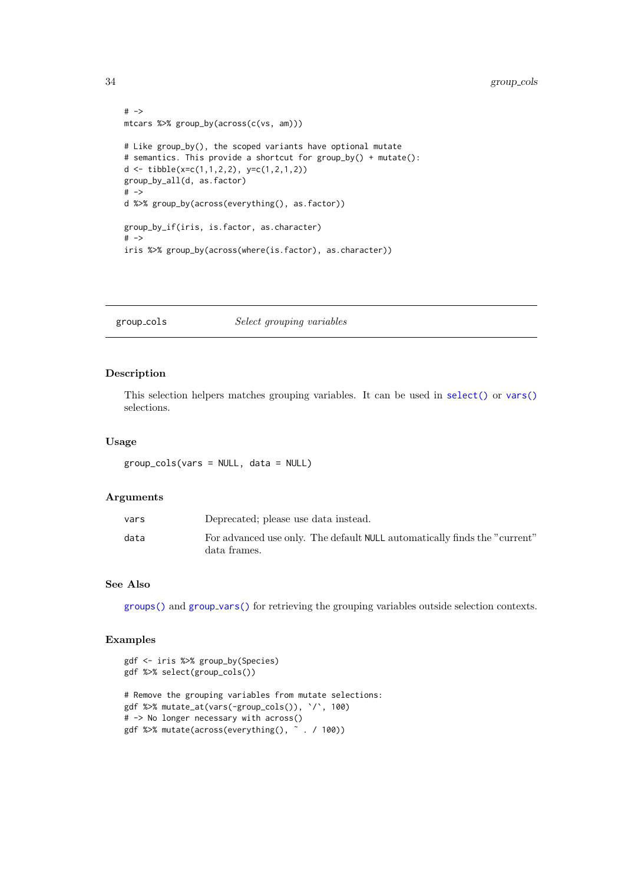```
# ->mtcars %>% group_by(across(c(vs, am)))
# Like group_by(), the scoped variants have optional mutate
# semantics. This provide a shortcut for group_by() + mutate():
d <- tibble(x=c(1,1,2,2), y=c(1,2,1,2))
group_by_all(d, as.factor)
# ->d %>% group_by(across(everything(), as.factor))
group_by_if(iris, is.factor, as.character)
# ->
iris %>% group_by(across(where(is.factor), as.character))
```
group\_cols Select grouping variables

# Description

This selection helpers matches grouping variables. It can be used in [select\(\)](#page-66-1) or [vars\(\)](#page-81-1) selections.

#### Usage

group\_cols(vars = NULL, data = NULL)

#### Arguments

| vars | Deprecated; please use data instead.                                                      |
|------|-------------------------------------------------------------------------------------------|
| data | For advanced use only. The default NULL automatically finds the "current"<br>data frames. |

# See Also

[groups\(\)](#page-0-0) and group [vars\(\)](#page-0-0) for retrieving the grouping variables outside selection contexts.

```
gdf <- iris %>% group_by(Species)
gdf %>% select(group_cols())
# Remove the grouping variables from mutate selections:
gdf %>% mutate_at(vars(-group_cols()), `/`, 100)
# -> No longer necessary with across()
gdf %>% mutate(across(everything(), ˜ . / 100))
```
<span id="page-33-0"></span>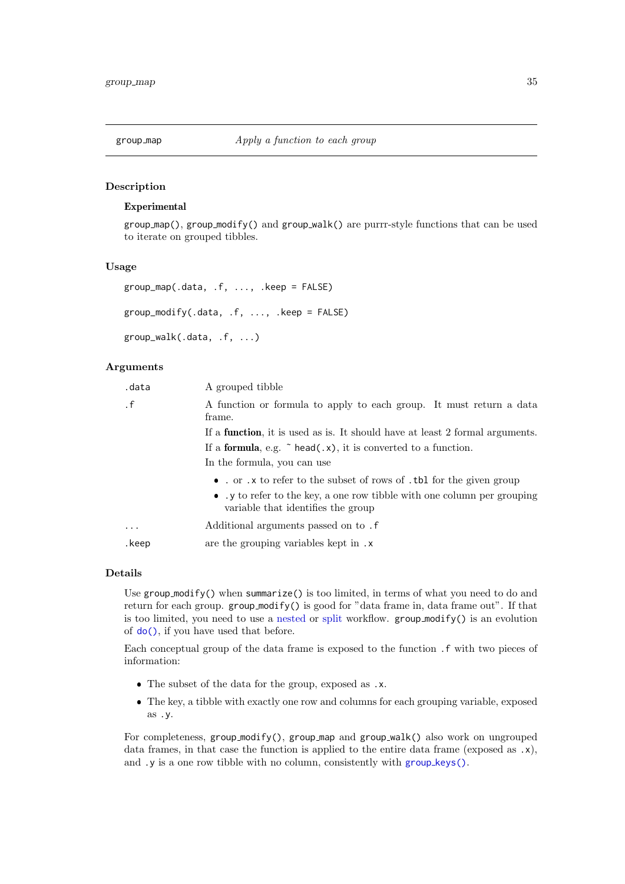<span id="page-34-1"></span><span id="page-34-0"></span>

# Description

# Experimental

 $group_map()$ ,  $group_modify()$  and  $group_walk()$  are  $purr-style$  functions that can be used to iterate on grouped tibbles.

#### Usage

```
group_map(.data, .f, ..., .keep = FALSE)
group_modify(.data, .f, ..., .keep = FALSE)
group_walk(.data, .f, ...)
```
# Arguments

| .data     | A grouped tibble                                                                                             |
|-----------|--------------------------------------------------------------------------------------------------------------|
| $\cdot$ f | A function or formula to apply to each group. It must return a data<br>frame.                                |
|           | If a <b>function</b> , it is used as is. It should have at least 2 formal arguments.                         |
|           | If a <b>formula</b> , e.g. $\tilde{\ }$ head(.x), it is converted to a function.                             |
|           | In the formula, you can use                                                                                  |
|           | • . or .x to refer to the subset of rows of .tbl for the given group                                         |
|           | • y to refer to the key, a one row tibble with one column per grouping<br>variable that identifies the group |
| $\ddotsc$ | Additional arguments passed on to.                                                                           |
| .keep     | are the grouping variables kept in .x                                                                        |

# Details

Use  $group-modify()$  when summarize() is too limited, in terms of what you need to do and return for each group. group modify() is good for "data frame in, data frame out". If that is too limited, you need to use a [nested](#page-0-0) or [split](#page-36-1) workflow.  $group\_modify()$  is an evolution of [do\(\)](#page-0-0), if you have used that before.

Each conceptual group of the data frame is exposed to the function .f with two pieces of information:

- The subset of the data for the group, exposed as .x.
- The key, a tibble with exactly one row and columns for each grouping variable, exposed as .y.

For completeness, group\_modify(), group\_map and group\_walk() also work on ungrouped data frames, in that case the function is applied to the entire data frame (exposed as .x), and .y is a one row tibble with no column, consistently with group\_[keys\(\)](#page-0-0).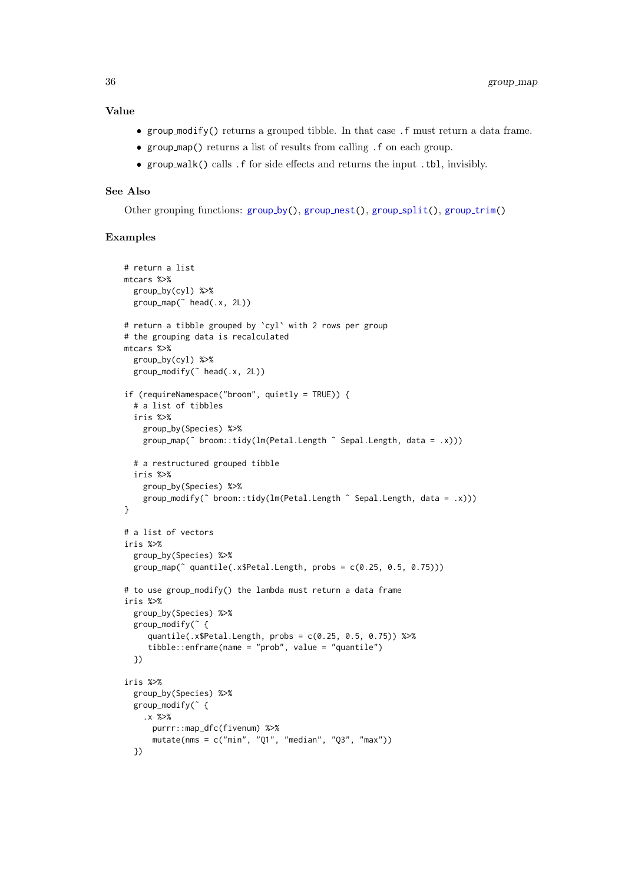# Value

- group modify() returns a grouped tibble. In that case .f must return a data frame.
- group map() returns a list of results from calling .f on each group.
- group walk() calls .f for side effects and returns the input .tbl, invisibly.

# See Also

Other [group](#page-37-1)ing functions: group\_by(), group\_nest(), group\_[split\(](#page-36-1)), group\_trim()

```
# return a list
mtcars %>%
 group_by(cyl) %>%
 group_map(˜ head(.x, 2L))
# return a tibble grouped by `cyl` with 2 rows per group
# the grouping data is recalculated
mtcars %>%
  group_by(cyl) %>%
  group_modify(˜ head(.x, 2L))
if (requireNamespace("broom", quietly = TRUE)) {
  # a list of tibbles
  iris %>%
    group_by(Species) %>%
    group_map(˜ broom::tidy(lm(Petal.Length ˜ Sepal.Length, data = .x)))
  # a restructured grouped tibble
  iris %>%
    group_by(Species) %>%
    group_modify(\tilde{ } broom::tidy(lm(Petal.Length \tilde{ } Sepal.Length, data = .x)))
}
# a list of vectors
iris %>%
 group_by(Species) %>%
  group_map(˜ quantile(.x$Petal.Length, probs = c(0.25, 0.5, 0.75)))
# to use group_modify() the lambda must return a data frame
iris %>%
  group_by(Species) %>%
  group_modify(˜ {
     quantile(.x$Petal.Length, probs = c(0.25, 0.5, 0.75)) %>%
     tibble::enframe(name = "prob", value = "quantile")
  })
iris %>%
  group_by(Species) %>%
  group_modify(˜ {
    .x %>%
      purrr::map_dfc(fivenum) %>%
      mutate(nms = c("min", "Q1", "median", "Q3", "max"))
  })
```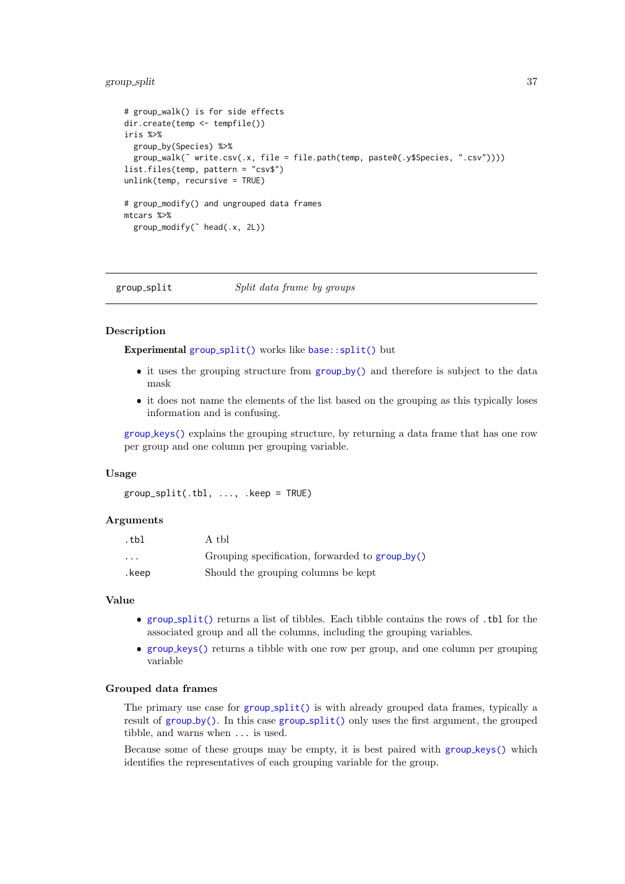# group\_split 37

```
# group_walk() is for side effects
dir.create(temp <- tempfile())
iris %>%
  group_by(Species) %>%
  group_walk(˜ write.csv(.x, file = file.path(temp, paste0(.y$Species, ".csv"))))
list.files(temp, pattern = "csv$")
unlink(temp, recursive = TRUE)
# group_modify() and ungrouped data frames
mtcars %>%
  group_modify(˜ head(.x, 2L))
```
<span id="page-36-0"></span>group\_split Split data frame by groups

# Description

Experimental group\_[split\(\)](#page-36-0) works like [base::split\(\)](#page-0-0) but

- it uses the [group](#page-29-0)ing structure from group\_by() and therefore is subject to the data mask
- it does not name the elements of the list based on the grouping as this typically loses information and is confusing.

group [keys\(\)](#page-0-0) explains the grouping structure, by returning a data frame that has one row per group and one column per grouping variable.

#### Usage

group  $split(.th1, \ldots, keep = TRUE)$ 

#### Arguments

| .tbl                    | A tbl                                                  |
|-------------------------|--------------------------------------------------------|
| $\cdot$ $\cdot$ $\cdot$ | Grouping specification, forwarded to <b>group_by()</b> |
| .keep                   | Should the grouping columns be kept                    |

#### Value

- group [split\(\)](#page-36-0) returns a list of tibbles. Each tibble contains the rows of .tbl for the associated group and all the columns, including the grouping variables.
- group [keys\(\)](#page-0-0) returns a tibble with one row per group, and one column per grouping variable

## Grouped data frames

The primary use case for group [split\(\)](#page-36-0) is with already grouped data frames, typically a result of  $group_by()$  $group_by()$ . In this case  $group_split()$  $group_split()$  only uses the first argument, the grouped tibble, and warns when ... is used.

Because some of these groups may be empty, it is best paired with group\_[keys\(\)](#page-0-0) which identifies the representatives of each grouping variable for the group.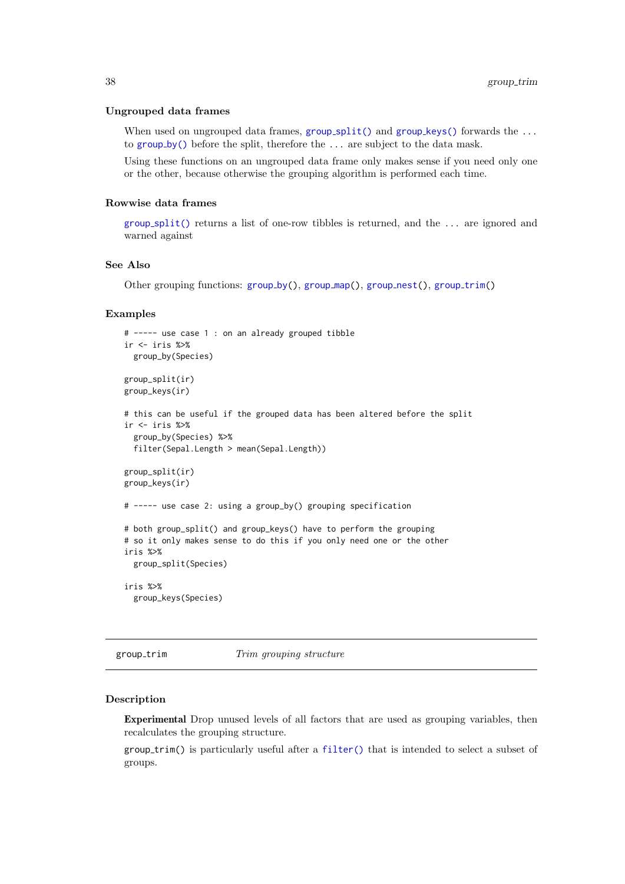#### Ungrouped data frames

When used on ungrouped data frames,  $group\_split()$  $group\_split()$  and  $group\_keys()$  $group\_keys()$  forwards the ... to [group](#page-29-0) by() before the split, therefore the ... are subject to the data mask.

Using these functions on an ungrouped data frame only makes sense if you need only one or the other, because otherwise the grouping algorithm is performed each time.

## Rowwise data frames

group [split\(\)](#page-36-0) returns a list of one-row tibbles is returned, and the ... are ignored and warned against

## See Also

Other [group](#page-37-0)ing functions:  $group_by(), group_map(), group_nest(), group_trim()$ 

#### Examples

```
# ----- use case 1 : on an already grouped tibble
ir <- iris %>%
  group_by(Species)
group_split(ir)
group_keys(ir)
# this can be useful if the grouped data has been altered before the split
ir <- iris %>%
  group_by(Species) %>%
  filter(Sepal.Length > mean(Sepal.Length))
group_split(ir)
group_keys(ir)
# ----- use case 2: using a group_by() grouping specification
# both group_split() and group_keys() have to perform the grouping
# so it only makes sense to do this if you only need one or the other
iris %>%
  group_split(Species)
iris %>%
  group_keys(Species)
```
<span id="page-37-0"></span>group\_trim Trim grouping structure

## Description

Experimental Drop unused levels of all factors that are used as grouping variables, then recalculates the grouping structure.

group trim() is particularly useful after a [filter\(\)](#page-24-0) that is intended to select a subset of groups.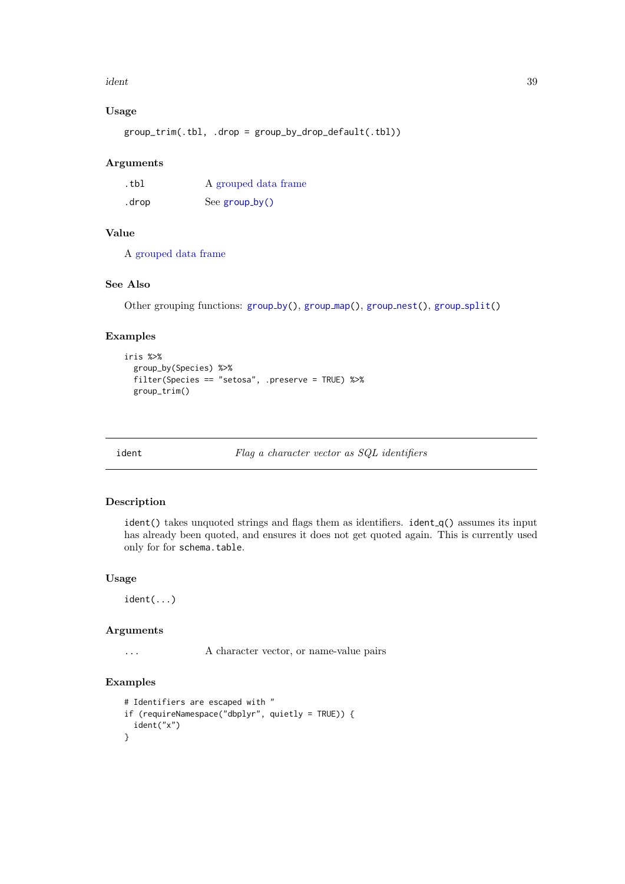#### ident 39

# Usage

```
group_trim(.tbl, .drop = group_by_drop_default(.tbl))
```
# Arguments

| .tbl  | A grouped data frame |
|-------|----------------------|
| .drop | See $group_by()$     |

# Value

A [grouped data frame](#page-0-0)

# See Also

Other [group](#page-0-0)ing functions: group\_by(), group\_map(), group\_nest(), group\_[split\(](#page-36-0))

# Examples

```
iris %>%
  group_by(Species) %>%
  filter(Species == "setosa", .preserve = TRUE) %>%
  group_trim()
```
ident Flag a character vector as SQL identifiers

# Description

ident() takes unquoted strings and flags them as identifiers. ident  $q()$  assumes its input has already been quoted, and ensures it does not get quoted again. This is currently used only for for schema.table.

# Usage

ident(...)

# Arguments

... A character vector, or name-value pairs

# Examples

```
# Identifiers are escaped with "
if (requireNamespace("dbplyr", quietly = TRUE)) {
  ident("x")
}
```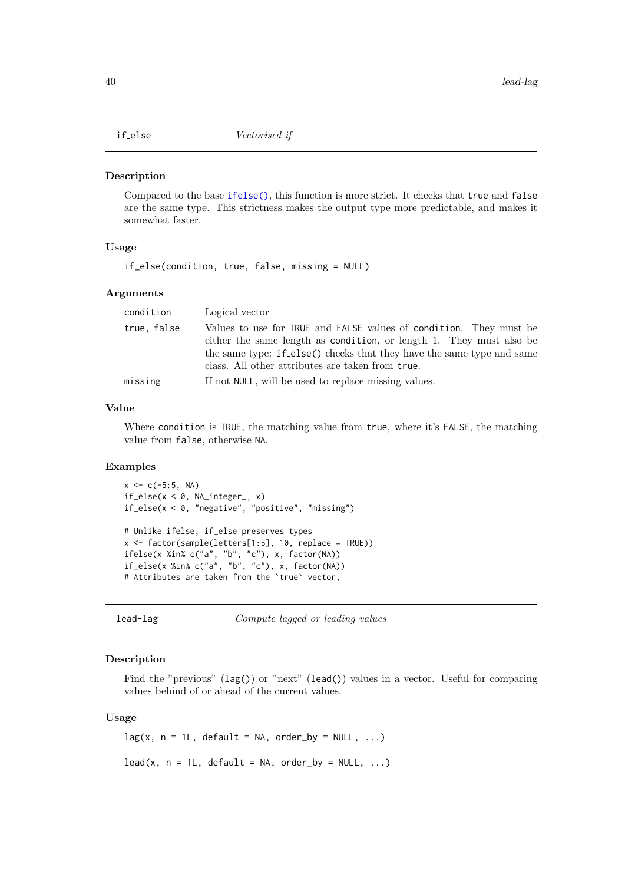## <span id="page-39-1"></span>Description

Compared to the base [ifelse\(\)](#page-0-0), this function is more strict. It checks that true and false are the same type. This strictness makes the output type more predictable, and makes it somewhat faster.

## Usage

if\_else(condition, true, false, missing = NULL)

# Arguments

| condition   | Logical vector                                                                                                                                                                                                                                                         |
|-------------|------------------------------------------------------------------------------------------------------------------------------------------------------------------------------------------------------------------------------------------------------------------------|
| true, false | Values to use for TRUE and FALSE values of condition. They must be<br>either the same length as condition, or length 1. They must also be<br>the same type: if else() checks that they have the same type and same<br>class. All other attributes are taken from true. |
| missing     | If not NULL, will be used to replace missing values.                                                                                                                                                                                                                   |

# Value

Where condition is TRUE, the matching value from true, where it's FALSE, the matching value from false, otherwise NA.

# Examples

```
x \leq -c(-5:5, NA)if_else(x < 0, NA_integer_, x)
if_else(x < 0, "negative", "positive", "missing")
# Unlike ifelse, if_else preserves types
x <- factor(sample(letters[1:5], 10, replace = TRUE))
ifelse(x %in% c("a", "b", "c"), x, factor(NA))
```

```
if_else(x %in% c("a", "b", "c"), x, factor(NA))
# Attributes are taken from the `true` vector,
```
lead-lag Compute lagged or leading values

# <span id="page-39-0"></span>Description

Find the "previous" (lag()) or "next" (lead()) values in a vector. Useful for comparing values behind of or ahead of the current values.

## Usage

```
lag(x, n = 1L, default = NA, order_by = NULL, ...)lead(x, n = 1L, default = NA, order_by = NULL, ...)
```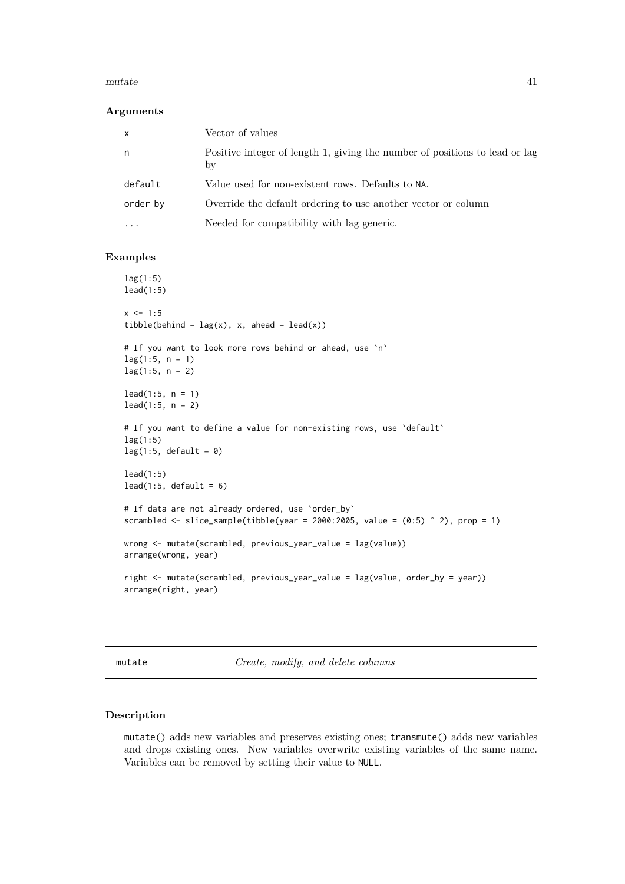#### mutate the contract of the contract of the contract of the contract of the contract of the contract of the contract of the contract of the contract of the contract of the contract of the contract of the contract of the con

#### Arguments

| $\mathsf{x}$ | Vector of values                                                                  |
|--------------|-----------------------------------------------------------------------------------|
| n,           | Positive integer of length 1, giving the number of positions to lead or lag<br>by |
| default      | Value used for non-existent rows. Defaults to NA.                                 |
| order_by     | Override the default ordering to use another vector or column                     |
| .            | Needed for compatibility with lag generic.                                        |

## Examples

```
lag(1:5)
lead(1:5)
x < -1:5tibble(behind = \text{lag}(x), x, ahead = \text{lead}(x))
# If you want to look more rows behind or ahead, use `n`
lag(1:5, n = 1)lag(1:5, n = 2)lead(1:5, n = 1)lead(1:5, n = 2)
# If you want to define a value for non-existing rows, use `default`
lag(1:5)lag(1:5, default = 0)lead(1:5)lead(1:5, default = 6)# If data are not already ordered, use 'order_by'
scrambled \le slice_sample(tibble(year = 2000:2005, value = (0:5) \hat{ } 2), prop = 1)
wrong <- mutate(scrambled, previous_year_value = lag(value))
arrange(wrong, year)
right <- mutate(scrambled, previous_year_value = lag(value, order_by = year))
arrange(right, year)
```
<span id="page-40-1"></span>mutate Create, modify, and delete columns

## <span id="page-40-0"></span>Description

mutate() adds new variables and preserves existing ones; transmute() adds new variables and drops existing ones. New variables overwrite existing variables of the same name. Variables can be removed by setting their value to NULL.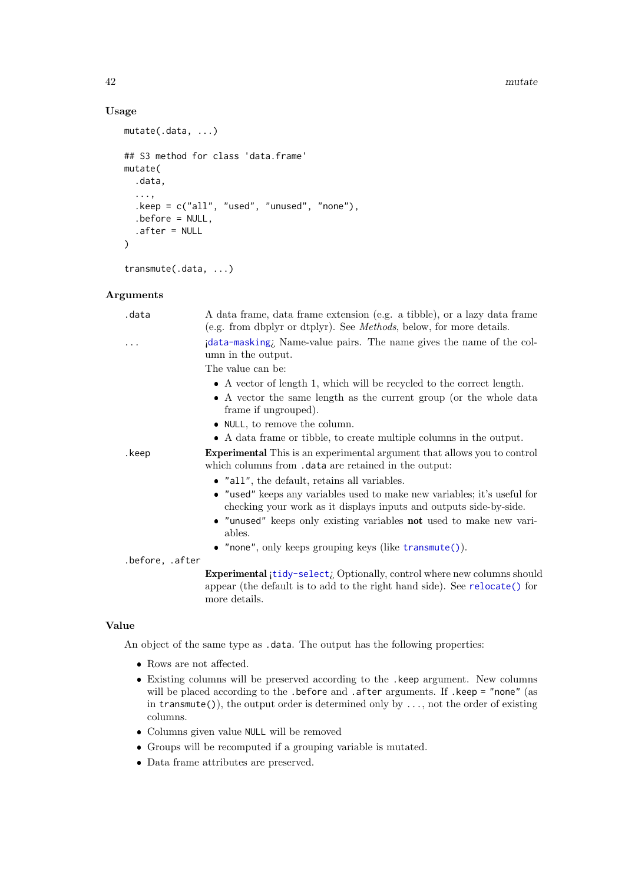#### $42$  mutate

# Usage

```
mutate(.data, ...)
## S3 method for class 'data.frame'
mutate(
  .data,
  ...,
  .keep = c("all", "used", "unused", "none"),
  .before = NULL,
  .after = NULL
\lambda
```
transmute(.data, ...)

# Arguments

| .data           | A data frame, data frame extension (e.g. a tibble), or a lazy data frame<br>(e.g. from dbplyr or dtplyr). See <i>Methods</i> , below, for more details.               |
|-----------------|-----------------------------------------------------------------------------------------------------------------------------------------------------------------------|
|                 | idata-masking, Name-value pairs. The name gives the name of the col-<br>umn in the output.                                                                            |
|                 | The value can be:                                                                                                                                                     |
|                 | $\bullet$ A vector of length 1, which will be recycled to the correct length.                                                                                         |
|                 | • A vector the same length as the current group (or the whole data<br>frame if ungrouped).                                                                            |
|                 | $\bullet$ NULL, to remove the column.                                                                                                                                 |
|                 | • A data frame or tibble, to create multiple columns in the output.                                                                                                   |
| .keep           | <b>Experimental</b> This is an experimental argument that allows you to control<br>which columns from .data are retained in the output:                               |
|                 | $\bullet$ "all", the default, retains all variables.                                                                                                                  |
|                 | • "used" keeps any variables used to make new variables; it's useful for<br>checking your work as it displays inputs and outputs side-by-side.                        |
|                 | • "unused" keeps only existing variables not used to make new vari-<br>ables.                                                                                         |
|                 | • "none", only keeps grouping keys (like $transmute()$ ).                                                                                                             |
| .before, .after |                                                                                                                                                                       |
|                 | Experimental ¡tidy-select; Optionally, control where new columns should<br>appear (the default is to add to the right hand side). See relocate() for<br>more details. |
|                 |                                                                                                                                                                       |

# Value

An object of the same type as .data. The output has the following properties:

- Rows are not affected.
- Existing columns will be preserved according to the .keep argument. New columns will be placed according to the .before and .after arguments. If .keep = "none" (as in  $transmute()$ , the output order is determined only by  $\dots$ , not the order of existing columns.
- Columns given value NULL will be removed
- Groups will be recomputed if a grouping variable is mutated.
- Data frame attributes are preserved.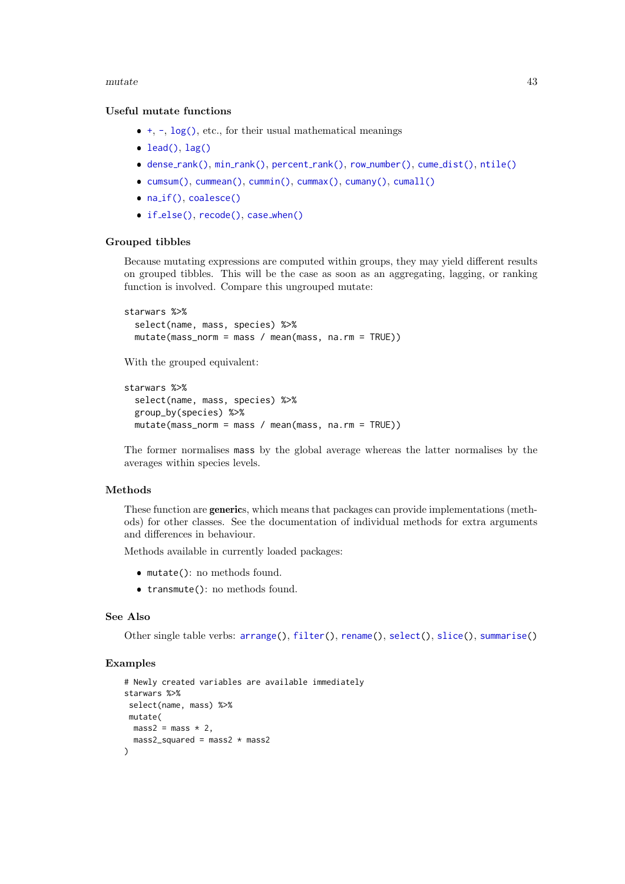## mutate and the set of  $\sim$  43

## Useful mutate functions

- $\bullet$  [+](#page-0-0), [-](#page-0-0), [log\(\)](#page-0-0), etc., for their usual mathematical meanings
- [lead\(\)](#page-39-0), [lag\(\)](#page-39-0)
- dense\_[rank\(\)](#page-56-0), min\_rank(), [percent](#page-56-0)\_rank(), row\_[number\(\)](#page-56-0), cume\_[dist\(\)](#page-56-0), [ntile\(\)](#page-56-0)
- [cumsum\(\)](#page-0-0), [cummean\(\)](#page-19-0), [cummin\(\)](#page-0-0), [cummax\(\)](#page-0-0), [cumany\(\)](#page-19-0), [cumall\(\)](#page-19-1)
- na\_[if\(\)](#page-50-0), [coalesce\(\)](#page-13-0)
- if\_[else\(\)](#page-39-1), [recode\(\)](#page-57-0), case\_[when\(\)](#page-10-0)

## Grouped tibbles

Because mutating expressions are computed within groups, they may yield different results on grouped tibbles. This will be the case as soon as an aggregating, lagging, or ranking function is involved. Compare this ungrouped mutate:

```
starwars %>%
  select(name, mass, species) %>%
 mutate(mass_norm = mass / mean(mass, na.rm = TRUE))
```
With the grouped equivalent:

```
starwars %>%
 select(name, mass, species) %>%
 group_by(species) %>%
 mutate(mass_norm = mass / mean(mass, na.rm = TRUE))
```
The former normalises mass by the global average whereas the latter normalises by the averages within species levels.

# Methods

These function are generics, which means that packages can provide implementations (methods) for other classes. See the documentation of individual methods for extra arguments and differences in behaviour.

Methods available in currently loaded packages:

- mutate(): no methods found.
- transmute(): no methods found.

# See Also

Other single table verbs: [arrange\(](#page-4-0)), [filter\(](#page-24-0)), [rename\(](#page-61-0)), [select\(](#page-66-0)), [slice\(](#page-71-0)), [summarise\(](#page-76-0))

#### Examples

```
# Newly created variables are available immediately
starwars %>%
select(name, mass) %>%
mutate(
 mass2 = mass \times 2,
 mass2_squared = mass2 * mass2
\lambda
```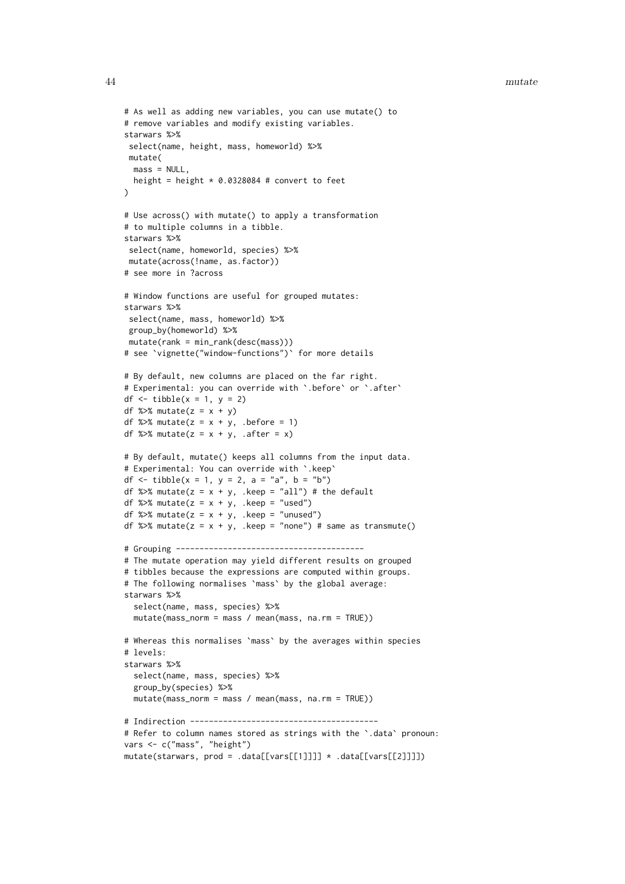#### 44 mutate

```
# As well as adding new variables, you can use mutate() to
# remove variables and modify existing variables.
starwars %>%
 select(name, height, mass, homeworld) %>%
mutate(
 mass = NULL,height = height * 0.0328084 # convert to feet
\lambda# Use across() with mutate() to apply a transformation
# to multiple columns in a tibble.
starwars %>%
select(name, homeworld, species) %>%
mutate(across(!name, as.factor))
# see more in ?across
# Window functions are useful for grouped mutates:
starwars %>%
select(name, mass, homeworld) %>%
group_by(homeworld) %>%
mutate(rank = min\_rank(desc(maxs)))# see `vignette("window-functions")` for more details
# By default, new columns are placed on the far right.
# Experimental: you can override with `.before` or `.after`
df \le tibble(x = 1, y = 2)
df %>% mutate(z = x + y)
df %>% mutate(z = x + y, .before = 1)
df %>% mutate(z = x + y, .after = x)
# By default, mutate() keeps all columns from the input data.
# Experimental: You can override with `.keep`
df <- tibble(x = 1, y = 2, a = "a", b = "b")
df %>% mutate(z = x + y, .keep = "all") # the default
df %>% mutate(z = x + y, .keep = "used")
df %\gg% mutate(z = x + y, .keep = "unused")
df %\gg% mutate(z = x + y, .keep = "none") # same as transmute()
# Grouping ----------------------------------------
# The mutate operation may yield different results on grouped
# tibbles because the expressions are computed within groups.
# The following normalises `mass` by the global average:
starwars %>%
  select(name, mass, species) %>%
  mutate(mass_norm = mass / mean(mass, na.rm = TRUE))
# Whereas this normalises `mass` by the averages within species
# levels:
starwars %>%
  select(name, mass, species) %>%
  group_by(species) %>%
 mutate(mass norm = mass / mean(mass, na.rm = TRUE))
# Indirection ----------------------------------------
# Refer to column names stored as strings with the `.data` pronoun:
vars <- c("mass", "height")
mutate(starwars, prod = .data[[vars[[1]]]] * .data[[vars[[2]]]])
```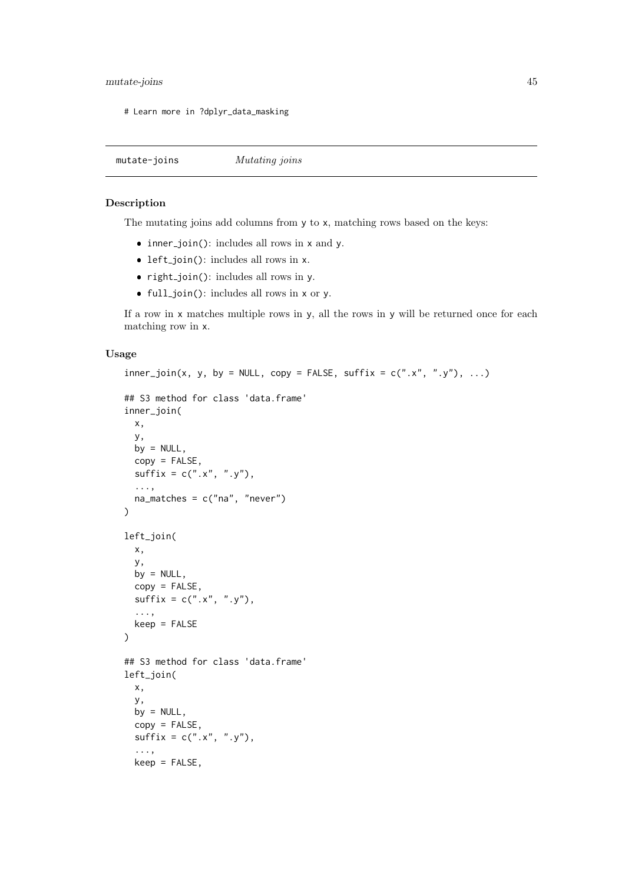#### mutate-joins 45

# Learn more in ?dplyr\_data\_masking

<span id="page-44-0"></span>mutate-joins Mutating joins

# Description

The mutating joins add columns from y to x, matching rows based on the keys:

- inner\_join(): includes all rows in x and y.
- left\_join(): includes all rows in x.
- $right\_join()$ : includes all rows in y.
- full join(): includes all rows in x or y.

If a row in x matches multiple rows in y, all the rows in y will be returned once for each matching row in x.

# Usage

```
inner\_join(x, y, by = NULL, copy = FALSE, suffix = c("x", "y"), ...)## S3 method for class 'data.frame'
inner_join(
  x,
  y,
  by = NULL,
  copy = FALSE,
  sufficient = c("x", "y"),
  ...,
  na_matches = c("na", "never")
)
left_join(
  x,
  y,
  by = NULL,conv = FALSE.
  sufficient = c("x", "y"),
  ...,
  keep = FALSE
\lambda## S3 method for class 'data.frame'
left_join(
  x,
  y,
  by = NULL,
  copy = FALSE,
  sufficient = c("x", "y"),
  ...,
  keep = FALSE,
```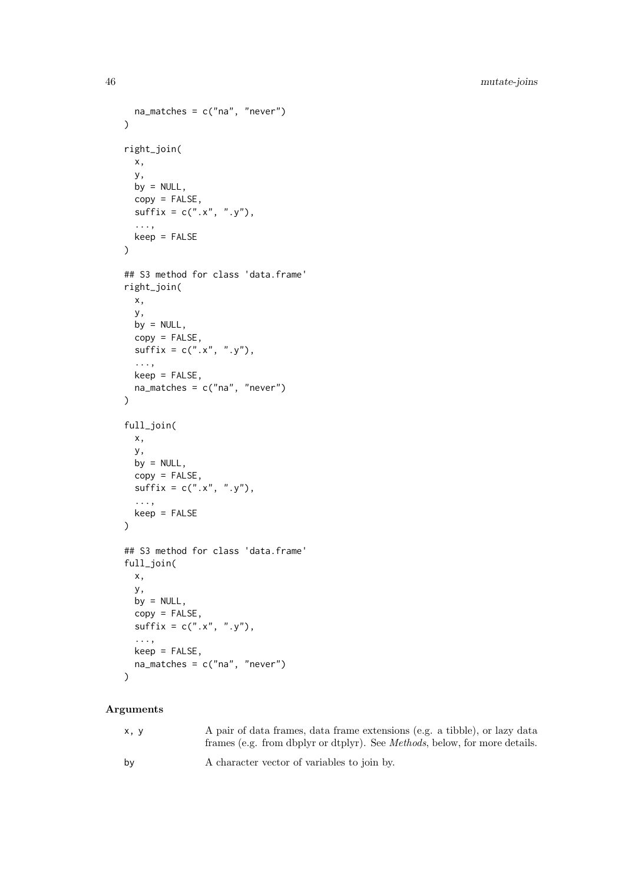```
na_matches = c("na", "never")
\lambdaright_join(
  x,
  y,
  by = NULL,
  copy = FALSE,
  sufficient = c("x", "y"),
  ...,
  keep = FALSE)
## S3 method for class 'data.frame'
right_join(
  x,
  y,
  by = NULL,
  copy = FALSE,
  sufficient = c("x", "y"),...,
 keep = FALSE,na\_matches = c("na", "never"))
full_join(
 x,
  y,
  by = NULL,copy = FALSE,sufficient = c("x", "y"),
  ...,
  keep = FALSE
)
## S3 method for class 'data.frame'
full_join(
  x,
  y,
  by = NULL,
  copy = FALSE,
  sufficient = c("x", "y"),
  ...,
  keep = FALSE,na\_matches = c("na", "never")\lambda
```
# Arguments

| x.v | A pair of data frames, data frame extensions (e.g. a tibble), or lazy data<br>frames (e.g. from dbplyr or dtplyr). See <i>Methods</i> , below, for more details. |
|-----|------------------------------------------------------------------------------------------------------------------------------------------------------------------|
| by  | A character vector of variables to join by.                                                                                                                      |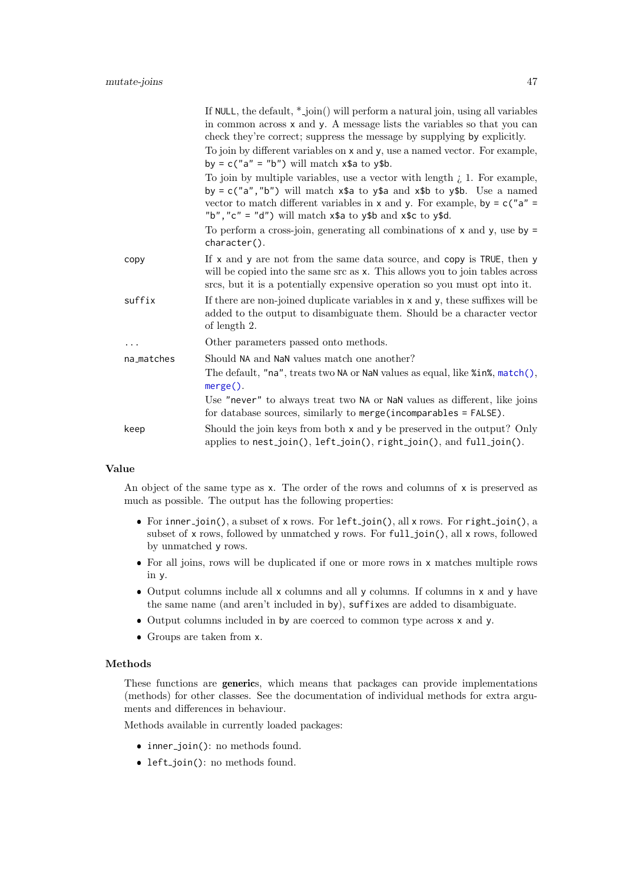|            | If NULL, the default, $*$ -join() will perform a natural join, using all variables<br>in common across x and y. A message lists the variables so that you can<br>check they're correct; suppress the message by supplying by explicitly.                                                                                          |
|------------|-----------------------------------------------------------------------------------------------------------------------------------------------------------------------------------------------------------------------------------------------------------------------------------------------------------------------------------|
|            | To join by different variables on x and y, use a named vector. For example,<br>by = $c("a" = "b")$ will match $x$ \$a to $y$ \$b.                                                                                                                                                                                                 |
|            | To join by multiple variables, use a vector with length $\lambda$ 1. For example,<br>by = $c("a", "b")$ will match $x$ \$a to $y$ \$a and $x$ \$b to $y$ \$b. Use a named<br>vector to match different variables in x and y. For example, by $= c("a" =$<br>"b", "c" = "d") will match $x$ \$a to $y$ \$b and $x$ \$c to $y$ \$d. |
|            | To perform a cross-join, generating all combinations of $x$ and $y$ , use by =<br>character().                                                                                                                                                                                                                                    |
| copy       | If x and y are not from the same data source, and copy is TRUE, then y<br>will be copied into the same src as x. This allows you to join tables across<br>srcs, but it is a potentially expensive operation so you must opt into it.                                                                                              |
| suffix     | If there are non-joined duplicate variables in x and y, these suffixes will be<br>added to the output to disambiguate them. Should be a character vector<br>of length 2.                                                                                                                                                          |
| .          | Other parameters passed onto methods.                                                                                                                                                                                                                                                                                             |
| na_matches | Should NA and NaN values match one another?                                                                                                                                                                                                                                                                                       |
|            | The default, " $na$ ", treats two NA or NaN values as equal, like % $in$ %, $match()$ ,<br>$merge()$ .                                                                                                                                                                                                                            |
|            | Use "never" to always treat two NA or NaN values as different, like joins<br>for database sources, similarly to merge(incomparables = FALSE).                                                                                                                                                                                     |
| keep       | Should the join keys from both x and y be preserved in the output? Only<br>applies to nest_join(), left_join(), right_join(), and full_join().                                                                                                                                                                                    |
|            |                                                                                                                                                                                                                                                                                                                                   |

## Value

An object of the same type as x. The order of the rows and columns of x is preserved as much as possible. The output has the following properties:

- For inner-join(), a subset of x rows. For left-join(), all x rows. For right-join(), a subset of x rows, followed by unmatched y rows. For full-join(), all x rows, followed by unmatched y rows.
- For all joins, rows will be duplicated if one or more rows in x matches multiple rows in y.
- Output columns include all x columns and all y columns. If columns in x and y have the same name (and aren't included in by), suffixes are added to disambiguate.
- Output columns included in by are coerced to common type across x and y.
- Groups are taken from x.

# Methods

These functions are generics, which means that packages can provide implementations (methods) for other classes. See the documentation of individual methods for extra arguments and differences in behaviour.

Methods available in currently loaded packages:

- inner\_join(): no methods found.
- left\_join(): no methods found.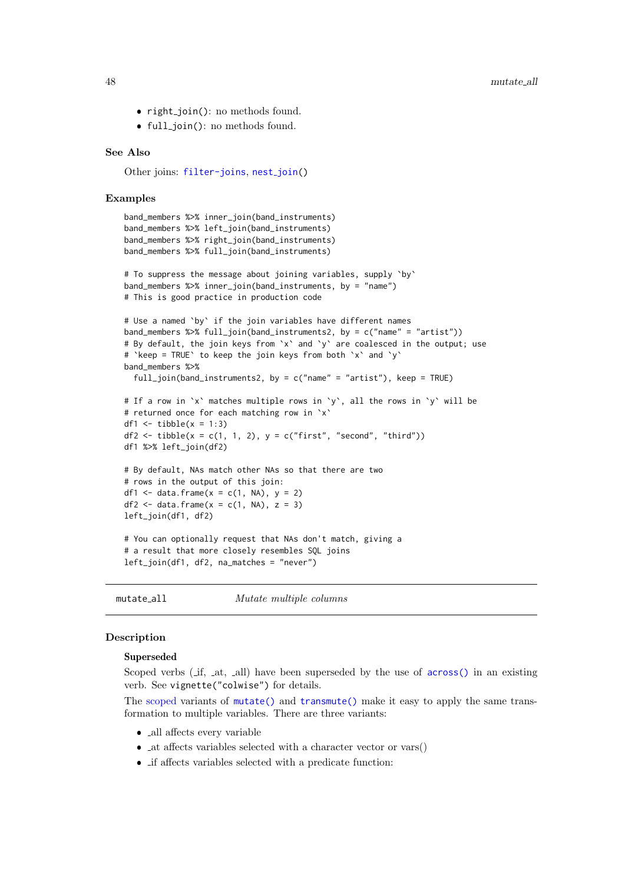- right\_join(): no methods found.
- full\_join(): no methods found.

#### See Also

Other joins: [filter-joins](#page-26-0), nest\_[join\(](#page-52-0))

#### Examples

```
band_members %>% inner_join(band_instruments)
band_members %>% left_join(band_instruments)
band_members %>% right_join(band_instruments)
band_members %>% full_join(band_instruments)
# To suppress the message about joining variables, supply `by`
band_members %>% inner_join(band_instruments, by = "name")
# This is good practice in production code
# Use a named `by` if the join variables have different names
band_members %>% full_join(band_instruments2, by = c("name" = "artist"))
# By default, the join keys from `x` and `y` are coalesced in the output; use
# `keep = TRUE` to keep the join keys from both `x` and `y`
band_members %>%
  full_join(band_instruments2, by = c("name" = "artist"), keep = TRUE)
# If a row in `x` matches multiple rows in `y`, all the rows in `y` will be
# returned once for each matching row in `x`
df1 \leftarrow tibble(x = 1:3)
df2 <- tibble(x = c(1, 1, 2), y = c("first", "second", "third"))
df1 %>% left_join(df2)
# By default, NAs match other NAs so that there are two
# rows in the output of this join:
df1 \le data.frame(x = c(1, NA), y = 2)
df2 \leftarrow data.frame(x = c(1, NA), z = 3)
left_join(df1, df2)
# You can optionally request that NAs don't match, giving a
# a result that more closely resembles SQL joins
left_join(df1, df2, na_matches = "never")
```
<span id="page-47-1"></span>mutate\_all Mutate multiple columns

## <span id="page-47-0"></span>Description

#### Superseded

Scoped verbs (if, in at, in all) have been superseded by the use of [across\(\)](#page-2-0) in an existing verb. See vignette("colwise") for details.

The [scoped](#page-65-0) variants of [mutate\(\)](#page-40-1) and [transmute\(\)](#page-40-0) make it easy to apply the same transformation to multiple variables. There are three variants:

- all affects every variable
- $\bullet$  <sub>-</sub>at affects variables selected with a character vector or vars()
- $\bullet\,$   $\dot{}$  if affects variables selected with a predicate function: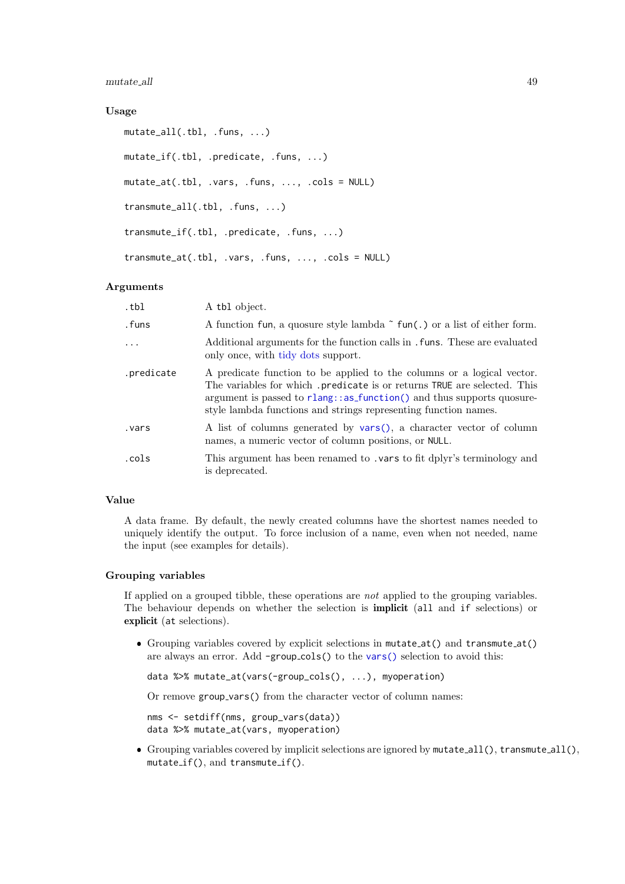mutate\_all 49

# Usage

```
mutate_all(.tbl, .funs, ...)
mutate_if(.tbl, .predicate, .funs, ...)
mutate_at(.tbl, .vars, .funs, ..., .cols = NULL)
transmute_all(.tbl, .funs, ...)
transmute_if(.tbl, .predicate, .funs, ...)
transmute_at(.tbl, .vars, .funs, ..., .cols = NULL)
```
## Arguments

| .tbl       | A tbl object.                                                                                                                                                                                                                                                                                    |
|------------|--------------------------------------------------------------------------------------------------------------------------------------------------------------------------------------------------------------------------------------------------------------------------------------------------|
| .funs      | A function fun, a quosure style lambda $\tilde{\ }$ fun(.) or a list of either form.                                                                                                                                                                                                             |
| $\ddots$   | Additional arguments for the function calls in . funs. These are evaluated<br>only once, with tidy dots support.                                                                                                                                                                                 |
| .predicate | A predicate function to be applied to the columns or a logical vector.<br>The variables for which predicate is or returns TRUE are selected. This<br>argument is passed to rlang: : as function () and thus supports quosure-<br>style lambda functions and strings representing function names. |
| vars.      | A list of columns generated by vars(), a character vector of column<br>names, a numeric vector of column positions, or NULL.                                                                                                                                                                     |
| .cols      | This argument has been renamed to . vars to fit dplyr's terminology and<br>is deprecated.                                                                                                                                                                                                        |

# Value

A data frame. By default, the newly created columns have the shortest names needed to uniquely identify the output. To force inclusion of a name, even when not needed, name the input (see examples for details).

## Grouping variables

If applied on a grouped tibble, these operations are not applied to the grouping variables. The behaviour depends on whether the selection is implicit (all and if selections) or explicit (at selections).

 Grouping variables covered by explicit selections in mutate at() and transmute at() are always an error. Add -group cols() to the [vars\(\)](#page-81-0) selection to avoid this:

data %>% mutate\_at(vars(-group\_cols(), ...), myoperation)

Or remove group vars() from the character vector of column names:

nms <- setdiff(nms, group\_vars(data)) data %>% mutate\_at(vars, myoperation)

 Grouping variables covered by implicit selections are ignored by mutate all(), transmute all(), mutate if(), and transmute if().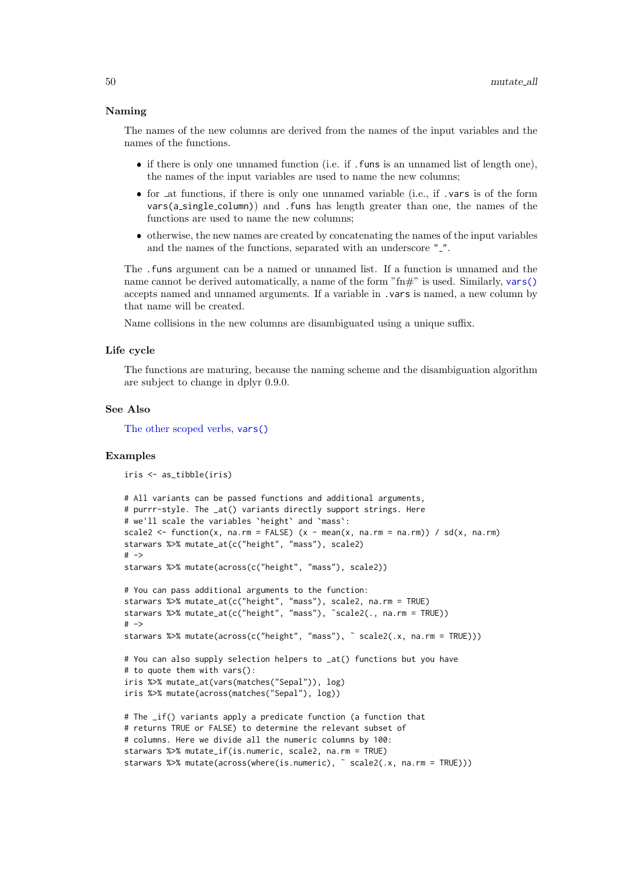## Naming

The names of the new columns are derived from the names of the input variables and the names of the functions.

- if there is only one unnamed function (i.e. if .funs is an unnamed list of length one), the names of the input variables are used to name the new columns;
- for at functions, if there is only one unnamed variable (i.e., if .vars is of the form  $vars(a_s, single_c column)$  and . funs has length greater than one, the names of the functions are used to name the new columns;
- otherwise, the new names are created by concatenating the names of the input variables and the names of the functions, separated with an underscore ".".

The .funs argument can be a named or unnamed list. If a function is unnamed and the name cannot be derived automatically, a name of the form " $\text{fm}$ " is used. Similarly, [vars\(\)](#page-81-0) accepts named and unnamed arguments. If a variable in .vars is named, a new column by that name will be created.

Name collisions in the new columns are disambiguated using a unique suffix.

### Life cycle

The functions are maturing, because the naming scheme and the disambiguation algorithm are subject to change in dplyr 0.9.0.

# See Also

[The other scoped verbs,](#page-65-0) [vars\(\)](#page-81-0)

#### Examples

```
iris <- as_tibble(iris)
# All variants can be passed functions and additional arguments,
# purrr-style. The _at() variants directly support strings. Here
# we'll scale the variables `height` and `mass`:
scale2 <- function(x, na.rm = FALSE) (x - mean(x, na.rm = na.rm)) / sd(x, na.rm)starwars %>% mutate_at(c("height", "mass"), scale2)
# -starwars %>% mutate(across(c("height", "mass"), scale2))
# You can pass additional arguments to the function:
starwars %>% mutate_at(c("height", "mass"), scale2, na.rm = TRUE)
starwars %>% mutate_at(c("height", "mass"), ˜scale2(., na.rm = TRUE))
# ->
starwars %>% mutate(across(c("height", "mass"), ˜ scale2(.x, na.rm = TRUE)))
# You can also supply selection helpers to _at() functions but you have
# to quote them with vars():
iris %>% mutate_at(vars(matches("Sepal")), log)
iris %>% mutate(across(matches("Sepal"), log))
# The _if() variants apply a predicate function (a function that
# returns TRUE or FALSE) to determine the relevant subset of
# columns. Here we divide all the numeric columns by 100:
starwars %>% mutate_if(is.numeric, scale2, na.rm = TRUE)
starwars %>% mutate(across(where(is.numeric), ˜ scale2(.x, na.rm = TRUE)))
```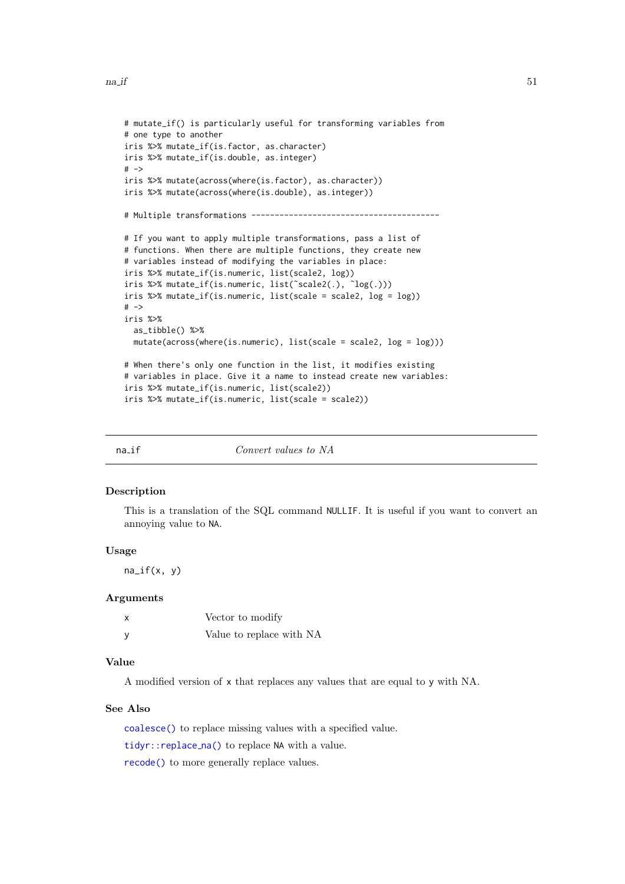```
# mutate_if() is particularly useful for transforming variables from
# one type to another
iris %>% mutate_if(is.factor, as.character)
iris %>% mutate_if(is.double, as.integer)
# ->iris %>% mutate(across(where(is.factor), as.character))
iris %>% mutate(across(where(is.double), as.integer))
# Multiple transformations ----------------------------------------
# If you want to apply multiple transformations, pass a list of
# functions. When there are multiple functions, they create new
# variables instead of modifying the variables in place:
iris %>% mutate_if(is.numeric, list(scale2, log))
iris %>% mutate_if(is.numeric, list(˜scale2(.), ˜log(.)))
iris %>% mutate_if(is.numeric, list(scale = scale2, log = log))
# ->iris %>%
  as_tibble() %>%
  mutate(across(where(is.numeric), list(scale = scale2, log = log)))
# When there's only one function in the list, it modifies existing
# variables in place. Give it a name to instead create new variables:
iris %>% mutate_if(is.numeric, list(scale2))
iris %>% mutate_if(is.numeric, list(scale = scale2))
```
<span id="page-50-0"></span>

na<sub>if</sub> Convert values to NA

#### Description

This is a translation of the SQL command NULLIF. It is useful if you want to convert an annoying value to NA.

#### Usage

 $na_{if}(x, y)$ 

#### Arguments

| Vector to modify         |
|--------------------------|
| Value to replace with NA |

# Value

A modified version of x that replaces any values that are equal to y with NA.

# See Also

[coalesce\(\)](#page-13-0) to replace missing values with a specified value.

[tidyr::replace](#page-0-0) na() to replace NA with a value.

[recode\(\)](#page-57-0) to more generally replace values.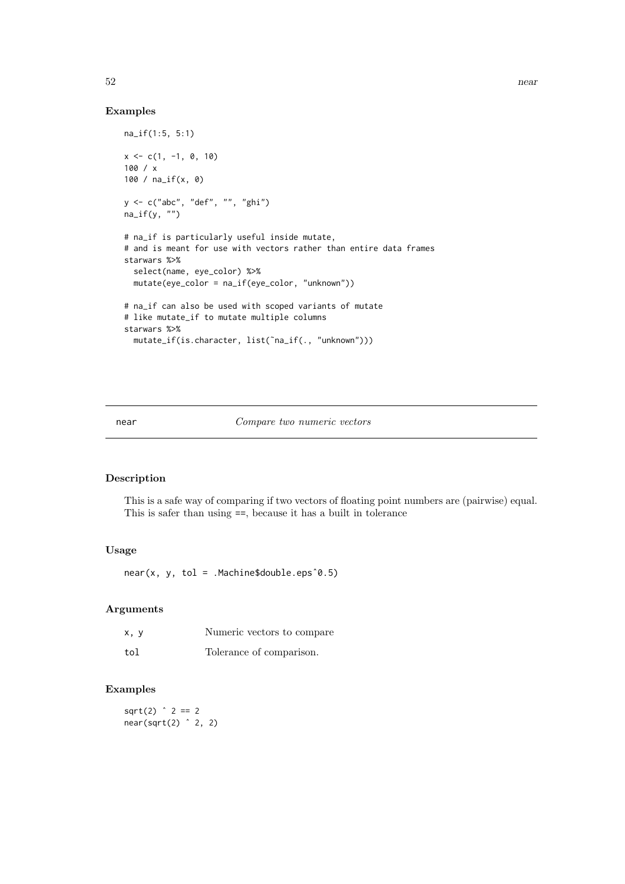# Examples

```
na_if(1:5, 5:1)
x \leq -c(1, -1, 0, 10)100 / x
100 / na_if(x, 0)
y <- c("abc", "def", "", "ghi")
na_i f(y, "")# na_if is particularly useful inside mutate,
# and is meant for use with vectors rather than entire data frames
starwars %>%
  select(name, eye_color) %>%
  mutate(eye_color = na_if(eye_color, "unknown"))
# na_if can also be used with scoped variants of mutate
# like mutate_if to mutate multiple columns
starwars %>%
  mutate_if(is.character, list(˜na_if(., "unknown")))
```
#### near Compare two numeric vectors

# Description

This is a safe way of comparing if two vectors of floating point numbers are (pairwise) equal. This is safer than using ==, because it has a built in tolerance

# Usage

near(x, y, tol = .Machine\$double.epsˆ0.5)

#### Arguments

| x, y | Numeric vectors to compare |
|------|----------------------------|
| tol  | Tolerance of comparison.   |

# Examples

 $sqrt(2)$   $2 == 2$  $near(sqrt(2)$   $^2$  2, 2)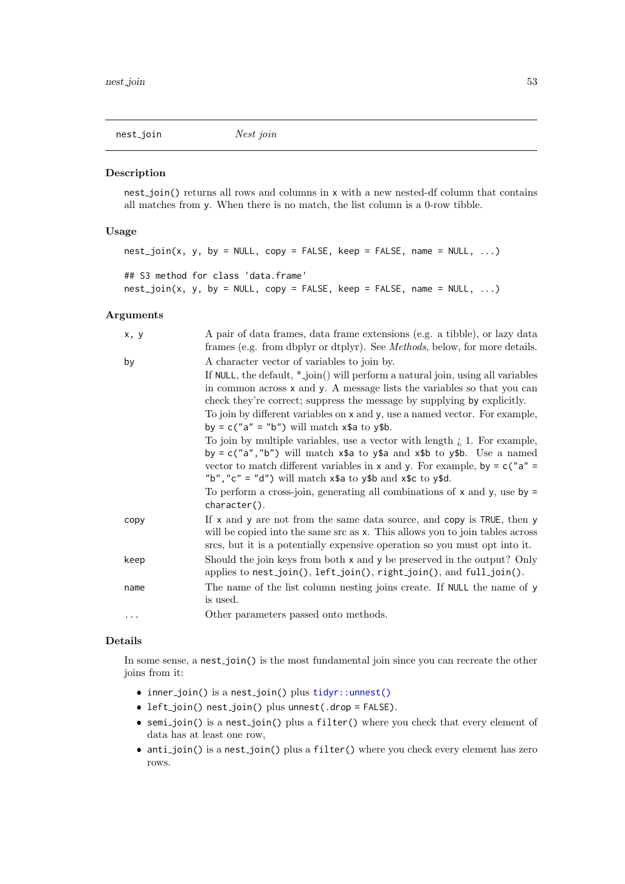<span id="page-52-0"></span>nest\_join Nest join

## Description

nest join() returns all rows and columns in x with a new nested-df column that contains all matches from y. When there is no match, the list column is a 0-row tibble.

## Usage

```
nest\_join(x, y, by = NULL, copy = FALSE, keep = FALSE, name = NULL, ...)## S3 method for class 'data.frame'
nest\_join(x, y, by = NULL, copy = FALSE, keep = FALSE, name = NULL, ...)
```
# Arguments

| x, y | A pair of data frames, data frame extensions (e.g. a tibble), or lazy data<br>frames (e.g. from dbplyr or dtplyr). See <i>Methods</i> , below, for more details.                                                                                                                                                                    |
|------|-------------------------------------------------------------------------------------------------------------------------------------------------------------------------------------------------------------------------------------------------------------------------------------------------------------------------------------|
| by   | A character vector of variables to join by.                                                                                                                                                                                                                                                                                         |
|      | If NULL, the default, $*$ -join() will perform a natural join, using all variables<br>in common across x and y. A message lists the variables so that you can<br>check they're correct; suppress the message by supplying by explicitly.                                                                                            |
|      | To join by different variables on x and y, use a named vector. For example,<br>by = $c("a" = "b")$ will match $x$ \$a to $y$ \$b.                                                                                                                                                                                                   |
|      | To join by multiple variables, use a vector with length $i$ , 1. For example,<br>by = $c("a", "b")$ will match $x$ \$a to $y$ \$a and $x$ \$b to $y$ \$b. Use a named<br>vector to match different variables in x and y. For example, by $= c''a'' = c''b$<br>"b", "c" = "d") will match $x$ \$a to $y$ \$b and $x$ \$c to $y$ \$d. |
|      | To perform a cross-join, generating all combinations of $x$ and $y$ , use by $=$<br>character().                                                                                                                                                                                                                                    |
| copy | If $x$ and $y$ are not from the same data source, and copy is TRUE, then $y$<br>will be copied into the same src as x. This allows you to join tables across<br>srcs, but it is a potentially expensive operation so you must opt into it.                                                                                          |
| keep | Should the join keys from both x and y be preserved in the output? Only<br>applies to nest_join(), left_join(), right_join(), and full_join().                                                                                                                                                                                      |
| name | The name of the list column nesting joins create. If NULL the name of y<br>is used.                                                                                                                                                                                                                                                 |
|      | Other parameters passed onto methods.                                                                                                                                                                                                                                                                                               |

# Details

In some sense, a nest-join() is the most fundamental join since you can recreate the other joins from it:

- inner\_join() is a nest\_join() plus [tidyr::unnest\(\)](#page-0-0)
- left\_join() nest\_join() plus unnest(.drop = FALSE).
- semi join() is a nest join() plus a filter() where you check that every element of data has at least one row,
- anti\_join() is a nest\_join() plus a filter() where you check every element has zero rows.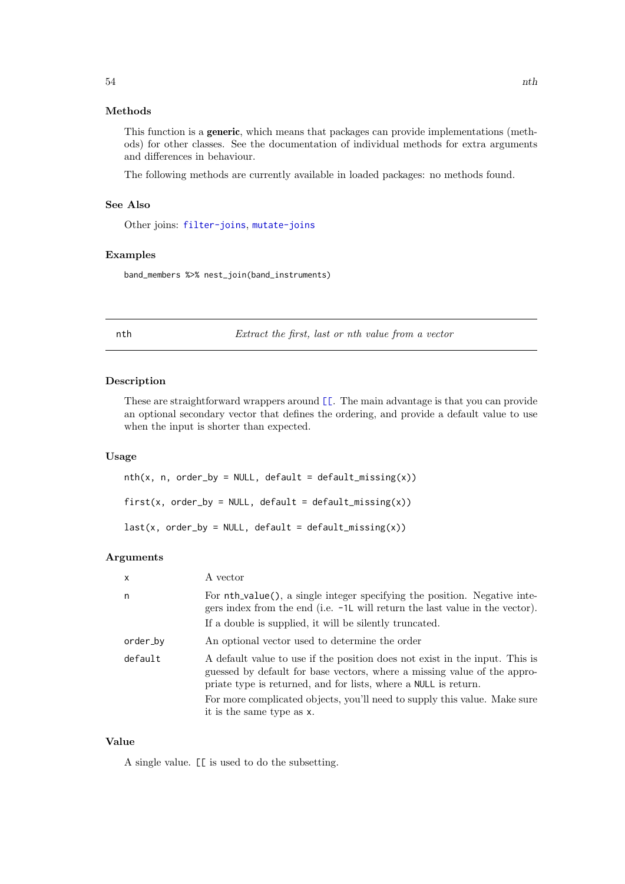## Methods

This function is a generic, which means that packages can provide implementations (methods) for other classes. See the documentation of individual methods for extra arguments and differences in behaviour.

The following methods are currently available in loaded packages: no methods found.

# See Also

Other joins: [filter-joins](#page-26-0), [mutate-joins](#page-44-0)

## Examples

band\_members %>% nest\_join(band\_instruments)

nth Extract the first, last or nth value from a vector

## Description

These are straightforward wrappers around  $\llbracket$ . The main advantage is that you can provide an optional secondary vector that defines the ordering, and provide a default value to use when the input is shorter than expected.

# Usage

 $nth(x, n, order_by = NULL, default = default_missing(x))$ first(x, order\_by = NULL, default = default\_missing(x))  $last(x, order_by = NULL, default = default_missing(x))$ 

# Arguments

| $\mathsf{x}$ | A vector                                                                                                                                                                                                                                                                                                                             |
|--------------|--------------------------------------------------------------------------------------------------------------------------------------------------------------------------------------------------------------------------------------------------------------------------------------------------------------------------------------|
| n            | For nth_value(), a single integer specifying the position. Negative inte-<br>gers index from the end (i.e. -1L will return the last value in the vector).<br>If a double is supplied, it will be silently truncated.                                                                                                                 |
| order_by     | An optional vector used to determine the order                                                                                                                                                                                                                                                                                       |
| default      | A default value to use if the position does not exist in the input. This is<br>guessed by default for base vectors, where a missing value of the appro-<br>priate type is returned, and for lists, where a NULL is return.<br>For more complicated objects, you'll need to supply this value. Make sure<br>it is the same type as x. |

# Value

A single value. [[ is used to do the subsetting.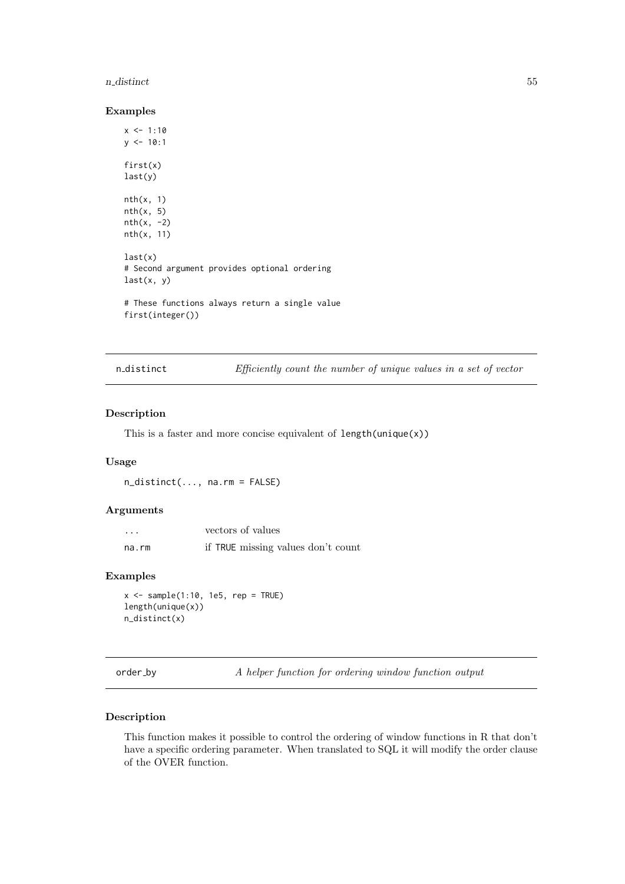#### n distinct 55

## Examples

```
x \le -1:10y \le -10:1first(x)
last(y)
nth(x, 1)
nth(x, 5)
nth(x, -2)nth(x, 11)
last(x)# Second argument provides optional ordering
last(x, y)
# These functions always return a single value
first(integer())
```
n distinct Efficiently count the number of unique values in a set of vector

# Description

This is a faster and more concise equivalent of length(unique(x))

#### Usage

n\_distinct(..., na.rm = FALSE)

# Arguments

| $\cdot$ | vectors of values                  |
|---------|------------------------------------|
| na.rm   | if TRUE missing values don't count |

# Examples

```
x \le - sample(1:10, 1e5, rep = TRUE)
length(unique(x))
n_distinct(x)
```
order\_by A helper function for ordering window function output

# Description

This function makes it possible to control the ordering of window functions in R that don't have a specific ordering parameter. When translated to SQL it will modify the order clause of the OVER function.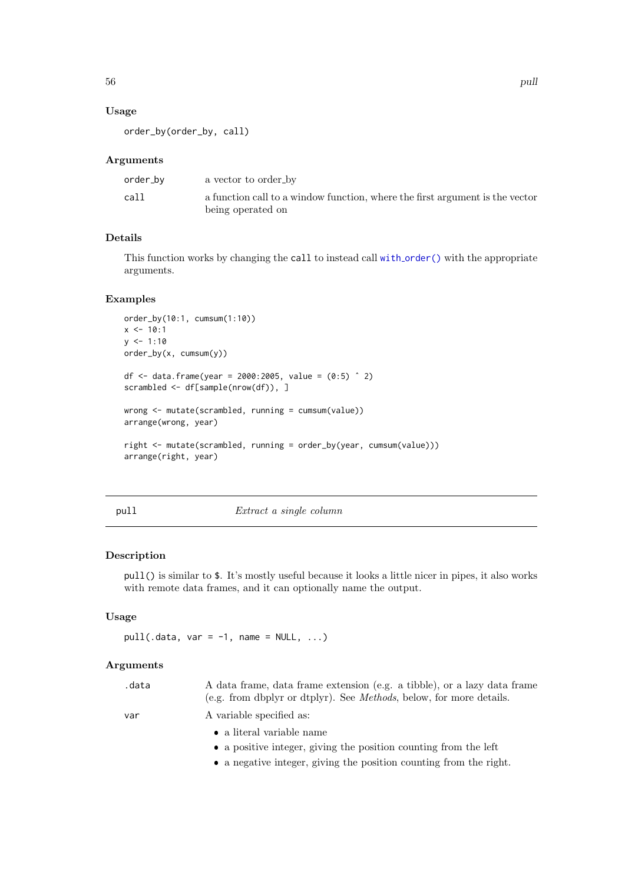# Usage

order\_by(order\_by, call)

# Arguments

| order_bv | a vector to order_by                                                                              |
|----------|---------------------------------------------------------------------------------------------------|
| call     | a function call to a window function, where the first argument is the vector<br>being operated on |

# Details

This function works by changing the call to instead call with [order\(\)](#page-0-0) with the appropriate arguments.

# Examples

```
order_by(10:1, cumsum(1:10))
x \le -10:1y \le -1:10order_by(x, cumsum(y))
df <- data.frame(year = 2000:2005, value = (0:5) ^ 2)
scrambled <- df[sample(nrow(df)), ]
wrong <- mutate(scrambled, running = cumsum(value))
arrange(wrong, year)
right <- mutate(scrambled, running = order_by(year, cumsum(value)))
arrange(right, year)
```
# pull Extract a single column

# Description

pull() is similar to \$. It's mostly useful because it looks a little nicer in pipes, it also works with remote data frames, and it can optionally name the output.

# Usage

```
pull(.data, var = -1, name = NULL, ...)
```
## Arguments

| .data | A data frame, data frame extension (e.g. a tibble), or a lazy data frame<br>(e.g. from dbplyr or dtplyr). See <i>Methods</i> , below, for more details. |
|-------|---------------------------------------------------------------------------------------------------------------------------------------------------------|
| var   | A variable specified as:                                                                                                                                |
|       | • a literal variable name                                                                                                                               |
|       | • a positive integer, giving the position counting from the left                                                                                        |
|       | • a negative integer, giving the position counting from the right.                                                                                      |
|       |                                                                                                                                                         |

56 pulses are contacted as the contacted and contacted and contacted and contacted and contacted and contacted and contacted and contacted and contacted and contacted and contacted and contacted and contacted and contacted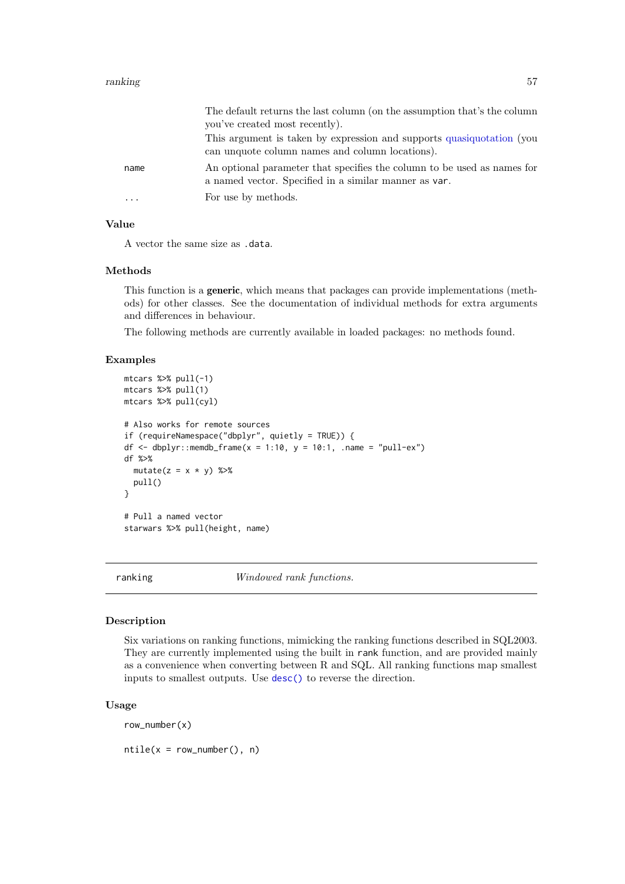#### ranking the state of the state of the state of the state of the state of the state of the state of the state o

|      | The default returns the last column (on the assumption that's the column                                                         |
|------|----------------------------------------------------------------------------------------------------------------------------------|
|      | you've created most recently).                                                                                                   |
|      | This argument is taken by expression and supports quasiquotation (you<br>can unquote column names and column locations).         |
| name | An optional parameter that specifies the column to be used as names for<br>a named vector. Specified in a similar manner as var. |
| .    | For use by methods.                                                                                                              |

# Value

A vector the same size as .data.

# Methods

This function is a generic, which means that packages can provide implementations (methods) for other classes. See the documentation of individual methods for extra arguments and differences in behaviour.

The following methods are currently available in loaded packages: no methods found.

#### Examples

```
mtcars %>% pull(-1)
mtcars %>% pull(1)
mtcars %>% pull(cyl)
# Also works for remote sources
if (requireNamespace("dbplyr", quietly = TRUE)) {
df \le dbplyr::memdb_frame(x = 1:10, y = 10:1, .name = "pull-ex")
df %>%
  mutate(z = x * y) %pull()
}
# Pull a named vector
starwars %>% pull(height, name)
```
ranking Windowed rank functions.

### <span id="page-56-0"></span>Description

Six variations on ranking functions, mimicking the ranking functions described in SQL2003. They are currently implemented using the built in rank function, and are provided mainly as a convenience when converting between R and SQL. All ranking functions map smallest inputs to smallest outputs. Use [desc\(\)](#page-20-0) to reverse the direction.

# Usage

row\_number(x)

 $ntile(x = row_number(), n)$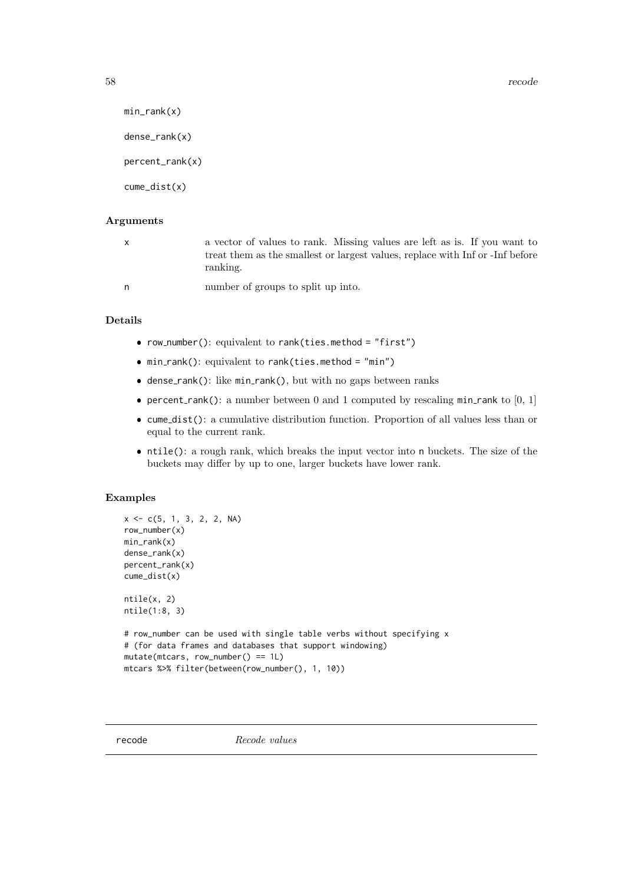```
58 recode
```

```
min\_rank(x)dense_rank(x)
percent_rank(x)
cume_dist(x)
```
# Arguments

|   | a vector of values to rank. Missing values are left as is. If you want to<br>treat them as the smallest or largest values, replace with Inf or -Inf before<br>ranking. |
|---|------------------------------------------------------------------------------------------------------------------------------------------------------------------------|
| n | number of groups to split up into.                                                                                                                                     |

# Details

- row\_number(): equivalent to rank(ties.method = "first")
- min rank(): equivalent to rank(ties.method = "min")
- dense\_rank(): like min\_rank(), but with no gaps between ranks
- percent\_rank(): a number between 0 and 1 computed by rescaling min\_rank to  $[0, 1]$
- cume dist(): a cumulative distribution function. Proportion of all values less than or equal to the current rank.
- ntile(): a rough rank, which breaks the input vector into n buckets. The size of the buckets may differ by up to one, larger buckets have lower rank.

# Examples

```
x \leq -c(5, 1, 3, 2, 2, NA)row_number(x)
min_rank(x)
dense_rank(x)
percent_rank(x)
cume_dist(x)
ntile(x, 2)
ntile(1:8, 3)
# row_number can be used with single table verbs without specifying x
# (for data frames and databases that support windowing)
mutate(mtcars, row_number() == 1L)
mtcars %>% filter(between(row_number(), 1, 10))
```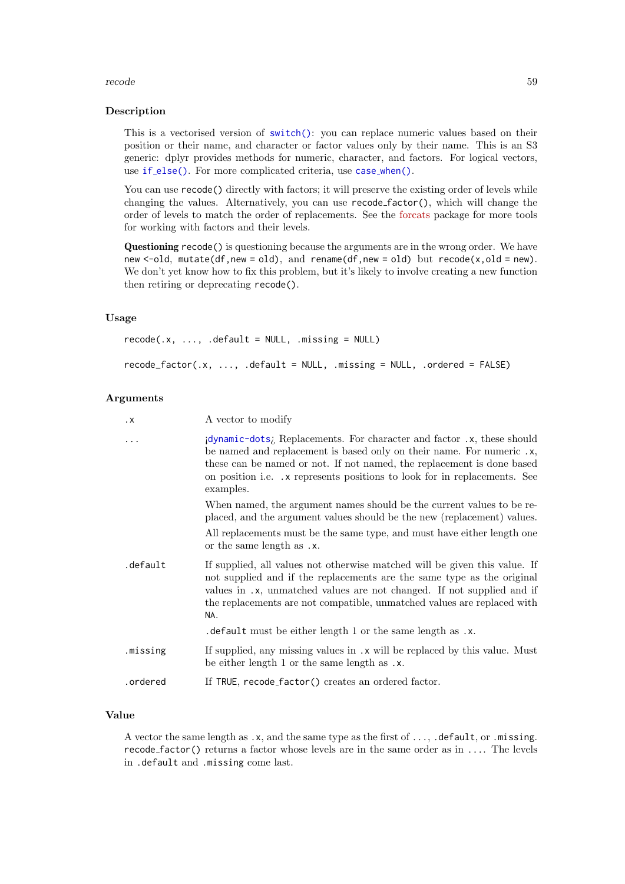#### recode to the set of the set of the set of the set of the set of the set of the set of the set of the set of the set of the set of the set of the set of the set of the set of the set of the set of the set of the set of the

#### Description

This is a vectorised version of [switch\(\)](#page-0-0): you can replace numeric values based on their position or their name, and character or factor values only by their name. This is an S3 generic: dplyr provides methods for numeric, character, and factors. For logical vectors, use if [else\(\)](#page-39-1). For more complicated criteria, use case\_[when\(\)](#page-10-0).

You can use recode() directly with factors; it will preserve the existing order of levels while changing the values. Alternatively, you can use recode factor(), which will change the order of levels to match the order of replacements. See the [forcats](https://forcats.tidyverse.org/) package for more tools for working with factors and their levels.

Questioning recode() is questioning because the arguments are in the wrong order. We have new  $\le$ -old, mutate(df,new = old), and rename(df,new = old) but recode(x,old = new). We don't yet know how to fix this problem, but it's likely to involve creating a new function then retiring or deprecating recode().

# Usage

```
recode(x, ..., .default = NULL, .missing = NULL)recode_factor(.x, ..., .default = NULL, .missing = NULL, .ordered = FALSE)
```
#### Arguments

| $\cdot$ X | A vector to modify                                                                                                                                                                                                                                                                                                 |
|-----------|--------------------------------------------------------------------------------------------------------------------------------------------------------------------------------------------------------------------------------------------------------------------------------------------------------------------|
| $\cdots$  | idynamic-dots; Replacements. For character and factor .x, these should<br>be named and replacement is based only on their name. For numeric .x,<br>these can be named or not. If not named, the replacement is done based<br>on position i.e. x represents positions to look for in replacements. See<br>examples. |
|           | When named, the argument names should be the current values to be re-<br>placed, and the argument values should be the new (replacement) values.                                                                                                                                                                   |
|           | All replacements must be the same type, and must have either length one<br>or the same length as .x.                                                                                                                                                                                                               |
| .default  | If supplied, all values not otherwise matched will be given this value. If<br>not supplied and if the replacements are the same type as the original<br>values in .x, unmatched values are not changed. If not supplied and if<br>the replacements are not compatible, unmatched values are replaced with<br>NA.   |
|           | . default must be either length 1 or the same length as $\cdot x$ .                                                                                                                                                                                                                                                |
| .missing  | If supplied, any missing values in .x will be replaced by this value. Must<br>be either length 1 or the same length as .x.                                                                                                                                                                                         |
| .ordered  | If TRUE, recode_factor() creates an ordered factor.                                                                                                                                                                                                                                                                |
|           |                                                                                                                                                                                                                                                                                                                    |

# Value

A vector the same length as .x, and the same type as the first of ..., .default, or .missing. recode factor() returns a factor whose levels are in the same order as in .... The levels in .default and .missing come last.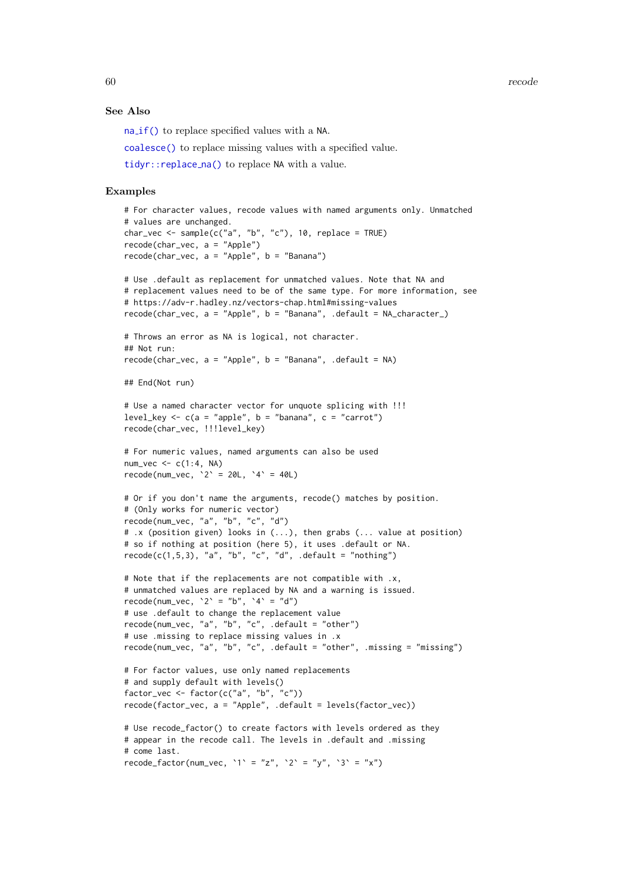60 recode

# See Also

na [if\(\)](#page-50-0) to replace specified values with a NA.

[coalesce\(\)](#page-13-0) to replace missing values with a specified value.

[tidyr::replace](#page-0-0) na() to replace NA with a value.

# Examples

```
# For character values, recode values with named arguments only. Unmatched
# values are unchanged.
char_vec <- sample(c("a", "b", "c"), 10, replace = TRUE)
recode(char_vec, a = "Apple")
recode(char_vec, a = "Apple", b = "Banana")
# Use .default as replacement for unmatched values. Note that NA and
# replacement values need to be of the same type. For more information, see
# https://adv-r.hadley.nz/vectors-chap.html#missing-values
recode(char_vec, a = "Apple", b = "Banana", .default = NA_character_)
# Throws an error as NA is logical, not character.
## Not run:
recode(char\_vec, a = "Apple", b = "Banana", .default = NA)## End(Not run)
# Use a named character vector for unquote splicing with !!!
level_key <- c(a = "apple", b = "banana", c = "carrot")recode(char_vec, !!!level_key)
# For numeric values, named arguments can also be used
num_vec <- c(1:4, NA)
recode(num_vec, 2' = 20L, 4' = 40L)
# Or if you don't name the arguments, recode() matches by position.
# (Only works for numeric vector)
recode(num_vec, "a", "b", "c", "d")
# .x (position given) looks in (...), then grabs (... value at position)
# so if nothing at position (here 5), it uses .default or NA.
recode(c(1,5,3), 'a'', 'b'', 'c'', 'd'', .default = "nothing")# Note that if the replacements are not compatible with .x,
# unmatched values are replaced by NA and a warning is issued.
recode(num_vec, '2' = "b", '4' = "d")
# use .default to change the replacement value
recode(num_vec, "a", "b", "c", .default = "other")
# use .missing to replace missing values in .x
recode(num_vec, "a", "b", "c", .default = "other", .missing = "missing")
# For factor values, use only named replacements
# and supply default with levels()
factor_vec <- factor(c("a", "b", "c"))
recode(factor_vec, a = "Apple", .default = levels(factor_vec))
# Use recode_factor() to create factors with levels ordered as they
# appear in the recode call. The levels in .default and .missing
# come last.
recode_factor(num_vec, `1` = "z", `2` = "y", `3` = "x")
```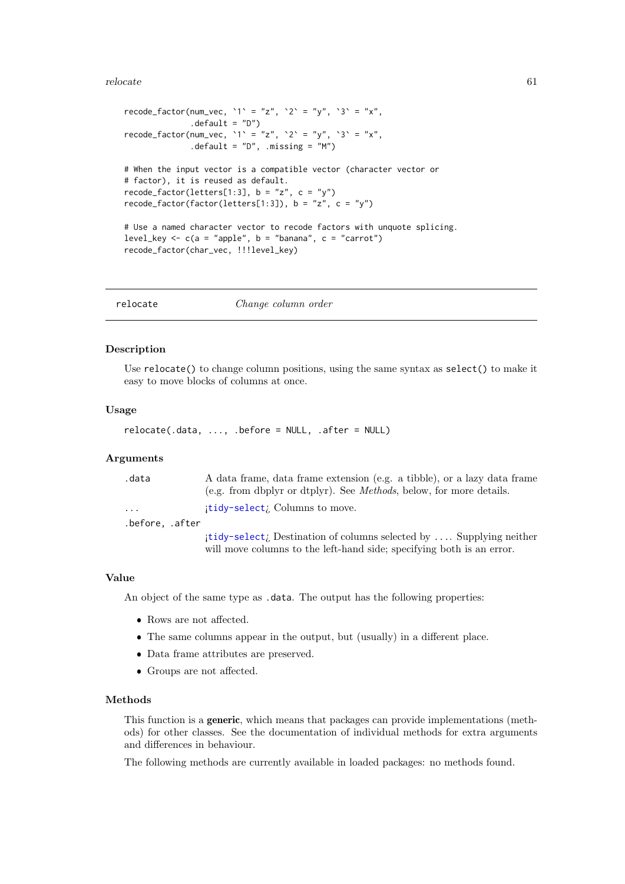## relocate 61

```
recode_factor(num_vec, `1` = "z", `2` = "y", `3` = "x",
              default = "D")recode_factor(num_vec, `1` = "z", `2` = "y", `3` = "x",
              \text{default} = "D", \text{ missing} = "M"# When the input vector is a compatible vector (character vector or
# factor), it is reused as default.
recode_factor(letters[1:3], b = "z", c = "y")recode_factor(factor(letters[1:3]), b = "z", c = "y")# Use a named character vector to recode factors with unquote splicing.
level_key \leq c(a = "apple", b = "banana", c = "carrot")
recode_factor(char_vec, !!!level_key)
```
<span id="page-60-0"></span>relocate Change column order

# Description

Use relocate() to change column positions, using the same syntax as select() to make it easy to move blocks of columns at once.

# Usage

```
relocate(.data, ..., .before = NULL, .after = NULL)
```
# Arguments

| .data                   | A data frame, data frame extension (e.g. a tibble), or a lazy data frame    |
|-------------------------|-----------------------------------------------------------------------------|
|                         | (e.g. from dbplyr or dtplyr). See <i>Methods</i> , below, for more details. |
| $\cdot$ $\cdot$ $\cdot$ | itidy-selecti Columns to move.                                              |
| .before, .after         |                                                                             |
|                         | itidy-selectic Destination of columns selected by  Supplying neither        |
|                         | will move columns to the left-hand side; specifying both is an error.       |

## Value

An object of the same type as .data. The output has the following properties:

- Rows are not affected.
- The same columns appear in the output, but (usually) in a different place.
- Data frame attributes are preserved.
- Groups are not affected.

#### Methods

This function is a generic, which means that packages can provide implementations (methods) for other classes. See the documentation of individual methods for extra arguments and differences in behaviour.

The following methods are currently available in loaded packages: no methods found.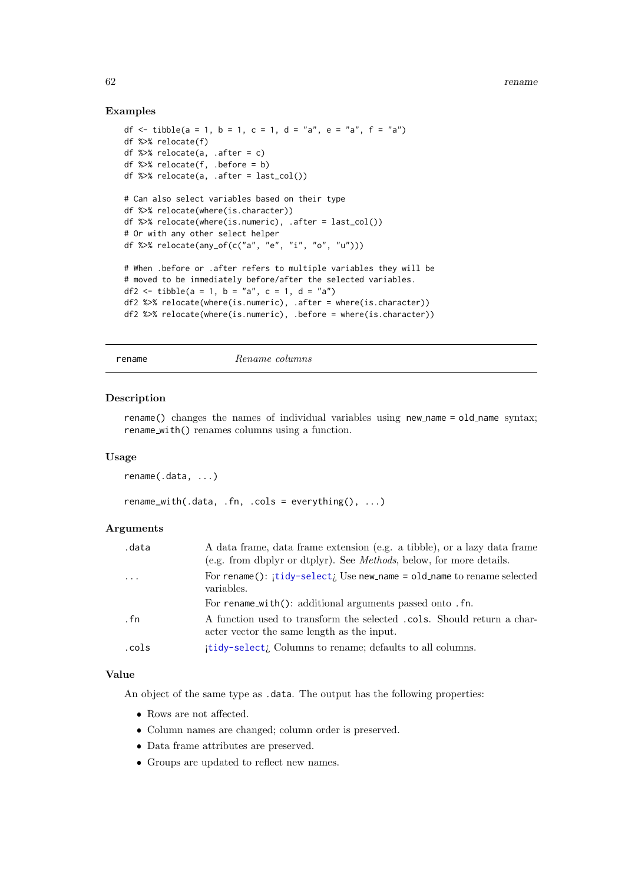# Examples

```
df <- tibble(a = 1, b = 1, c = 1, d = "a", e = "a", f = "a")
df %>% relocate(f)
df %>% relocate(a, .after = c)
df %>% relocate(f, .before = b)
df %>% relocate(a, .after = last_col())
# Can also select variables based on their type
df %>% relocate(where(is.character))
df %>% relocate(where(is.numeric), .after = last_col())
# Or with any other select helper
df %>% relocate(any_of(c("a", "e", "i", "o", "u")))
# When .before or .after refers to multiple variables they will be
# moved to be immediately before/after the selected variables.
df2 <- tibble(a = 1, b = "a", c = 1, d = "a")
df2 %>% relocate(where(is.numeric), .after = where(is.character))
df2 %>% relocate(where(is.numeric), .before = where(is.character))
```
<span id="page-61-0"></span>rename Rename columns

## Description

rename() changes the names of individual variables using new name = old\_name syntax; rename with() renames columns using a function.

# Usage

rename(.data, ...)

 $rename\_with(.data, .fn, .cols = everything(), . . .)$ 

## Arguments

| .data     | A data frame, data frame extension (e.g. a tibble), or a lazy data frame<br>(e.g. from dbplyr or dtplyr). See <i>Methods</i> , below, for more details. |
|-----------|---------------------------------------------------------------------------------------------------------------------------------------------------------|
| $\ddotsc$ | For rename(): itidy-select; Use new_name = old_name to rename selected<br>variables.                                                                    |
|           | For rename_with(): additional arguments passed onto .fn.                                                                                                |
| . fn      | A function used to transform the selected cols. Should return a char-<br>acter vector the same length as the input.                                     |
| .cols     | itidy-selecti Columns to rename; defaults to all columns.                                                                                               |

# Value

An object of the same type as .data. The output has the following properties:

- Rows are not affected.
- Column names are changed; column order is preserved.
- Data frame attributes are preserved.
- Groups are updated to reflect new names.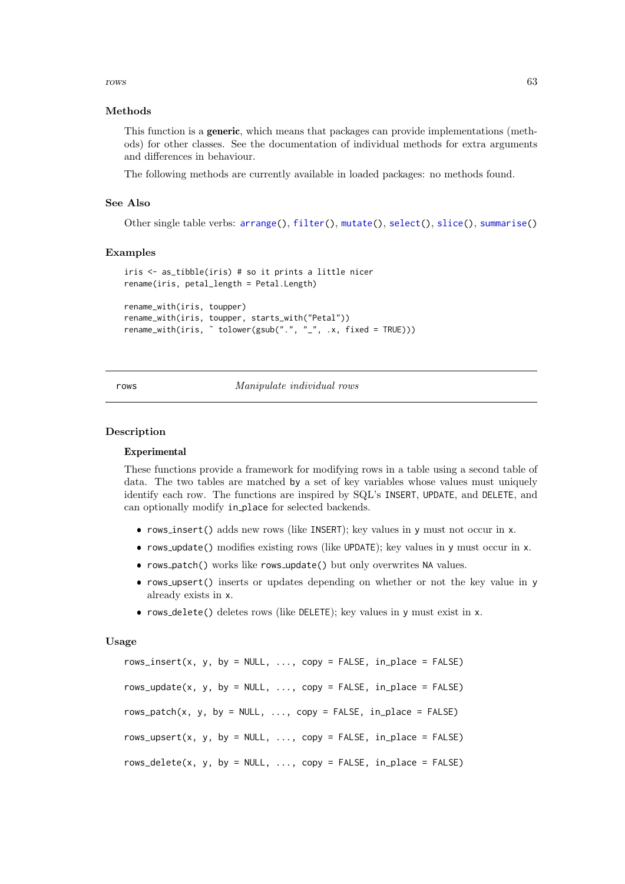$rows$  63

## Methods

This function is a generic, which means that packages can provide implementations (methods) for other classes. See the documentation of individual methods for extra arguments and differences in behaviour.

The following methods are currently available in loaded packages: no methods found.

# See Also

Other single table verbs: [arrange\(](#page-4-0)), [filter\(](#page-24-0)), [mutate\(](#page-40-1)), [select\(](#page-66-0)), [slice\(](#page-71-0)), [summarise\(](#page-76-0))

#### Examples

```
iris <- as_tibble(iris) # so it prints a little nicer
rename(iris, petal_length = Petal.Length)
rename_with(iris, toupper)
rename_with(iris, toupper, starts_with("Petal"))
```
rename\_with(iris, ˜ tolower(gsub(".", "\_", .x, fixed = TRUE)))

## rows Manipulate individual rows

#### Description

## Experimental

These functions provide a framework for modifying rows in a table using a second table of data. The two tables are matched by a set of key variables whose values must uniquely identify each row. The functions are inspired by SQL's INSERT, UPDATE, and DELETE, and can optionally modify in place for selected backends.

- rows insert() adds new rows (like INSERT); key values in y must not occur in x.
- rows update() modifies existing rows (like UPDATE); key values in y must occur in x.
- rows patch() works like rows update() but only overwrites NA values.
- rows upsert() inserts or updates depending on whether or not the key value in y already exists in x.
- rows delete() deletes rows (like DELETE); key values in y must exist in x.

## Usage

rows\_insert(x, y, by = NULL, ..., copy = FALSE, in\_place = FALSE) rows\_update(x, y, by = NULL,  $\ldots$ , copy = FALSE, in\_place = FALSE) rows\_patch(x, y, by = NULL,  $\ldots$ , copy = FALSE, in\_place = FALSE) rows\_upsert(x, y, by = NULL,  $\dots$ , copy = FALSE, in\_place = FALSE) rows\_delete(x, y, by = NULL,  $\ldots$ , copy = FALSE, in\_place = FALSE)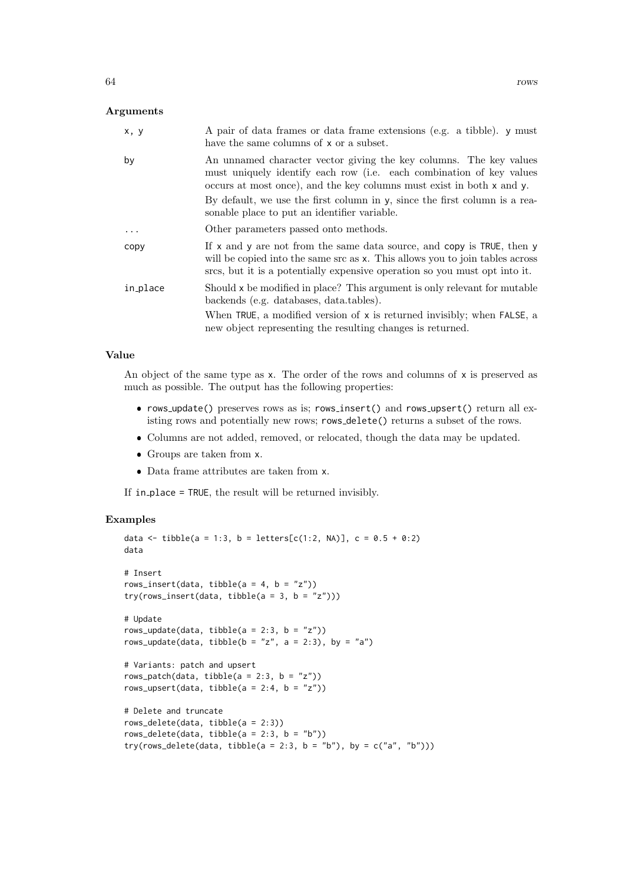# Arguments

| x, y     | A pair of data frames or data frame extensions (e.g. a tibble). y must<br>have the same columns of x or a subset.                                                                                                                          |
|----------|--------------------------------------------------------------------------------------------------------------------------------------------------------------------------------------------------------------------------------------------|
| by       | An unnamed character vector giving the key columns. The key values<br>must uniquely identify each row (i.e. each combination of key values<br>occurs at most once), and the key columns must exist in both x and y.                        |
|          | By default, we use the first column in y, since the first column is a rea-<br>sonable place to put an identifier variable.                                                                                                                 |
| .        | Other parameters passed onto methods.                                                                                                                                                                                                      |
| copy     | If $x$ and $y$ are not from the same data source, and copy is TRUE, then $y$<br>will be copied into the same src as x. This allows you to join tables across<br>srcs, but it is a potentially expensive operation so you must opt into it. |
| in_place | Should x be modified in place? This argument is only relevant for mutable<br>backends (e.g. databases, data.tables).                                                                                                                       |
|          | When TRUE, a modified version of x is returned invisibly; when FALSE, a<br>new object representing the resulting changes is returned.                                                                                                      |

# Value

An object of the same type as  $x$ . The order of the rows and columns of  $x$  is preserved as much as possible. The output has the following properties:

- rows\_update() preserves rows as is; rows\_insert() and rows\_upsert() return all existing rows and potentially new rows; rows delete() returns a subset of the rows.
- Columns are not added, removed, or relocated, though the data may be updated.
- Groups are taken from x.
- Data frame attributes are taken from x.

If in place = TRUE, the result will be returned invisibly.

# Examples

```
data <- tibble(a = 1:3, b = letters[c(1:2, NA)], c = 0.5 + 0:2)
data
# Insert
rows_insert(data, tibble(a = 4, b = "z"))
try(row \textsf{1} \textsf{insert}(\textsf{data}, \textsf{tible}(\textsf{a = 3, b = "z")))# Update
rows_update(data, tibble(a = 2:3, b = "z"))
rows_update(data, tibble(b = "z", a = 2:3), by = "a")
# Variants: patch and upsert
rows_patch(data, tibble(a = 2:3, b = "z"))
rows_upsert(data, tibble(a = 2:4, b = "z"))
# Delete and truncate
rows_delete(data, tibble(a = 2:3))
rows_delete(data, tibble(a = 2:3, b = "b"))
try(rows_delete(data, tibble(a = 2:3, b = "b"), by = c("a", "b")))
```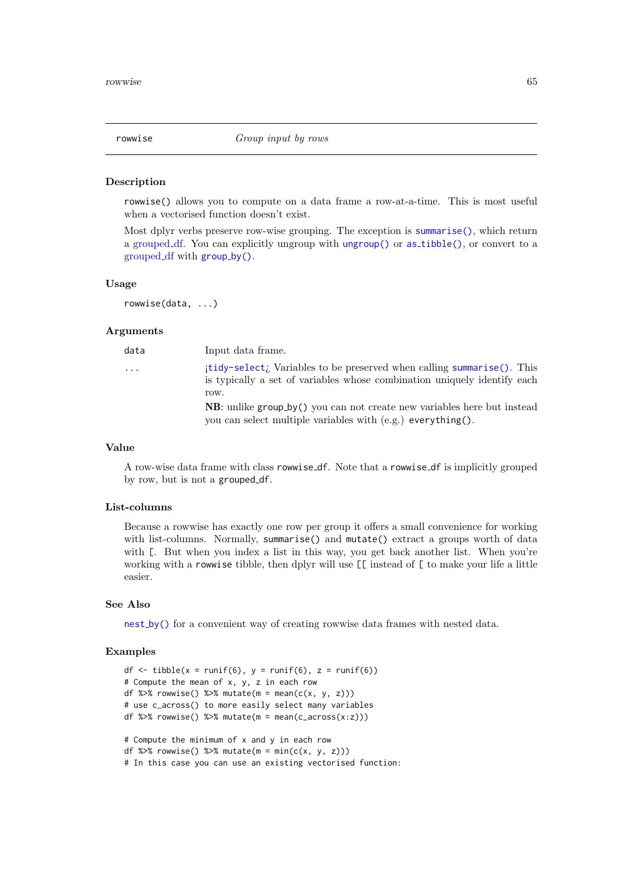#### Description

rowwise() allows you to compute on a data frame a row-at-a-time. This is most useful when a vectorised function doesn't exist.

Most dplyr verbs preserve row-wise grouping. The exception is [summarise\(\)](#page-76-0), which return a [grouped](#page-0-0) df. You can explicitly ungroup with [ungroup\(\)](#page-29-1) or as [tibble\(\)](#page-0-0), or convert to a [grouped](#page-0-0) df with [group](#page-29-0) by().

# Usage

rowwise(data, ...)

## Arguments

| data                    | Input data frame.                                                                                                                                          |
|-------------------------|------------------------------------------------------------------------------------------------------------------------------------------------------------|
| $\cdot$ $\cdot$ $\cdot$ | itidy-select; Variables to be preserved when calling summarise(). This<br>is typically a set of variables whose combination uniquely identify each<br>row. |
|                         | $NB:$ unlike group by () you can not create new variables here but instead<br>you can select multiple variables with (e.g.) everything().                  |

#### Value

A row-wise data frame with class rowwise df. Note that a rowwise df is implicitly grouped by row, but is not a grouped df.

## List-columns

Because a rowwise has exactly one row per group it offers a small convenience for working with list-columns. Normally, summarise() and mutate() extract a groups worth of data with [. But when you index a list in this way, you get back another list. When you're working with a rowwise tibble, then dplyr will use [[ instead of [ to make your life a little easier.

## See Also

nest [by\(\)](#page-0-0) for a convenient way of creating rowwise data frames with nested data.

## Examples

```
df \leftarrow tibble(x = runif(6), y = runif(6), z = runif(6))
# Compute the mean of x, y, z in each row
df %>% rowwise() %>% mutate(m = mean(c(x, y, z)))
# use c_across() to more easily select many variables
df %>% rowwise() %>% mutate(m = mean(c_2, c_3))
# Compute the minimum of x and y in each row
df %\gg% rowwise() %\gg% mutate(m = min(c(x, y, z)))
# In this case you can use an existing vectorised function:
```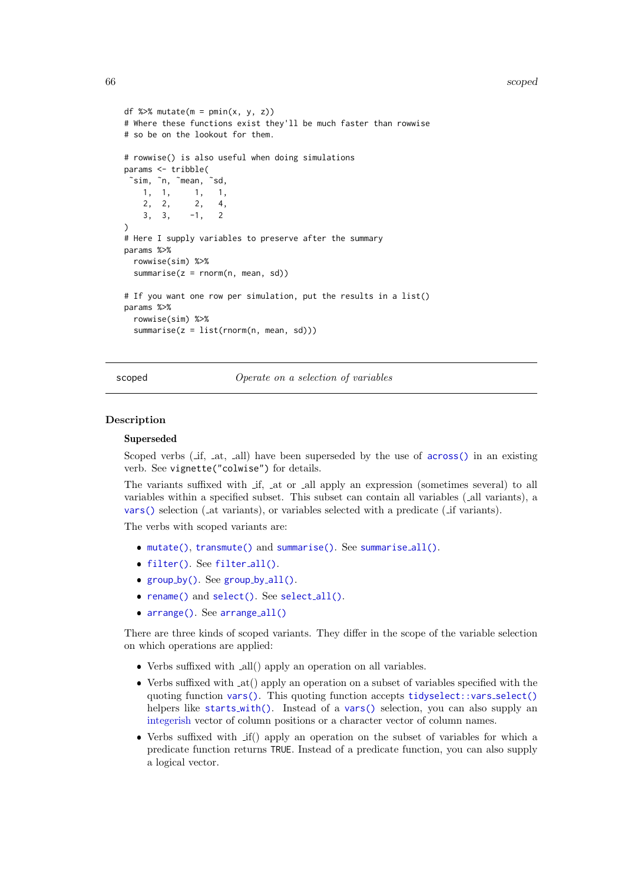```
df %>% mutate(m = pmin(x, y, z))
# Where these functions exist they'll be much faster than rowwise
# so be on the lookout for them.
# rowwise() is also useful when doing simulations
params <- tribble(
 ~\sin n, ~\sin n, ~\sin n, ~\sin n, ~\sin n, ~\sin n, ~\sin n, ~
                1, 1, 1, 1,
    2, 2, 2, 4,
    3, 3, -1, 2\lambda# Here I supply variables to preserve after the summary
params %>%
  rowwise(sim) %>%
  summarise(z = \text{rnorm}(n, \text{mean}, \text{sd}))
# If you want one row per simulation, put the results in a list()
params %>%
  rowwise(sim) %>%
  summarise(z = list(rnorm(n, mean, sd)))
```
<span id="page-65-0"></span>scoped  $Operate$  on a selection of variables

## Description

#### Superseded

Scoped verbs ( $\text{if, at, all}$ ) have been superseded by the use of  $\text{across}()$  in an existing verb. See vignette("colwise") for details.

The variants suffixed with if, at or all apply an expression (sometimes several) to all variables within a specified subset. This subset can contain all variables ( all variants), a [vars\(\)](#page-81-0) selection ( at variants), or variables selected with a predicate ( if variants).

The verbs with scoped variants are:

- [mutate\(\)](#page-40-1), [transmute\(\)](#page-40-0) and [summarise\(\)](#page-76-0). See [summarise](#page-78-0)\_all().
- [filter\(\)](#page-24-0). See [filter](#page-28-0)\_all().
- [group](#page-29-0) by(). See [group](#page-31-0) by all().
- [rename\(\)](#page-61-0) and [select\(\)](#page-66-0). See [select](#page-0-0)\_all().
- [arrange\(\)](#page-4-0). See [arrange](#page-6-0)\_all()

There are three kinds of scoped variants. They differ in the scope of the variable selection on which operations are applied:

- Verbs suffixed with all() apply an operation on all variables.
- Verbs suffixed with at() apply an operation on a subset of variables specified with the quoting function [vars\(\)](#page-81-0). This quoting function accepts [tidyselect::vars](#page-0-0)\_select() helpers like [starts](#page-0-0) with(). Instead of a [vars\(\)](#page-81-0) selection, you can also supply an [integerish](#page-0-0) vector of column positions or a character vector of column names.
- Verbs suffixed with if() apply an operation on the subset of variables for which a predicate function returns TRUE. Instead of a predicate function, you can also supply a logical vector.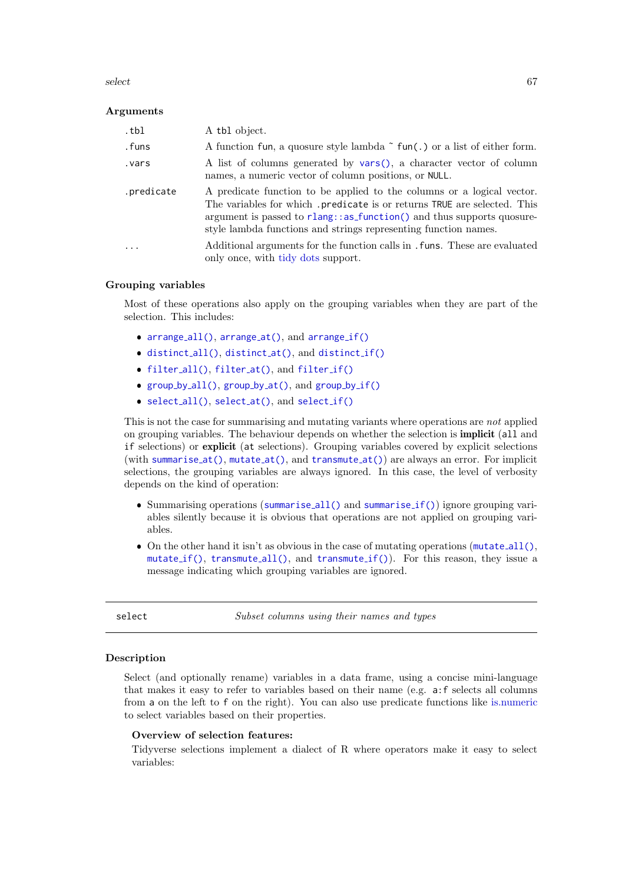#### select 67

## Arguments

| .tbl       | A tbl object.                                                                                                                                                                                                                                                                                     |
|------------|---------------------------------------------------------------------------------------------------------------------------------------------------------------------------------------------------------------------------------------------------------------------------------------------------|
| .funs      | A function fun, a quosure style lambda $\tilde{\ }$ fun(.) or a list of either form.                                                                                                                                                                                                              |
| .vars      | A list of columns generated by vars(), a character vector of column<br>names, a numeric vector of column positions, or NULL.                                                                                                                                                                      |
| .predicate | A predicate function to be applied to the columns or a logical vector.<br>The variables for which .predicate is or returns TRUE are selected. This<br>argument is passed to rlang: : as function () and thus supports quosure-<br>style lambda functions and strings representing function names. |
|            | Additional arguments for the function calls in . funs. These are evaluated<br>only once, with tidy dots support.                                                                                                                                                                                  |

#### Grouping variables

Most of these operations also apply on the grouping variables when they are part of the selection. This includes:

- [arrange](#page-6-1)\_all(), arrange\_at(), and arrange\_if()
- [distinct](#page-22-1)\_all(), distinct\_at(), and distinct\_if()
- [filter](#page-28-1)\_all(), filter\_at(), and filter\_if()
- [group](#page-31-1)\_by\_all(), group\_by\_at(), and group\_by\_if()
- [select](#page-0-0)\_all(), select\_at(), and select\_if()

This is not the case for summarising and mutating variants where operations are not applied on grouping variables. The behaviour depends on whether the selection is implicit (all and if selections) or explicit (at selections). Grouping variables covered by explicit selections (with [summarise](#page-78-1)\_at(), [mutate](#page-47-0)\_at(), and [transmute](#page-47-0)\_at()) are always an error. For implicit selections, the grouping variables are always ignored. In this case, the level of verbosity depends on the kind of operation:

- Summarising operations ([summarise](#page-78-1)\_all() and summarise\_if()) ignore grouping variables silently because it is obvious that operations are not applied on grouping variables.
- $\bullet$  On the other hand it isn't as obvious in the case of mutating operations ([mutate](#page-47-1)\_all(), [mutate](#page-47-0)\_if(), [transmute](#page-47-0)\_all(), and transmute\_if()). For this reason, they issue a message indicating which grouping variables are ignored.

<span id="page-66-0"></span>select Subset columns using their names and types

#### Description

Select (and optionally rename) variables in a data frame, using a concise mini-language that makes it easy to refer to variables based on their name (e.g. a:f selects all columns from a on the left to f on the right). You can also use predicate functions like [is.numeric](#page-0-0) to select variables based on their properties.

## Overview of selection features:

Tidyverse selections implement a dialect of R where operators make it easy to select variables: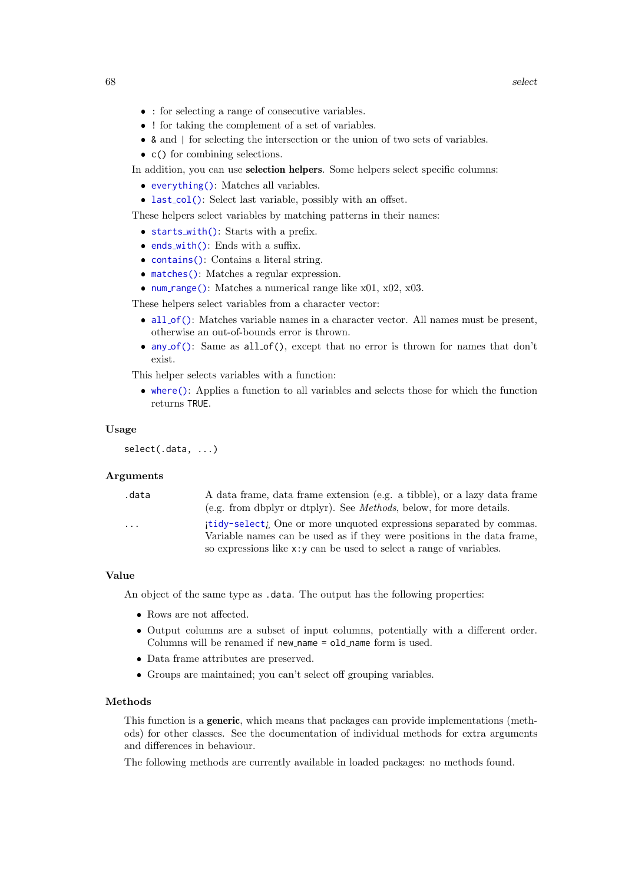- : for selecting a range of consecutive variables.
- ! for taking the complement of a set of variables.
- & and | for selecting the intersection or the union of two sets of variables.
- c() for combining selections.

In addition, you can use selection helpers. Some helpers select specific columns:

- [everything\(\)](#page-0-0): Matches all variables.
- last\_[col\(\)](#page-0-0): Select last variable, possibly with an offset.

These helpers select variables by matching patterns in their names:

- [starts](#page-0-0)\_with(): Starts with a prefix.
- ends\_[with\(\)](#page-0-0): Ends with a suffix.
- [contains\(\)](#page-0-0): Contains a literal string.
- [matches\(\)](#page-0-0): Matches a regular expression.
- num\_[range\(\)](#page-0-0): Matches a numerical range like  $x01$ ,  $x02$ ,  $x03$ .

These helpers select variables from a character vector:

- all\_[of\(\)](#page-0-0): Matches variable names in a character vector. All names must be present, otherwise an out-of-bounds error is thrown.
- any [of\(\)](#page-0-0): Same as all of(), except that no error is thrown for names that don't exist.

This helper selects variables with a function:

 [where\(\)](#page-0-0): Applies a function to all variables and selects those for which the function returns TRUE.

## Usage

```
select(.data, ...)
```
## Arguments

| .data    | A data frame, data frame extension (e.g. a tibble), or a lazy data frame<br>(e.g. from dbplyr or dtplyr). See <i>Methods</i> , below, for more details. |
|----------|---------------------------------------------------------------------------------------------------------------------------------------------------------|
| $\cdots$ | itidy-select; One or more unquoted expressions separated by commas.<br>Variable names can be used as if they were positions in the data frame.          |
|          | so expressions like $x : y$ can be used to select a range of variables.                                                                                 |

# Value

An object of the same type as .data. The output has the following properties:

- Rows are not affected.
- Output columns are a subset of input columns, potentially with a different order. Columns will be renamed if new name = old name form is used.
- Data frame attributes are preserved.
- Groups are maintained; you can't select off grouping variables.

#### Methods

This function is a generic, which means that packages can provide implementations (methods) for other classes. See the documentation of individual methods for extra arguments and differences in behaviour.

The following methods are currently available in loaded packages: no methods found.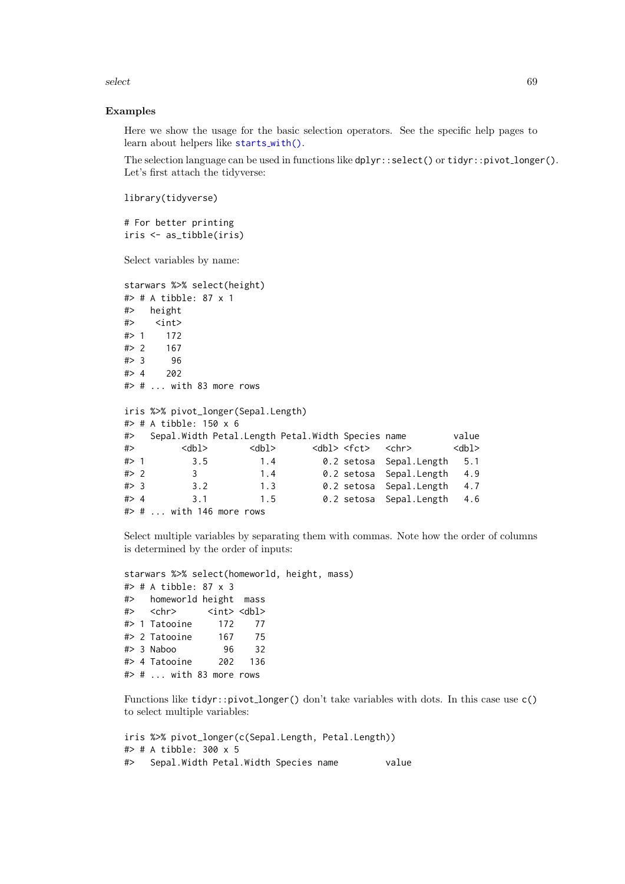select 69

## Examples

Here we show the usage for the basic selection operators. See the specific help pages to learn about helpers like [starts](#page-0-0)\_with().

The selection language can be used in functions like  $dplyr::select()$  or  $tidyr::pivot\_longer()$ . Let's first attach the tidyverse:

library(tidyverse)

# For better printing iris <- as\_tibble(iris)

Select variables by name:

```
starwars %>% select(height)
#> # A tibble: 87 x 1
#> height
#> <int>
#> 1 172
#> 2 167
#> 3 96
# > 4 202
#> # ... with 83 more rows
iris %>% pivot_longer(Sepal.Length)
#> # A tibble: 150 x 6
#> Sepal.Width Petal.Length Petal.Width Species name value
#> <dbl> <dbl> <dbl> <fct> <chr> <dbl>
#> 1 3.5 1.4 0.2 setosa Sepal.Length 5.1
#> 2 3 1.4 0.2 setosa Sepal.Length 4.9
#> 3 3.2 1.3 0.2 setosa Sepal.Length 4.7
#> 4 3.1 1.5 0.2 setosa Sepal.Length 4.6
#> # ... with 146 more rows
```
Select multiple variables by separating them with commas. Note how the order of columns is determined by the order of inputs:

```
starwars %>% select(homeworld, height, mass)
#> # A tibble: 87 x 3
#> homeworld height mass
#> <chr> <int> <dbl>
#> 1 Tatooine 172 77
#> 2 Tatooine 167 75
#> 3 Naboo 96 32
#> 4 Tatooine 202 136
#> # ... with 83 more rows
```
Functions like tidyr::pivot\_longer() don't take variables with dots. In this case use c() to select multiple variables:

```
iris %>% pivot_longer(c(Sepal.Length, Petal.Length))
#> # A tibble: 300 x 5
#> Sepal.Width Petal.Width Species name value
```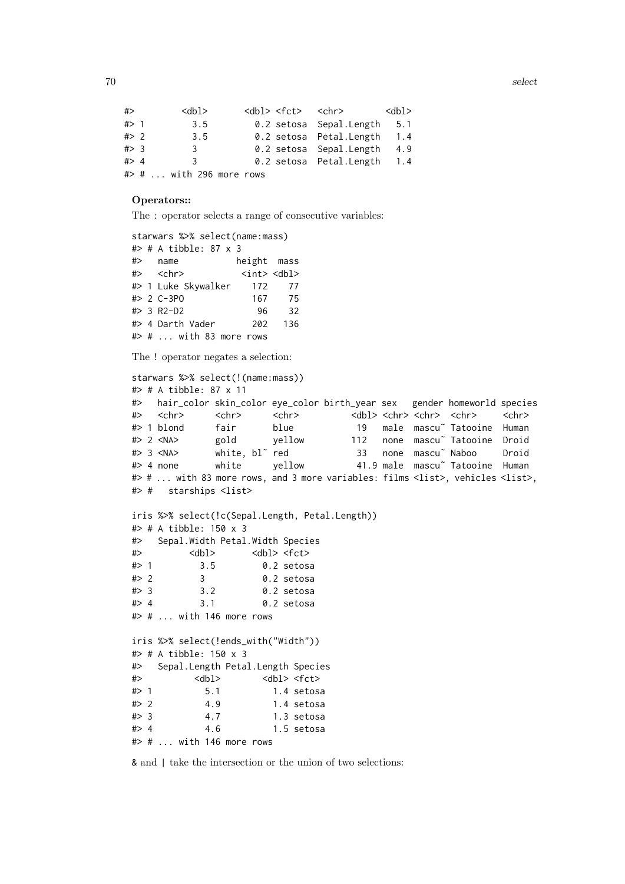```
#> <dbl> <dbl> <fct> <chr> <dbl>
#> 1 3.5 0.2 setosa Sepal.Length 5.1
#> 2 3.5 0.2 setosa Petal.Length 1.4
#> 3 3 0.2 setosa Sepal.Length 4.9
#> 4 3 0.2 setosa Petal.Length 1.4
#> # ... with 296 more rows
```
# Operators::

The : operator selects a range of consecutive variables:

```
starwars %>% select(name:mass)
#> # A tibble: 87 x 3
#> name height mass
#> <chr> <int> <dbl>
#> 1 Luke Skywalker 172 77
#> 2 C-3PO 167 75
#> 3 R2-D2 96 32
#> 4 Darth Vader 202 136
#> # ... with 83 more rows
```
The ! operator negates a selection:

```
starwars %>% select(!(name:mass))
#> # A tibble: 87 x 11
#> hair_color skin_color eye_color birth_year sex gender homeworld species
#> <chr> <chr> <chr> <dbl> <chr> <chr> <chr> <chr>
#> 1 blond fair blue 19 male mascu˜ Tatooine Human
#> 2 <NA> gold yellow 112 none mascu˜ Tatooine Droid
#> 3 <NA> white, bl˜ red 33 none mascu˜ Naboo Droid
#> 4 none white yellow 41.9 male mascu˜ Tatooine Human
#> # ... with 83 more rows, and 3 more variables: films <list>, vehicles <list>,
#> # starships <list>
iris %>% select(!c(Sepal.Length, Petal.Length))
#> # A tibble: 150 x 3
#> Sepal.Width Petal.Width Species
#> <dbl> <dbl> <fct>
#> 1 3.5 0.2 setosa
#> 2 3 0.2 setosa
#> 3 3.2 0.2 setosa
#> 4 3.1 0.2 setosa
# # ... with 146 more rows
iris %>% select(!ends_with("Width"))
#> # A tibble: 150 x 3
#> Sepal.Length Petal.Length Species
#> <dbl> <dbl> <fct>
#> 1 5.1 1.4 setosa
#> 2 4.9 1.4 setosa
#> 3 4.7 1.3 setosa
# > 4 4.6 1.5 setosa
#> # ... with 146 more rows
```
& and | take the intersection or the union of two selections: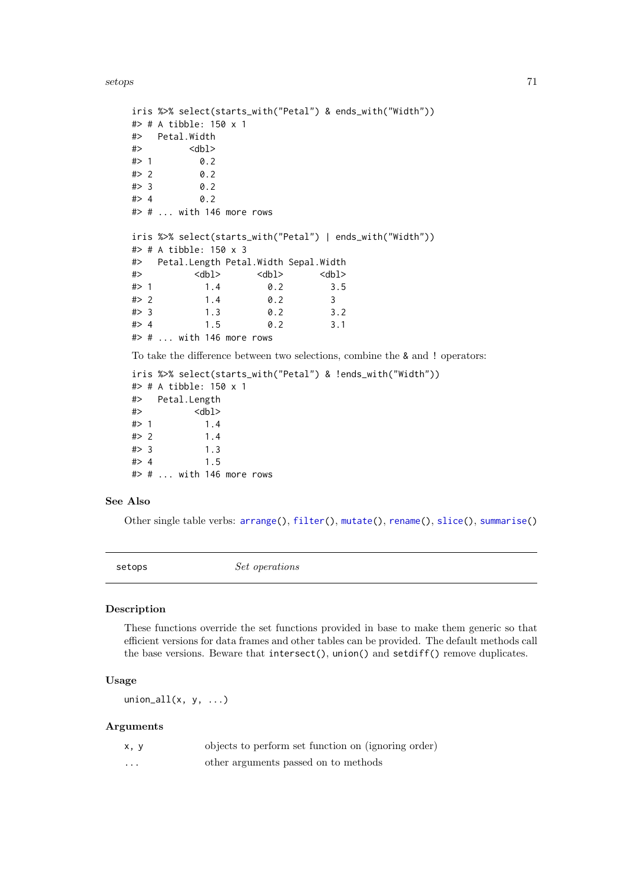setops 71

```
iris %>% select(starts_with("Petal") & ends_with("Width"))
#> # A tibble: 150 x 1
#> Petal.Width
#> <dbl>
# > 1 0.2
# > 2 0.2
# > 3 0.2
# > 4 0.2
#> # ... with 146 more rows
iris %>% select(starts_with("Petal") | ends_with("Width"))
#> # A tibble: 150 x 3
#> Petal.Length Petal.Width Sepal.Width
\Rightarrow \langle \text{db} \rangle \langle \text{db} \rangle \langle \text{db} \rangle#> 1 1.4 0.2 3.5
# > 2 1.4 0.2 3
#> 3 1.3 0.2 3.2
#> 4 1.5 0.2 3.1
#> # ... with 146 more rows
To take the difference between two selections, combine the & and ! operators:
iris %>% select(starts_with("Petal") & !ends_with("Width"))
#> # A tibble: 150 x 1
#> Petal.Length
#> <dbl>
# 1.4
# > 2 1.4
# > 3 1.3
```
#### $# > 4$  1.5 #> # ... with 146 more rows

# See Also

Other single table verbs: [arrange\(](#page-4-0)), [filter\(](#page-24-0)), [mutate\(](#page-40-1)), [rename\(](#page-61-0)), [slice\(](#page-71-0)), [summarise\(](#page-76-0))

setops Set operations

## Description

These functions override the set functions provided in base to make them generic so that efficient versions for data frames and other tables can be provided. The default methods call the base versions. Beware that intersect(), union() and setdiff() remove duplicates.

## Usage

union\_all $(x, y, \ldots)$ 

#### Arguments

| x, y     | objects to perform set function on (ignoring order) |
|----------|-----------------------------------------------------|
| $\cdots$ | other arguments passed on to methods                |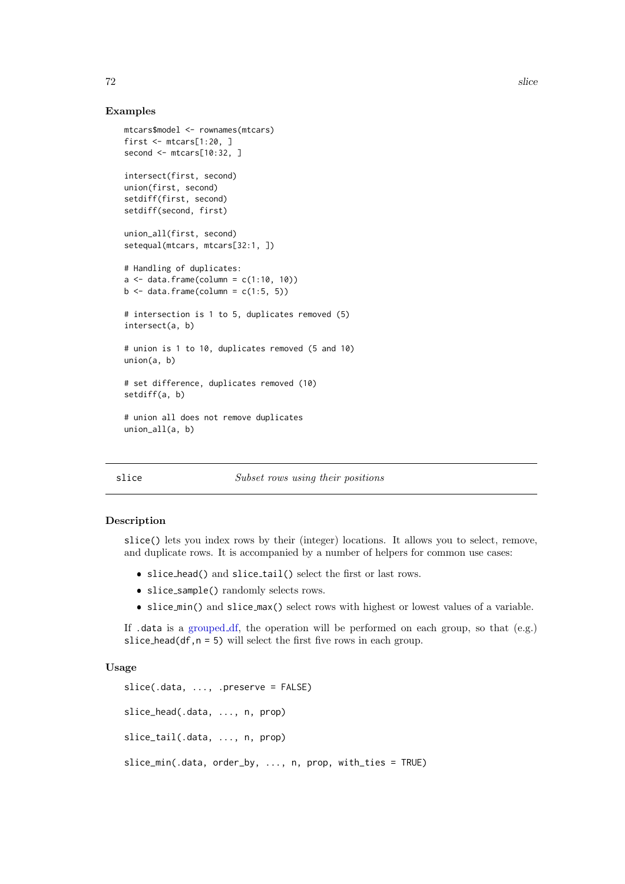# Examples

```
mtcars$model <- rownames(mtcars)
first \leq mtcars[1:20, ]
second <- mtcars[10:32, ]
intersect(first, second)
union(first, second)
setdiff(first, second)
setdiff(second, first)
union_all(first, second)
setequal(mtcars, mtcars[32:1, ])
# Handling of duplicates:
a \leq - data.frame(column = c(1:10, 10))
b \leftarrow data . frame(column = <math>c(1:5, 5)</math>)# intersection is 1 to 5, duplicates removed (5)
intersect(a, b)
# union is 1 to 10, duplicates removed (5 and 10)
union(a, b)
# set difference, duplicates removed (10)
setdiff(a, b)
# union all does not remove duplicates
union_all(a, b)
```
# <span id="page-71-0"></span>slice Subset rows using their positions

#### Description

slice() lets you index rows by their (integer) locations. It allows you to select, remove, and duplicate rows. It is accompanied by a number of helpers for common use cases:

- slice\_head() and slice\_tail() select the first or last rows.
- slice\_sample() randomly selects rows.
- slice min() and slice max() select rows with highest or lowest values of a variable.

If  $d$  data is a [grouped](#page-0-0) df, the operation will be performed on each group, so that  $(e.g.)$ slice head(df,  $n = 5$ ) will select the first five rows in each group.

# Usage

```
slice(.data, ..., .preserve = FALSE)
slice_head(.data, ..., n, prop)
slice_tail(.data, ..., n, prop)
slice_min(.data, order_by, ..., n, prop, with_ties = TRUE)
```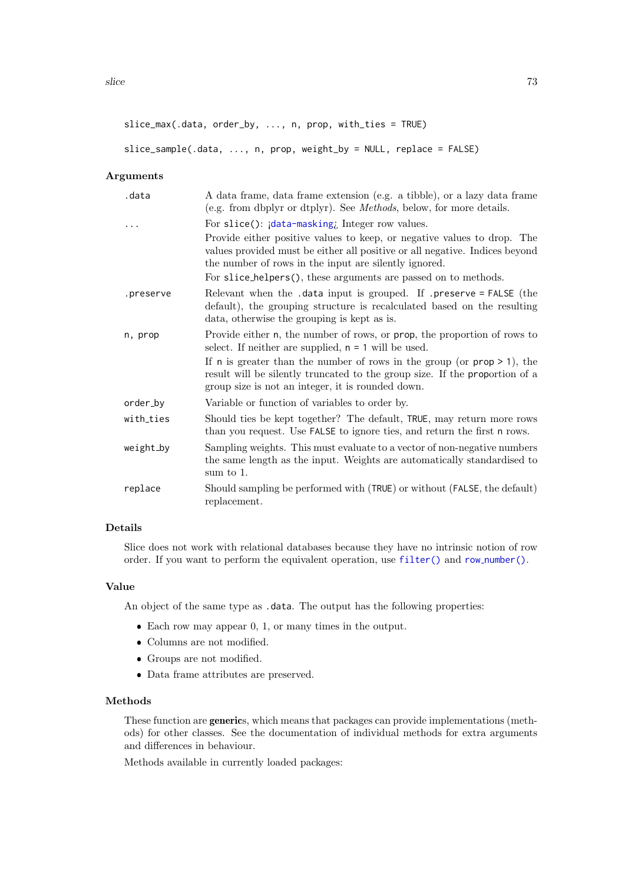```
slice_max(.data, order_by, ..., n, prop, with_ties = TRUE)
```

```
slice_sample(.data, ..., n, prop, weight_by = NULL, replace = FALSE)
```
#### Arguments

| .data     | A data frame, data frame extension (e.g. a tibble), or a lazy data frame<br>(e.g. from dbplyr or dtplyr). See <i>Methods</i> , below, for more details.                                                             |
|-----------|---------------------------------------------------------------------------------------------------------------------------------------------------------------------------------------------------------------------|
|           | For slice(): idata-masking, Integer row values.                                                                                                                                                                     |
|           | Provide either positive values to keep, or negative values to drop. The<br>values provided must be either all positive or all negative. Indices beyond<br>the number of rows in the input are silently ignored.     |
|           | For slice_helpers(), these arguments are passed on to methods.                                                                                                                                                      |
| .preserve | Relevant when the .data input is grouped. If .preserve = FALSE (the<br>default), the grouping structure is recalculated based on the resulting<br>data, otherwise the grouping is kept as is.                       |
| n, prop   | Provide either n, the number of rows, or prop, the proportion of rows to<br>select. If neither are supplied, $n = 1$ will be used.                                                                                  |
|           | If $n$ is greater than the number of rows in the group (or $prop \geq 1$ ), the<br>result will be silently truncated to the group size. If the proportion of a<br>group size is not an integer, it is rounded down. |
| order_by  | Variable or function of variables to order by.                                                                                                                                                                      |
| with_ties | Should ties be kept together? The default, TRUE, may return more rows<br>than you request. Use FALSE to ignore ties, and return the first n rows.                                                                   |
| weight_by | Sampling weights. This must evaluate to a vector of non-negative numbers<br>the same length as the input. Weights are automatically standardised to<br>sum to 1.                                                    |
| replace   | Should sampling be performed with (TRUE) or without (FALSE, the default)<br>replacement.                                                                                                                            |

# Details

Slice does not work with relational databases because they have no intrinsic notion of row order. If you want to perform the equivalent operation, use [filter\(\)](#page-24-0) and row [number\(\)](#page-56-0).

### Value

An object of the same type as .data. The output has the following properties:

- Each row may appear 0, 1, or many times in the output.
- Columns are not modified.
- Groups are not modified.
- Data frame attributes are preserved.

#### Methods

These function are generics, which means that packages can provide implementations (methods) for other classes. See the documentation of individual methods for extra arguments and differences in behaviour.

Methods available in currently loaded packages: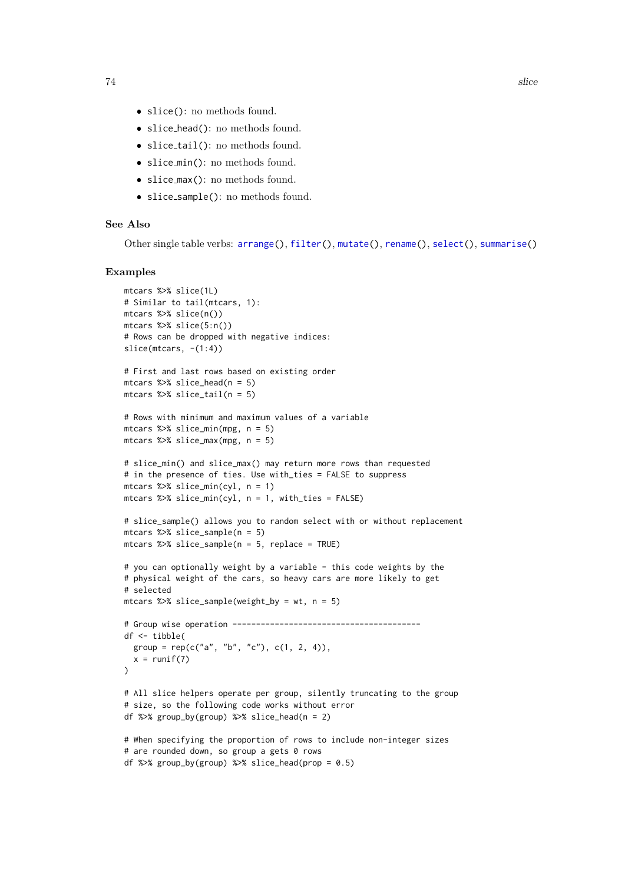- <span id="page-73-0"></span>slice(): no methods found.
- slice head(): no methods found.
- slice\_tail(): no methods found.
- slice min(): no methods found.
- slice\_max(): no methods found.
- slice\_sample(): no methods found.

# See Also

Other single table verbs: [arrange\(](#page-4-0)), [filter\(](#page-24-0)), [mutate\(](#page-40-0)), [rename\(](#page-61-0)), [select\(](#page-66-0)), [summarise\(](#page-76-0))

#### Examples

```
mtcars %>% slice(1L)
# Similar to tail(mtcars, 1):
mtcars %>% slice(n())
mtcars %>% slice(5:n())
# Rows can be dropped with negative indices:
slice(mtcars, -(1:4))
# First and last rows based on existing order
mtcars %>% slice_head(n = 5)
mtcars %>% slice_tail(n = 5)
# Rows with minimum and maximum values of a variable
mtcars %>% slice_min(mpg, n = 5)
mtcars %>% slice_max(mpg, n = 5)
# slice_min() and slice_max() may return more rows than requested
# in the presence of ties. Use with_ties = FALSE to suppress
mtcars %>% slice_min(cyl, n = 1)
mtcars %>% slice_min(cyl, n = 1, with_ties = FALSE)
# slice_sample() allows you to random select with or without replacement
mtcars %>% slice_sample(n = 5)
mtcars %>% slice_sample(n = 5, replace = TRUE)
# you can optionally weight by a variable - this code weights by the
# physical weight of the cars, so heavy cars are more likely to get
# selected
mtcars %>% slice_sample(weight_by = wt, n = 5)
# Group wise operation ----------------------------------------
df <- tibble(
  group = rep(c("a", "b", "c"), c(1, 2, 4)),x = runif(7))
# All slice helpers operate per group, silently truncating to the group
# size, so the following code works without error
df %>% group_by(group) %>% slice_head(n = 2)
# When specifying the proportion of rows to include non-integer sizes
# are rounded down, so group a gets 0 rows
```

```
df %>% group_by(group) %>% slice_head(prop = 0.5)
```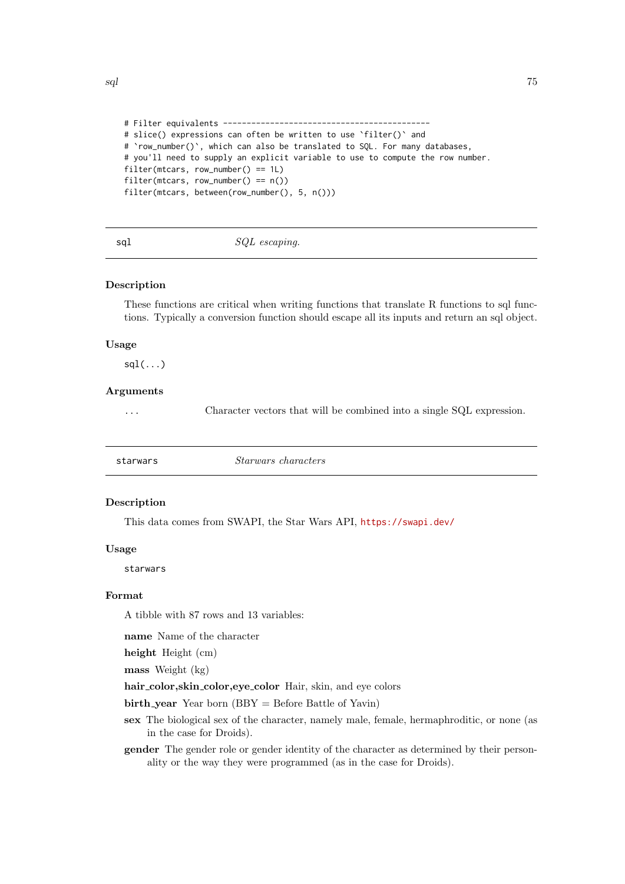```
# Filter equivalents --------------------------------------------
# slice() expressions can often be written to use 'filter()' and
# `row_number()`, which can also be translated to SQL. For many databases,
# you'll need to supply an explicit variable to use to compute the row number.
filter(mtcars, row_number() == 1L)
filter(mtcars, row_number() == n())
filter(mtcars, between(row_number(), 5, n()))
```
sql  $SQL\ escaping.$ 

#### Description

These functions are critical when writing functions that translate R functions to sql functions. Typically a conversion function should escape all its inputs and return an sql object.

#### Usage

 $sdl(...)$ 

#### Arguments

... Character vectors that will be combined into a single SQL expression.

| <i>Starwars characters</i><br>starwars |  |
|----------------------------------------|--|
|----------------------------------------|--|

# Description

This data comes from SWAPI, the Star Wars API, <https://swapi.dev/>

# Usage

starwars

# Format

A tibble with 87 rows and 13 variables:

name Name of the character

height Height (cm)

mass Weight (kg)

hair\_color,skin\_color,eye\_color Hair, skin, and eye colors

 $birth\_year$  Year born (BBY = Before Battle of Yavin)

sex The biological sex of the character, namely male, female, hermaphroditic, or none (as in the case for Droids).

gender The gender role or gender identity of the character as determined by their personality or the way they were programmed (as in the case for Droids).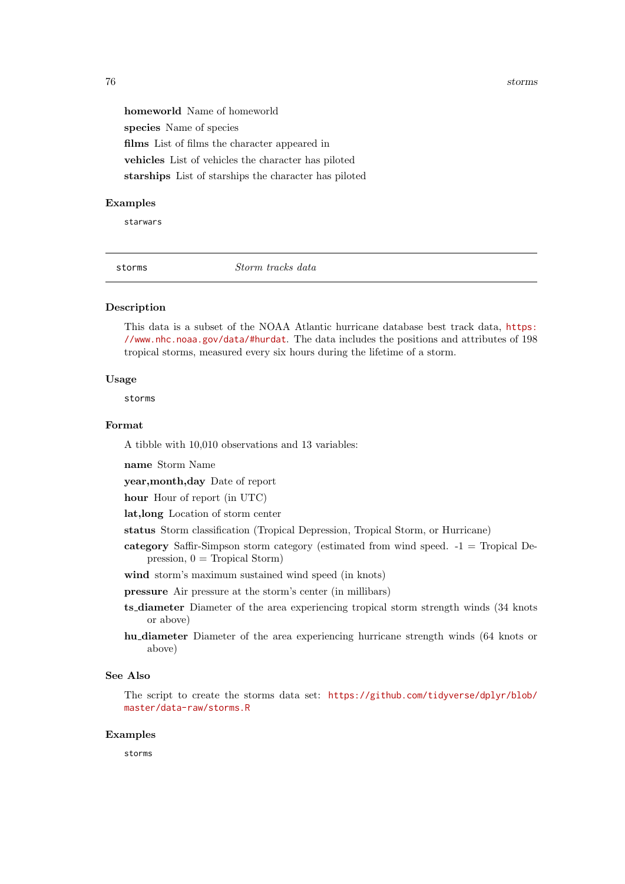<span id="page-75-0"></span>76 storms

homeworld Name of homeworld species Name of species films List of films the character appeared in vehicles List of vehicles the character has piloted starships List of starships the character has piloted

### Examples

starwars

storms Storm tracks data

# Description

This data is a subset of the NOAA Atlantic hurricane database best track data, [https:](https://www.nhc.noaa.gov/data/#hurdat) [//www.nhc.noaa.gov/data/#hurdat](https://www.nhc.noaa.gov/data/#hurdat). The data includes the positions and attributes of 198 tropical storms, measured every six hours during the lifetime of a storm.

#### Usage

storms

# Format

A tibble with 10,010 observations and 13 variables:

name Storm Name

year,month,day Date of report

hour Hour of report (in UTC)

lat,long Location of storm center

status Storm classification (Tropical Depression, Tropical Storm, or Hurricane)

- category Saffir-Simpson storm category (estimated from wind speed. -1 = Tropical Depression,  $0 =$  Tropical Storm)
- wind storm's maximum sustained wind speed (in knots)

pressure Air pressure at the storm's center (in millibars)

- ts diameter Diameter of the area experiencing tropical storm strength winds (34 knots or above)
- hu diameter Diameter of the area experiencing hurricane strength winds (64 knots or above)

# See Also

The script to create the storms data set: [https://github.com/tidyverse/dplyr/blob/](https://github.com/tidyverse/dplyr/blob/master/data-raw/storms.R) [master/data-raw/storms.R](https://github.com/tidyverse/dplyr/blob/master/data-raw/storms.R)

#### Examples

storms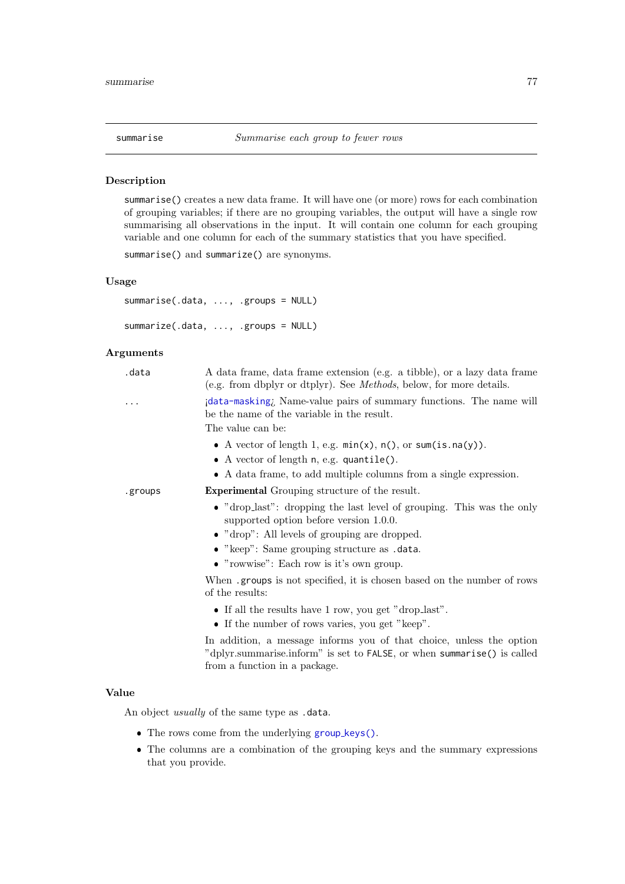<span id="page-76-1"></span><span id="page-76-0"></span>

### Description

summarise() creates a new data frame. It will have one (or more) rows for each combination of grouping variables; if there are no grouping variables, the output will have a single row summarising all observations in the input. It will contain one column for each grouping variable and one column for each of the summary statistics that you have specified.

summarise() and summarize() are synonyms.

# Usage

```
summarise(.data, ..., .groups = NULL)
summarize(.data, ..., .groups = NULL)
```
# Arguments

| .data    | A data frame, data frame extension (e.g. a tibble), or a lazy data frame<br>(e.g. from dbplyr or dtplyr). See <i>Methods</i> , below, for more details.                          |
|----------|----------------------------------------------------------------------------------------------------------------------------------------------------------------------------------|
| $\cdots$ | idata-masking. Name-value pairs of summary functions. The name will<br>be the name of the variable in the result.                                                                |
|          | The value can be:                                                                                                                                                                |
|          | • A vector of length 1, e.g. $min(x)$ , $n()$ , or $sum(is.na(y))$ .                                                                                                             |
|          | • A vector of length $n$ , e.g. quantile().                                                                                                                                      |
|          | • A data frame, to add multiple columns from a single expression.                                                                                                                |
| .groups  | <b>Experimental</b> Grouping structure of the result.                                                                                                                            |
|          | • "drop_last": dropping the last level of grouping. This was the only<br>supported option before version 1.0.0.                                                                  |
|          | $\bullet$ "drop": All levels of grouping are dropped.                                                                                                                            |
|          | • "keep": Same grouping structure as .data.                                                                                                                                      |
|          | $\bullet$ "rowwise": Each row is it's own group.                                                                                                                                 |
|          | When groups is not specified, it is chosen based on the number of rows<br>of the results:                                                                                        |
|          | • If all the results have 1 row, you get "drop_last".                                                                                                                            |
|          | • If the number of rows varies, you get "keep".                                                                                                                                  |
|          | In addition, a message informs you of that choice, unless the option<br>"dplyr.summarise.inform" is set to FALSE, or when summarise() is called<br>from a function in a package. |

#### Value

An object usually of the same type as .data.

- The rows come from the underlying group [keys\(\)](#page-0-0).
- The columns are a combination of the grouping keys and the summary expressions that you provide.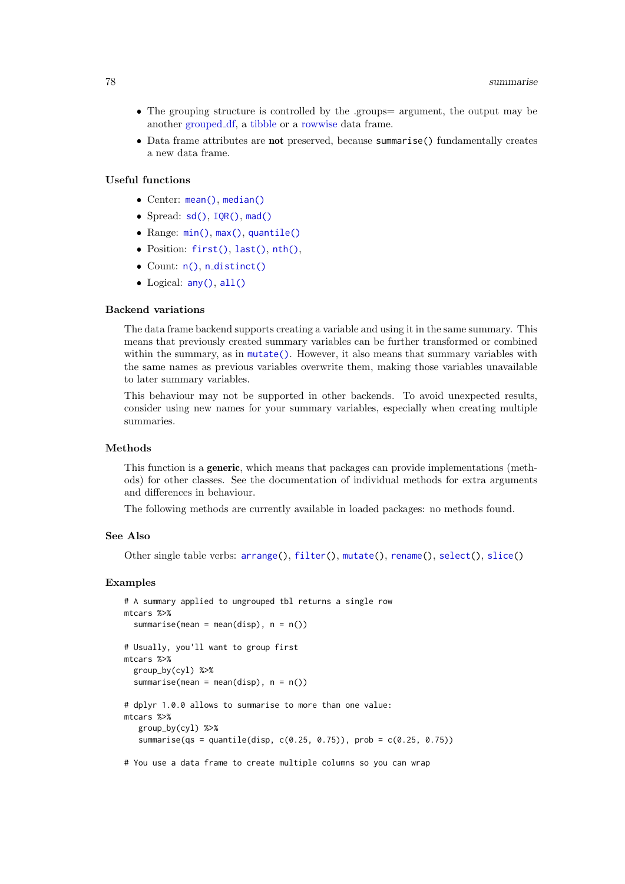- <span id="page-77-0"></span>• The grouping structure is controlled by the .groups= argument, the output may be another [grouped](#page-0-0) df, a [tibble](#page-0-0) or a [rowwise](#page-64-0) data frame.
- Data frame attributes are not preserved, because summarise() fundamentally creates a new data frame.

# Useful functions

- Center: [mean\(\)](#page-0-0), [median\(\)](#page-0-0)
- Spread: [sd\(\)](#page-0-0), [IQR\(\)](#page-0-0), [mad\(\)](#page-0-0)
- Range: [min\(\)](#page-0-0), [max\(\)](#page-0-0), [quantile\(\)](#page-0-0)
- Position: [first\(\)](#page-53-0), [last\(\)](#page-53-0), [nth\(\)](#page-53-1),
- $\bullet$  Count:  $n()$ ,  $n\_distinct()$  $n\_distinct()$
- Logical: [any\(\)](#page-0-0), [all\(\)](#page-0-0)

#### Backend variations

The data frame backend supports creating a variable and using it in the same summary. This means that previously created summary variables can be further transformed or combined within the summary, as in [mutate\(\)](#page-40-0). However, it also means that summary variables with the same names as previous variables overwrite them, making those variables unavailable to later summary variables.

This behaviour may not be supported in other backends. To avoid unexpected results, consider using new names for your summary variables, especially when creating multiple summaries.

### Methods

This function is a generic, which means that packages can provide implementations (methods) for other classes. See the documentation of individual methods for extra arguments and differences in behaviour.

The following methods are currently available in loaded packages: no methods found.

#### See Also

Other single table verbs: [arrange\(](#page-4-0)), [filter\(](#page-24-0)), [mutate\(](#page-40-0)), [rename\(](#page-61-0)), [select\(](#page-66-0)), [slice\(](#page-71-0))

#### Examples

```
# A summary applied to ungrouped tbl returns a single row
mtcars %>%
  summarise(mean = mean(disp), n = n())
# Usually, you'll want to group first
mtcars %>%
  group_by(cyl) %>%
  summarise(mean = mean(disp), n = n())
# dplyr 1.0.0 allows to summarise to more than one value:
mtcars %>%
   group_by(cyl) %>%
   summarise(qs = quantile(disp, c(0.25, 0.75)), prob = c(0.25, 0.75))
```
# You use a data frame to create multiple columns so you can wrap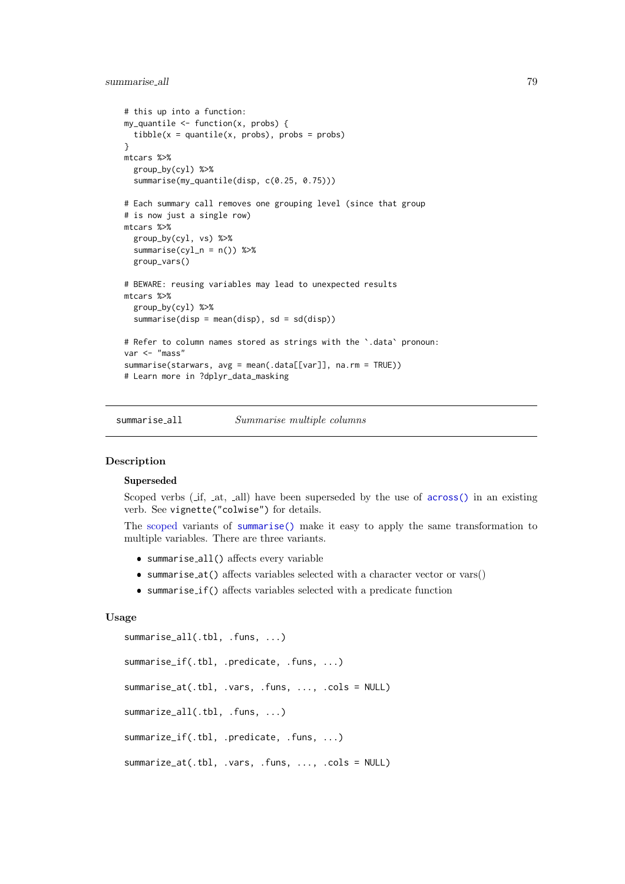#### <span id="page-78-1"></span>summarise all 79

```
# this up into a function:
my_quantile \leftarrow function(x, probs) {
  tibble(x = quantile(x, probs), probs = probs)}
mtcars %>%
  group_by(cyl) %>%
  summarise(my_quantile(disp, c(0.25, 0.75)))
# Each summary call removes one grouping level (since that group
# is now just a single row)
mtcars %>%
  group_by(cyl, vs) %>%
  summarise(cyl_n = n()) %>%
  group_vars()
# BEWARE: reusing variables may lead to unexpected results
mtcars %>%
  group_by(cyl) %>%
  summarise(disp = mean(disp), sd = sd(disp))
# Refer to column names stored as strings with the `.data` pronoun:
var <- "mass"
summarise(starwars, avg = mean(.data[[var]], na.rm = TRUE))
# Learn more in ?dplyr_data_masking
```
summarise\_all Summarise multiple columns

#### <span id="page-78-0"></span>Description

# Superseded

Scoped verbs  $(i$ f, at, all) have been superseded by the use of [across\(\)](#page-2-0) in an existing verb. See vignette("colwise") for details.

The [scoped](#page-65-0) variants of [summarise\(\)](#page-76-0) make it easy to apply the same transformation to multiple variables. There are three variants.

- summarise all() affects every variable
- summarise at() affects variables selected with a character vector or vars()
- summarise if() affects variables selected with a predicate function

### Usage

```
summarise_all(.tbl, .funs, ...)
summarise_if(.tbl, .predicate, .funs, ...)
summarise_at(.tbl, .vars, .funs, ..., .cols = NULL)
summarize_all(.tbl, .funs, ...)
summarize_if(.tbl, .predicate, .funs, ...)
summarize_at(.tbl, .vars, .funs, ..., .cols = NULL)
```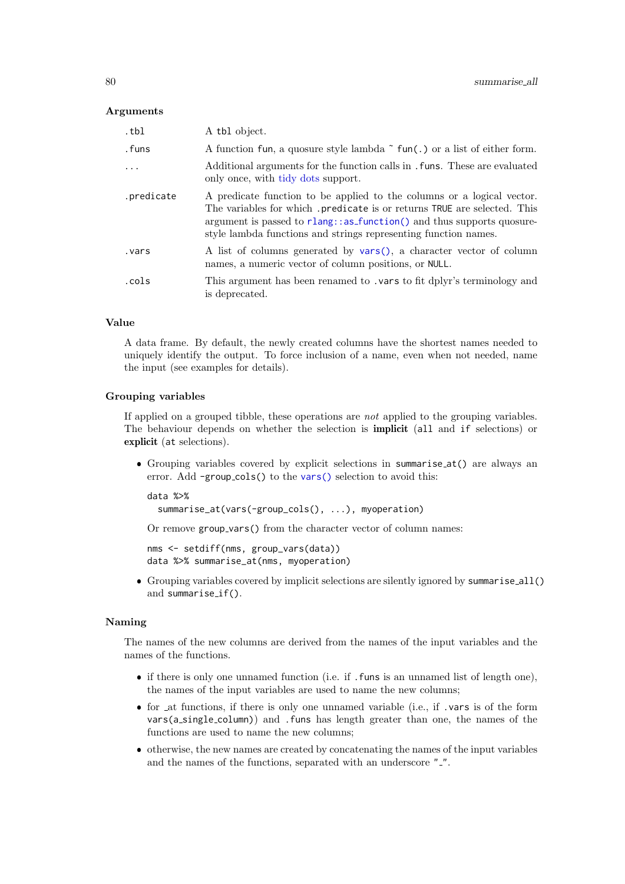#### <span id="page-79-0"></span>Arguments

| .tbl       | A tbl object.                                                                                                                                                                                                                                                                                    |
|------------|--------------------------------------------------------------------------------------------------------------------------------------------------------------------------------------------------------------------------------------------------------------------------------------------------|
| .funs      | A function fun, a quosure style lambda $\tilde{\ }$ fun(.) or a list of either form.                                                                                                                                                                                                             |
| $\ddots$   | Additional arguments for the function calls in . funs. These are evaluated<br>only once, with tidy dots support.                                                                                                                                                                                 |
| .predicate | A predicate function to be applied to the columns or a logical vector.<br>The variables for which .predicate is or returns TRUE are selected. This<br>argument is passed to rlang: : as_function() and thus supports quosure-<br>style lambda functions and strings representing function names. |
| vars.      | A list of columns generated by vars(), a character vector of column<br>names, a numeric vector of column positions, or NULL.                                                                                                                                                                     |
| .cols      | This argument has been renamed to . vars to fit dplyr's terminology and<br>is deprecated.                                                                                                                                                                                                        |

# Value

A data frame. By default, the newly created columns have the shortest names needed to uniquely identify the output. To force inclusion of a name, even when not needed, name the input (see examples for details).

### Grouping variables

If applied on a grouped tibble, these operations are not applied to the grouping variables. The behaviour depends on whether the selection is implicit (all and if selections) or explicit (at selections).

 Grouping variables covered by explicit selections in summarise at() are always an error. Add -group\_cols() to the [vars\(\)](#page-81-0) selection to avoid this:

```
data %>%
  summarise_at(vars(-group_cols(), ...), myoperation)
```
Or remove group vars() from the character vector of column names:

```
nms <- setdiff(nms, group_vars(data))
data %>% summarise_at(nms, myoperation)
```
 Grouping variables covered by implicit selections are silently ignored by summarise all() and summarise\_if().

#### Naming

The names of the new columns are derived from the names of the input variables and the names of the functions.

- if there is only one unnamed function (i.e. if .funs is an unnamed list of length one), the names of the input variables are used to name the new columns;
- for at functions, if there is only one unnamed variable (i.e., if .vars is of the form vars(a single column)) and .funs has length greater than one, the names of the functions are used to name the new columns;
- otherwise, the new names are created by concatenating the names of the input variables and the names of the functions, separated with an underscore ".".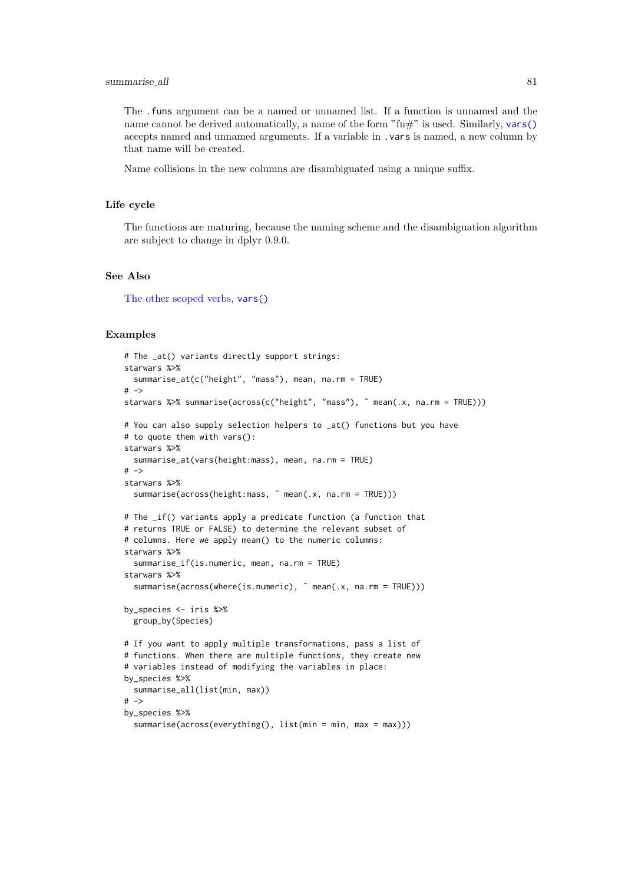#### <span id="page-80-0"></span>summarise all 81

The .funs argument can be a named or unnamed list. If a function is unnamed and the name cannot be derived automatically, a name of the form " $\text{fm}$ " is used. Similarly, [vars\(\)](#page-81-0) accepts named and unnamed arguments. If a variable in .vars is named, a new column by that name will be created.

Name collisions in the new columns are disambiguated using a unique suffix.

#### Life cycle

The functions are maturing, because the naming scheme and the disambiguation algorithm are subject to change in dplyr 0.9.0.

# See Also

[The other scoped verbs,](#page-65-0) [vars\(\)](#page-81-0)

#### Examples

```
# The _at() variants directly support strings:
starwars %>%
  summarise_at(c("height", "mass"), mean, na.rm = TRUE)
# \rightarrowstarwars %>% summarise(across(c("height", "mass"), ˜ mean(.x, na.rm = TRUE)))
# You can also supply selection helpers to _at() functions but you have
# to quote them with vars():
starwars %>%
  summarise_at(vars(height:mass), mean, na.rm = TRUE)
# ->
starwars %>%
  summarise(across(height:mass, ˜ mean(.x, na.rm = TRUE)))
# The _if() variants apply a predicate function (a function that
# returns TRUE or FALSE) to determine the relevant subset of
# columns. Here we apply mean() to the numeric columns:
starwars %>%
  summarise_if(is.numeric, mean, na.rm = TRUE)
starwars %>%
  summarise(across(where(is.numeric), \tilde{ } mean(.x, na.rm = TRUE)))
by_species <- iris %>%
  group_by(Species)
# If you want to apply multiple transformations, pass a list of
# functions. When there are multiple functions, they create new
# variables instead of modifying the variables in place:
by_species %>%
  summarise_all(list(min, max))
# ->by_species %>%
  summarise(across(everything(), list(min = min, max = max)))
```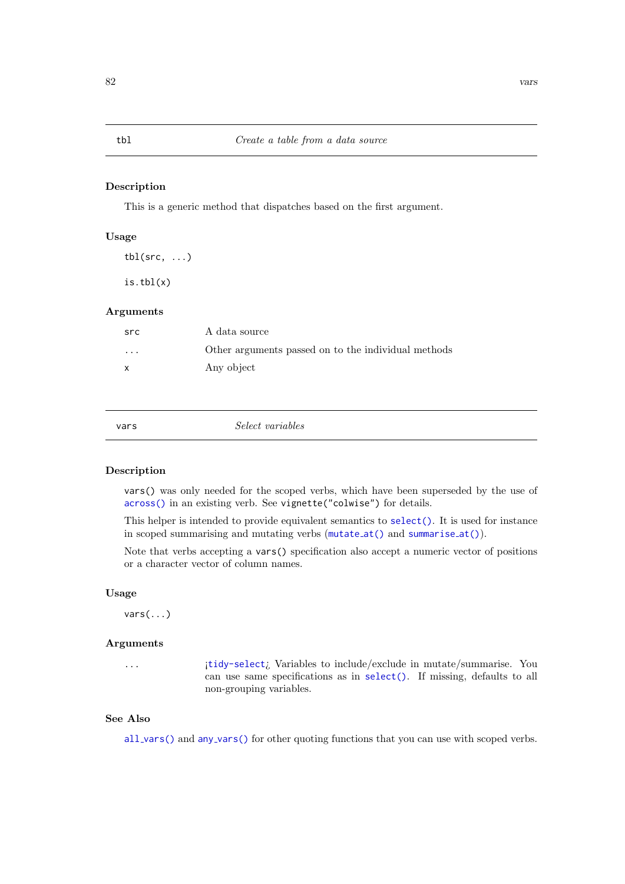#### Description

This is a generic method that dispatches based on the first argument.

### Usage

 $\text{thl}(\text{src}, \ldots)$ 

 $is.tbl(x)$ 

# Arguments

| src      | A data source                                       |
|----------|-----------------------------------------------------|
| $\cdots$ | Other arguments passed on to the individual methods |
| x        | Any object                                          |

<span id="page-81-0"></span>

| vars | Select variables |
|------|------------------|
|      |                  |

#### Description

vars() was only needed for the scoped verbs, which have been superseded by the use of [across\(\)](#page-2-0) in an existing verb. See vignette("colwise") for details.

This helper is intended to provide equivalent semantics to [select\(\)](#page-66-0). It is used for instance in scoped summarising and mutating verbs ([mutate](#page-47-0) at() and [summarise](#page-78-0) at()).

Note that verbs accepting a vars() specification also accept a numeric vector of positions or a character vector of column names.

# Usage

vars(...)

### Arguments

... ¡[tidy-select](#page-0-0)¿ Variables to include/exclude in mutate/summarise. You can use same specifications as in [select\(\)](#page-66-0). If missing, defaults to all non-grouping variables.

# See Also

all [vars\(\)](#page-4-1) and any [vars\(\)](#page-4-2) for other quoting functions that you can use with scoped verbs.

#### <span id="page-81-1"></span>tbl  $Create a table from a data source$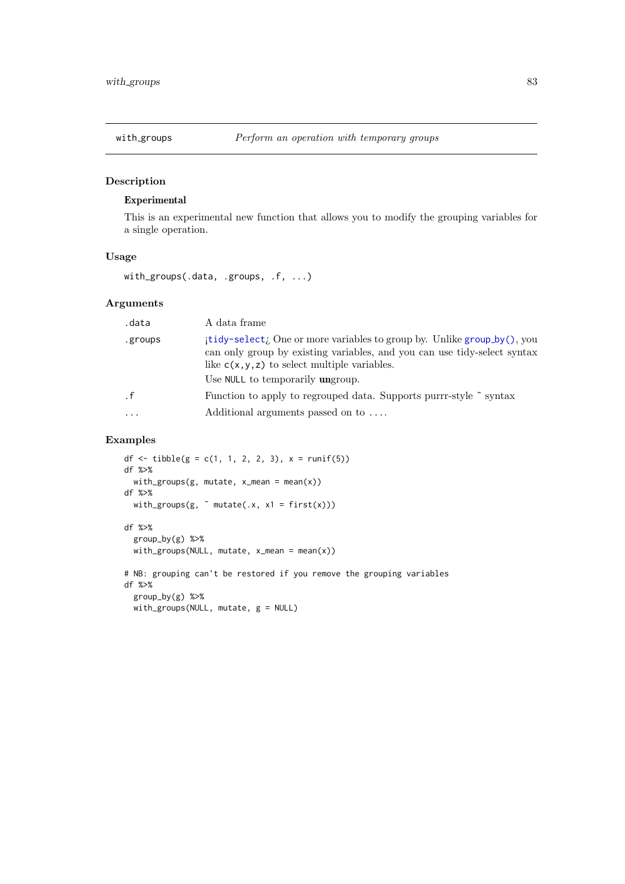<span id="page-82-0"></span>

# Description

# Experimental

This is an experimental new function that allows you to modify the grouping variables for a single operation.

# Usage

with\_groups(.data, .groups, .f, ...)

# Arguments

| .data     | A data frame                                                                                                                                                                                                                                |
|-----------|---------------------------------------------------------------------------------------------------------------------------------------------------------------------------------------------------------------------------------------------|
| .groups   | itidy-select; One or more variables to group by. Unlike group by (), you<br>can only group by existing variables, and you can use tidy-select syntax<br>like $c(x, y, z)$ to select multiple variables.<br>Use NULL to temporarily ungroup. |
| $\cdot$ f | Function to apply to regrouped data. Supports purrr-style ~ syntax                                                                                                                                                                          |
| $\ddotsc$ | Additional arguments passed on to                                                                                                                                                                                                           |

# Examples

```
df <- tibble(g = c(1, 1, 2, 2, 3), x = runif(5))
df %>%
  with_groups(g, mutate, x_mean = mean(x))
df %>%
  with_groups(g, \tilde{ } mutate(.x, x1 = first(x)))
df %>%
  group_by(g) %>%
  with\_groups(NULL, mutate, x_mean = mean(x))# NB: grouping can't be restored if you remove the grouping variables
df %>%
  group_by(g) %>%
  with_groups(NULL, mutate, g = NULL)
```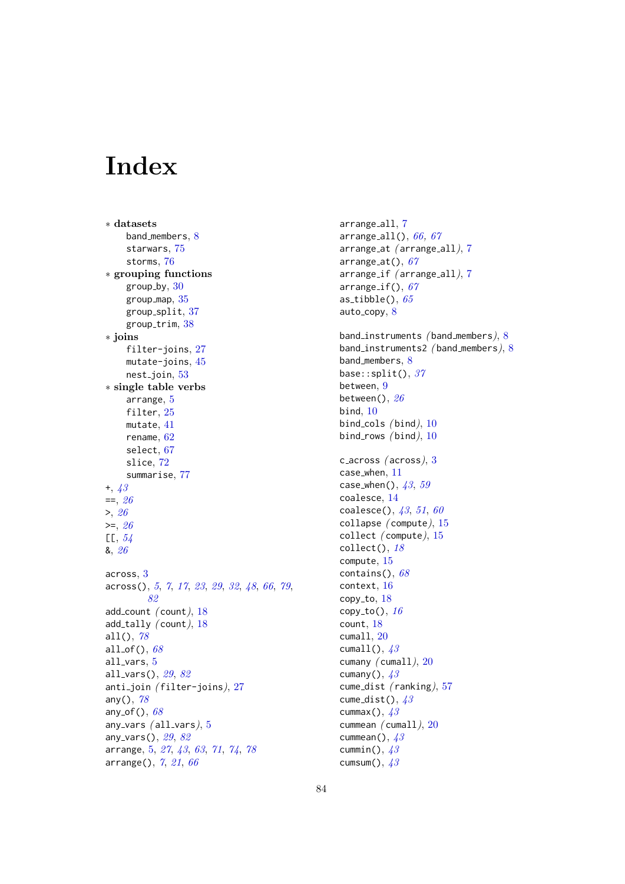# **Index**

∗ datasets band members, [8](#page-7-0) starwars, [75](#page-74-0) storms, [76](#page-75-0) ∗ grouping functions  $group_by, 30$  $group_by, 30$ group map, [35](#page-34-0) group\_split,  $37$ group\_trim, [38](#page-37-0) ∗ joins filter-joins, [27](#page-26-0) mutate-joins, [45](#page-44-0)  $nest$ -join,  $53$ ∗ single table verbs arrange, [5](#page-4-3) filter, [25](#page-24-1) mutate, [41](#page-40-1) rename, [62](#page-61-1) select, [67](#page-66-1) slice, [72](#page-71-1) summarise, [77](#page-76-1) +, [43](#page-42-0)  $==, 26$  $==, 26$  $>$ , [26](#page-25-0)  $>=, 26$  $>=, 26$  $[L, 54]$  $[L, 54]$  $[L, 54]$ &, [26](#page-25-0) across, [3](#page-2-1) across(), [5](#page-4-3), [7](#page-6-0), [17](#page-16-0), [23](#page-22-0), [29](#page-28-0), [32](#page-31-0), [48](#page-47-1), [66](#page-65-1), [79](#page-78-1), [82](#page-81-1) add\_count  $(\text{count}), 18$  $(\text{count}), 18$ add\_tally  $($  count $)$ , [18](#page-17-0) all $($ ),  $78$ all\_of(),  $68$ all vars, [5](#page-4-3) all\_vars(),  $29, 82$  $29, 82$  $29, 82$ anti\_join (filter-joins), [27](#page-26-0) any $()$ ,  $78$ any  $of()$ ,  $68$ any vars  $(all_vars), 5$  $(all_vars), 5$ any\_vars(), [29](#page-28-0), [82](#page-81-1) arrange, [5,](#page-4-3) [27](#page-26-0), [43](#page-42-0), [63](#page-62-0), [71](#page-70-0), [74](#page-73-0), [78](#page-77-0) arrange(), [7](#page-6-0), [21](#page-20-0), [66](#page-65-1)

arrange\_all, [7](#page-6-0) arrange\_all(),  $66, 67$  $66, 67$  $66, 67$ arrange at ( arrange all), [7](#page-6-0) arrange\_at $()$ ,  $67$ arrange\_if (arrange\_all), [7](#page-6-0) arrange\_if(),  $67$ as\_tibble(),  $65$ auto\_copy,  $8$ band instruments ( band members), [8](#page-7-0) band\_instruments2 (band\_members), [8](#page-7-0) band\_members, [8](#page-7-0) base:: $split()$ , [37](#page-36-0) between, [9](#page-8-0) between(),  $26$ bind, [10](#page-9-0) bind cols  $(bind)$ , [10](#page-9-0) bind\_rows  $(bind), 10$  $(bind), 10$ c across  $(across), 3$  $(across), 3$ case when, [11](#page-10-0) case\_when(),  $43, 59$  $43, 59$  $43, 59$ coalesce, [14](#page-13-0) coalesce(),  $43, 51, 60$  $43, 51, 60$  $43, 51, 60$  $43, 51, 60$  $43, 51, 60$ collapse ( compute), [15](#page-14-0) collect ( compute), [15](#page-14-0)  $collect(), 18$  $collect(), 18$ compute, [15](#page-14-0) contains(),  $68$ context, [16](#page-15-1)  $copy_to, 18$  $copy_to, 18$ copy\_to(),  $16$ count, [18](#page-17-0) cumall, [20](#page-19-0) cumall(),  $43$ cumany ( cumall), [20](#page-19-0) cumany(),  $43$ cume\_dist (ranking), [57](#page-56-1) cume\_dist(),  $43$ cummax(),  $43$ cummean ( cumall), [20](#page-19-0) cummean(),  $43$ cummin(),  $43$ cumsum $(), 43$  $(), 43$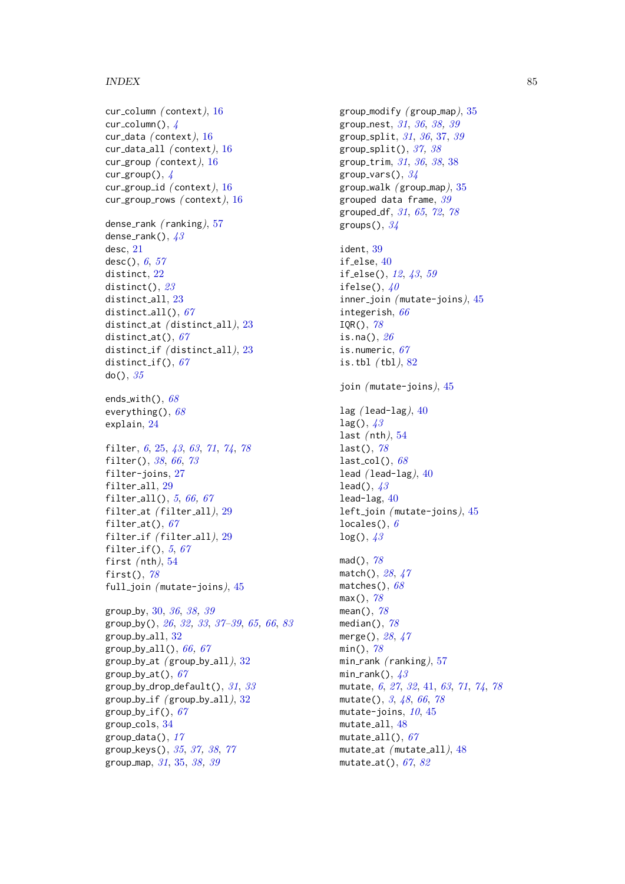# INDEX 85

cur column ( context), [16](#page-15-1) cur\_column(),  $\angle$ cur\_data (context), [16](#page-15-1) cur data all ( context), [16](#page-15-1) cur\_group (context), [16](#page-15-1) cur\_group(),  $\sqrt{4}$  $\sqrt{4}$  $\sqrt{4}$ cur group id ( context), [16](#page-15-1) cur\_group\_rows (context), [16](#page-15-1) dense\_rank (ranking), [57](#page-56-1) dense\_rank(),  $43$ desc, [21](#page-20-0) desc(), [6](#page-5-0), [57](#page-56-1) distinct, [22](#page-21-0) distinct(), [23](#page-22-0) distinct all, [23](#page-22-0) distinct\_all(),  $67$ distinct\_at (distinct\_all), [23](#page-22-0) distinct\_at(),  $67$ distinct\_if (distinct\_all), [23](#page-22-0) distinct\_if(),  $67$  $do()$ ,  $35$ ends\_with(),  $68$ everything(),  $68$ explain, [24](#page-23-0) filter, [6](#page-5-0), [25,](#page-24-1) [43](#page-42-0), [63](#page-62-0), [71](#page-70-0), [74](#page-73-0), [78](#page-77-0) filter(), [38](#page-37-0), [66](#page-65-1), [73](#page-72-0) filter-joins, [27](#page-26-0) filter all, [29](#page-28-0) filter\_all(),  $5, 66, 67$  $5, 66, 67$  $5, 66, 67$  $5, 66, 67$  $5, 66, 67$ filter\_at (filter\_all), [29](#page-28-0) filter\_at(),  $67$ filter\_if (filter\_all), [29](#page-28-0) filter\_if(),  $5, 67$  $5, 67$  $5, 67$ first  $($ nth $), 54$  $), 54$ first $()$ ,  $78$ full\_join (mutate-joins), [45](#page-44-0) group by, [30,](#page-29-1) [36](#page-35-0), [38,](#page-37-0) [39](#page-38-0) group by(), [26](#page-25-0), [32,](#page-31-0) [33](#page-32-0), [37](#page-36-0)[–39](#page-38-0), [65,](#page-64-1) [66](#page-65-1), [83](#page-82-0) group by all, [32](#page-31-0) group\_by\_all(),  $66, 67$  $66, 67$  $66, 67$ group by  $at$  (group by  $all$ ),  $32$ group  $by$   $at()$ ,  $67$ group\_by\_drop\_default(),  $31, 33$  $31, 33$  $31, 33$ group\_by\_if  $(\text{group_by}$ \_all $),$  [32](#page-31-0) group\_by\_if(),  $67$ group cols, [34](#page-33-0) group\_data(),  $17$ group keys(), [35](#page-34-0), [37,](#page-36-0) [38](#page-37-0), [77](#page-76-1) group map, [31](#page-30-0), [35,](#page-34-0) [38,](#page-37-0) [39](#page-38-0)

group\_modify ( $group_map$ ),  $35$ group nest, [31](#page-30-0), [36](#page-35-0), [38,](#page-37-0) [39](#page-38-0) group split, [31](#page-30-0), [36](#page-35-0), [37,](#page-36-0) [39](#page-38-0) group\_split(),  $37, 38$  $37, 38$  $37, 38$ group trim, [31](#page-30-0), [36](#page-35-0), [38](#page-37-0), [38](#page-37-0) group\_vars(),  $34$ group\_walk  $(\text{group\_map}),$  [35](#page-34-0) grouped data frame, [39](#page-38-0) grouped df, [31](#page-30-0), [65](#page-64-1), [72](#page-71-1), [78](#page-77-0) groups $(), 34$  $(), 34$ ident, [39](#page-38-0) if else, [40](#page-39-0) if else(), [12](#page-11-0), [43](#page-42-0), [59](#page-58-0) ifelse(),  $40$ inner\_join (mutate-joins), [45](#page-44-0) integerish, [66](#page-65-1)  $IQR()$ , [78](#page-77-0) is.na(),  $26$ is.numeric, [67](#page-66-1) is.tbl  $(tbl)$ ,  $82$ join (mutate-joins), [45](#page-44-0) lag  $($ lead-lag $), 40$  $), 40$  $lag()$ ,  $43$ last  $(\text{nth}), 54$  $(\text{nth}), 54$ last $(), 78$  $(), 78$  $last\_col(), 68$  $last\_col(), 68$ lead  $($ lead-lag $), 40$  $), 40$ lead(),  $43$ lead-lag, [40](#page-39-0) left\_join (mutate-joins), [45](#page-44-0) locales(),  $6$  $log()$ ,  $43$ mad(), [78](#page-77-0) match(), [28](#page-27-0), [47](#page-46-0) matches(),  $68$  $max()$ , [78](#page-77-0) mean(), [78](#page-77-0) median $($ ),  $78$ merge(), [28](#page-27-0), [47](#page-46-0) min(), [78](#page-77-0) min\_rank  $(ranking), 57$  $(ranking), 57$ min\_rank(),  $43$ mutate, [6](#page-5-0), [27](#page-26-0), [32](#page-31-0), [41,](#page-40-1) [63](#page-62-0), [71](#page-70-0), [74](#page-73-0), [78](#page-77-0) mutate(), [3](#page-2-1), [48](#page-47-1), [66](#page-65-1), [78](#page-77-0) mutate-joins,  $10, 45$  $10, 45$  $10, 45$ mutate all, [48](#page-47-1) mutate\_all(),  $67$ mutate at ( mutate all), [48](#page-47-1) mutate at(), [67](#page-66-1), [82](#page-81-1)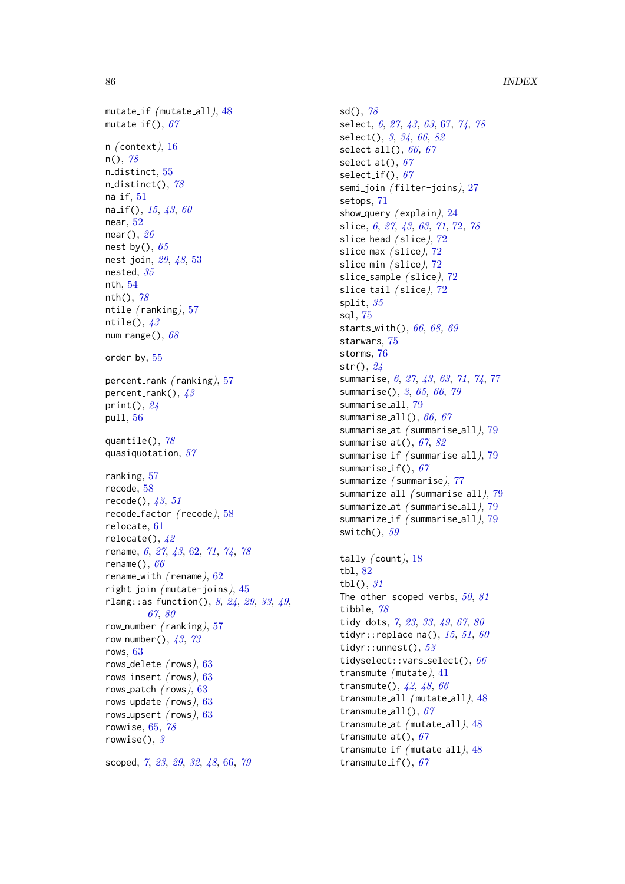mutate\_if (mutate\_all), [48](#page-47-1) mutate\_if(),  $67$ n  $($  context $), 16$  $), 16$  $n()$ , [78](#page-77-0) n\_distinct, [55](#page-54-1) n\_distinct(),  $78$  $na_i$ f,  $51$ na<sub>-if</sub>(),  $15, 43, 60$  $15, 43, 60$  $15, 43, 60$  $15, 43, 60$  $15, 43, 60$ near, [52](#page-51-0) near $()$ ,  $26$ nest\_by(),  $65$ nest<sub>-</sub>join, [29](#page-28-0), [48](#page-47-1), [53](#page-52-0) nested, [35](#page-34-0) nth, [54](#page-53-2) nth $()$ ,  $78$ ntile ( ranking), [57](#page-56-1) ntile(),  $43$ num\_range(),  $68$ order by,  $55$ percent\_rank (ranking), [57](#page-56-1) percent\_rank(),  $43$ print(),  $24$ pull, [56](#page-55-0) quantile(), [78](#page-77-0) quasiquotation, [57](#page-56-1) ranking, [57](#page-56-1) recode, [58](#page-57-0)  $recode(), 43, 51$  $recode(), 43, 51$  $recode(), 43, 51$  $recode(), 43, 51$ recode\_factor (recode), [58](#page-57-0) relocate, [61](#page-60-0) relocate(),  $42$ rename, [6](#page-5-0), [27](#page-26-0), [43](#page-42-0), [62,](#page-61-1) [71](#page-70-0), [74](#page-73-0), [78](#page-77-0) rename $(), 66$  $(), 66$ rename\_with (rename),  $62$ right join (mutate-joins),  $45$ rlang::as\_function(),  $8, 24, 29, 33, 49,$  $8, 24, 29, 33, 49,$  $8, 24, 29, 33, 49,$  $8, 24, 29, 33, 49,$  $8, 24, 29, 33, 49,$  $8, 24, 29, 33, 49,$  $8, 24, 29, 33, 49,$  $8, 24, 29, 33, 49,$  $8, 24, 29, 33, 49,$  $8, 24, 29, 33, 49,$ [67](#page-66-1), [80](#page-79-0) row\_number  $(ranking), 57$  $(ranking), 57$ row\_number(),  $43, 73$  $43, 73$  $43, 73$ rows, [63](#page-62-0) rows delete ( rows), [63](#page-62-0) rows\_insert  $(\text{rows}), 63$  $(\text{rows}), 63$ rows\_patch  $(\text{rows}), 63$  $(\text{rows}), 63$ rows update ( rows), [63](#page-62-0) rows\_upsert  $(\text{rows}), 63$  $(\text{rows}), 63$ rowwise, [65,](#page-64-1) [78](#page-77-0) rowwise(),  $\beta$ scoped, [7](#page-6-0), [23](#page-22-0), [29](#page-28-0), [32](#page-31-0), [48](#page-47-1), [66,](#page-65-1) [79](#page-78-1)

 $sd()$ ,  $78$ select, [6](#page-5-0), [27](#page-26-0), [43](#page-42-0), [63](#page-62-0), [67,](#page-66-1) [74](#page-73-0), [78](#page-77-0) select(), [3](#page-2-1), [34](#page-33-0), [66](#page-65-1), [82](#page-81-1) select\_all(),  $66, 67$  $66, 67$  $66, 67$ select\_at(),  $67$ select\_if(),  $67$ semi\_join (filter-joins), [27](#page-26-0) setops, [71](#page-70-0) show\_query  $(explain), 24$  $(explain), 24$ slice, [6](#page-5-0), [27](#page-26-0), [43](#page-42-0), [63](#page-62-0), [71](#page-70-0), [72,](#page-71-1) [78](#page-77-0) slice\_head (slice), [72](#page-71-1) slice\_max (slice), [72](#page-71-1) slice\_min (slice), [72](#page-71-1) slice\_sample  $(slice)$ ,  $72$ slice\_tail (slice), [72](#page-71-1) split, [35](#page-34-0) sql, [75](#page-74-0) starts with(), [66](#page-65-1), [68,](#page-67-0) [69](#page-68-0) starwars, [75](#page-74-0) storms, [76](#page-75-0)  $str()$ ,  $24$ summarise, [6](#page-5-0), [27](#page-26-0), [43](#page-42-0), [63](#page-62-0), [71](#page-70-0), [74](#page-73-0), [77](#page-76-1) summarise(), [3](#page-2-1), [65,](#page-64-1) [66](#page-65-1), [79](#page-78-1) summarise\_all, [79](#page-78-1) summarise\_all(),  $66, 67$  $66, 67$  $66, 67$ summarise\_at (summarise\_all), [79](#page-78-1) summarise\_at(),  $67, 82$  $67, 82$  $67, 82$ summarise if ( summarise all), [79](#page-78-1) summarise\_if(),  $67$ summarize ( summarise), [77](#page-76-1) summarize all ( summarise all), [79](#page-78-1) summarize at ( summarise all), [79](#page-78-1) summarize\_if (summarise\_all), [79](#page-78-1) switch $(), 59$  $(), 59$ tally  $($  count $)$ , [18](#page-17-0) tbl, [82](#page-81-1) tbl $()$ ,  $31$ The other scoped verbs,  $50$ ,  $81$ tibble, [78](#page-77-0) tidy dots, [7](#page-6-0), [23](#page-22-0), [33](#page-32-0), [49](#page-48-0), [67](#page-66-1), [80](#page-79-0) tidyr:: replace\_na(),  $15, 51, 60$  $15, 51, 60$  $15, 51, 60$  $15, 51, 60$  $15, 51, 60$ tidyr::unnest(), [53](#page-52-0) tidyselect::vars\_select(),  $66$ transmute ( mutate), [41](#page-40-1) transmute(), [42](#page-41-0), [48](#page-47-1), [66](#page-65-1) transmute all ( mutate all), [48](#page-47-1) transmute\_all(),  $67$ transmute at ( mutate all), [48](#page-47-1) transmute\_at(),  $67$ transmute\_if (mutate\_all), [48](#page-47-1) transmute\_if(),  $67$